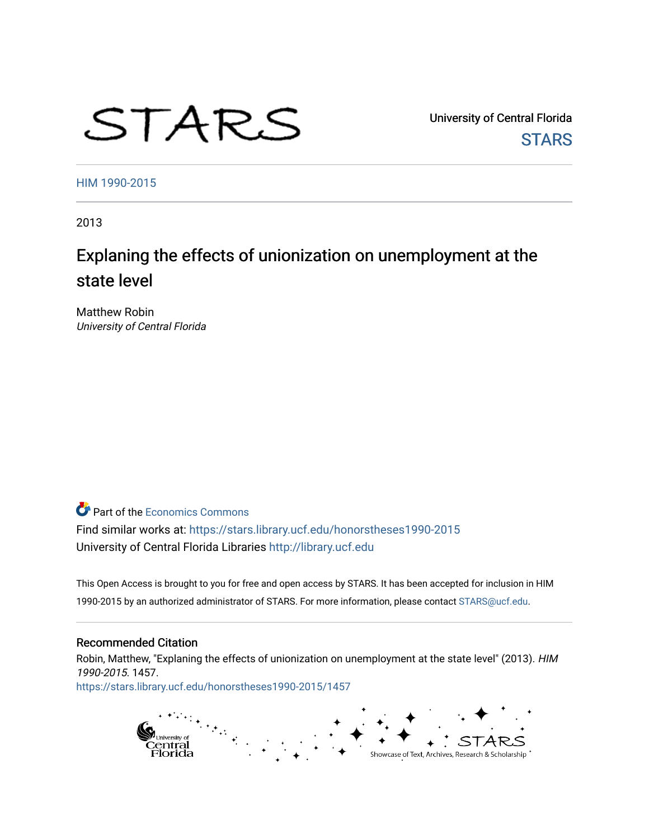# STARS

University of Central Florida **STARS** 

[HIM 1990-2015](https://stars.library.ucf.edu/honorstheses1990-2015) 

2013

## Explaning the effects of unionization on unemployment at the state level

Matthew Robin University of Central Florida

**C** Part of the [Economics Commons](http://network.bepress.com/hgg/discipline/340?utm_source=stars.library.ucf.edu%2Fhonorstheses1990-2015%2F1457&utm_medium=PDF&utm_campaign=PDFCoverPages)

Find similar works at: <https://stars.library.ucf.edu/honorstheses1990-2015> University of Central Florida Libraries [http://library.ucf.edu](http://library.ucf.edu/) 

This Open Access is brought to you for free and open access by STARS. It has been accepted for inclusion in HIM 1990-2015 by an authorized administrator of STARS. For more information, please contact [STARS@ucf.edu](mailto:STARS@ucf.edu).

#### Recommended Citation

Robin, Matthew, "Explaning the effects of unionization on unemployment at the state level" (2013). HIM 1990-2015. 1457. [https://stars.library.ucf.edu/honorstheses1990-2015/1457](https://stars.library.ucf.edu/honorstheses1990-2015/1457?utm_source=stars.library.ucf.edu%2Fhonorstheses1990-2015%2F1457&utm_medium=PDF&utm_campaign=PDFCoverPages) 

> pi<sub>University of</sub><br>Central<br>Florida Showcase of Text, Archives, Research & Scholarship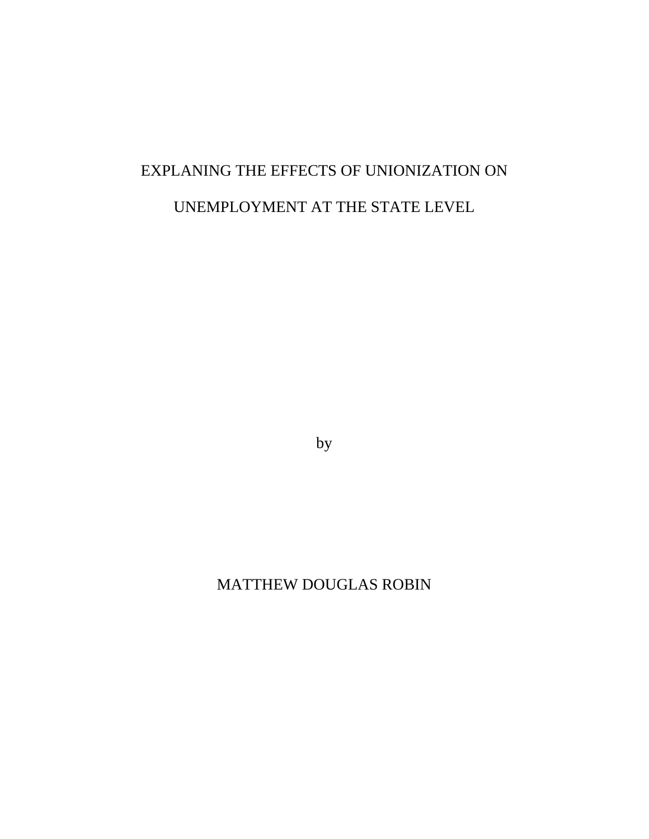## EXPLANING THE EFFECTS OF UNIONIZATION ON UNEMPLOYMENT AT THE STATE LEVEL

by

## MATTHEW DOUGLAS ROBIN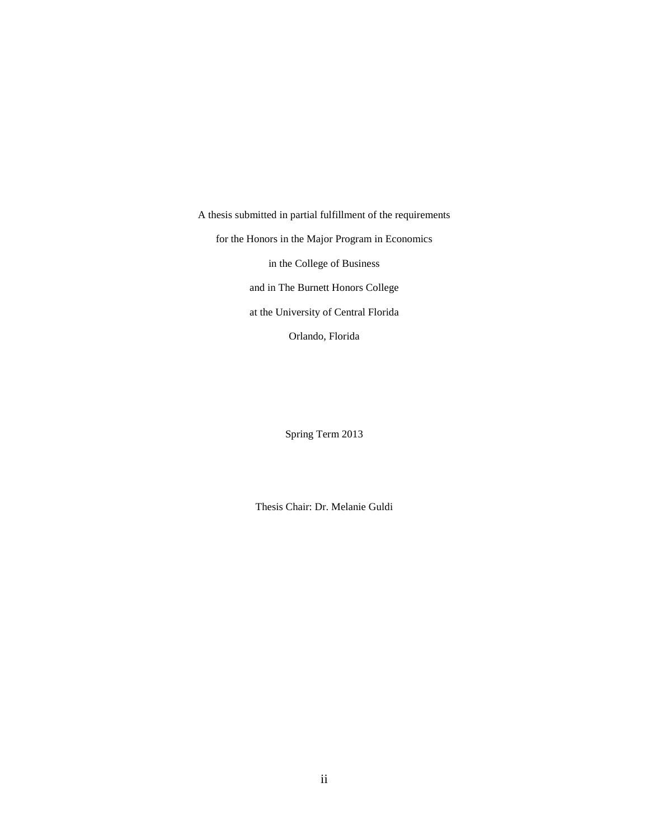A thesis submitted in partial fulfillment of the requirements for the Honors in the Major Program in Economics in the College of Business and in The Burnett Honors College at the University of Central Florida Orlando, Florida

Spring Term 2013

Thesis Chair: Dr. Melanie Guldi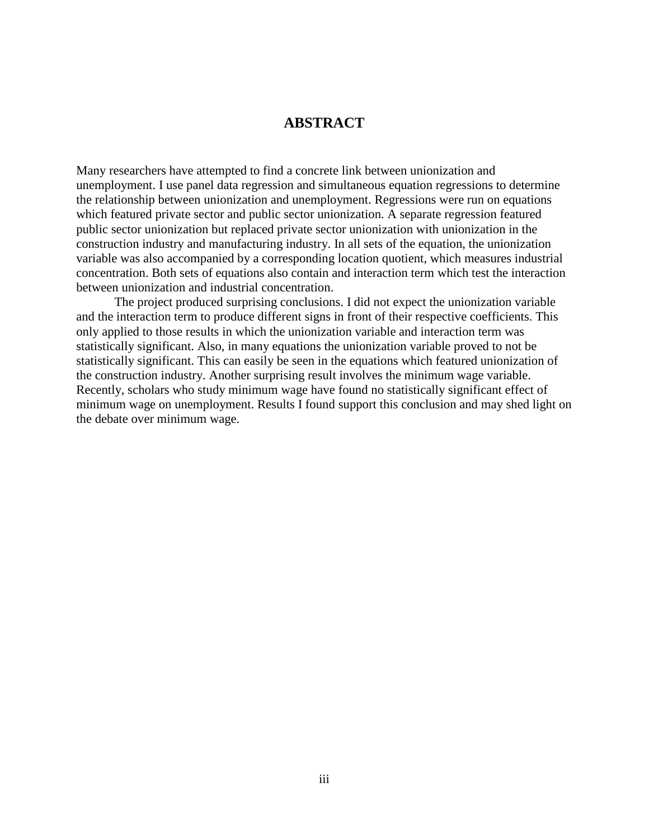#### **ABSTRACT**

Many researchers have attempted to find a concrete link between unionization and unemployment. I use panel data regression and simultaneous equation regressions to determine the relationship between unionization and unemployment. Regressions were run on equations which featured private sector and public sector unionization. A separate regression featured public sector unionization but replaced private sector unionization with unionization in the construction industry and manufacturing industry. In all sets of the equation, the unionization variable was also accompanied by a corresponding location quotient, which measures industrial concentration. Both sets of equations also contain and interaction term which test the interaction between unionization and industrial concentration.

The project produced surprising conclusions. I did not expect the unionization variable and the interaction term to produce different signs in front of their respective coefficients. This only applied to those results in which the unionization variable and interaction term was statistically significant. Also, in many equations the unionization variable proved to not be statistically significant. This can easily be seen in the equations which featured unionization of the construction industry. Another surprising result involves the minimum wage variable. Recently, scholars who study minimum wage have found no statistically significant effect of minimum wage on unemployment. Results I found support this conclusion and may shed light on the debate over minimum wage.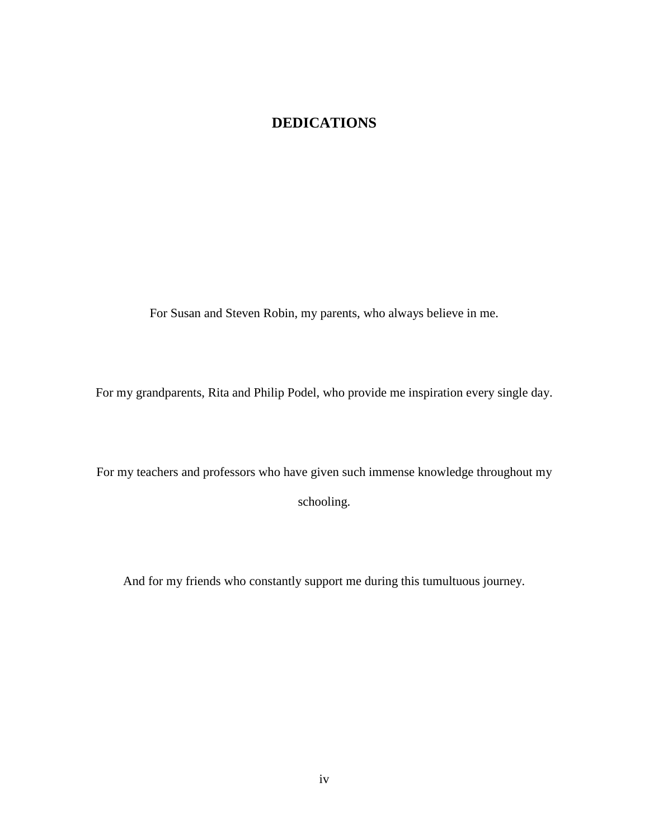## **DEDICATIONS**

For Susan and Steven Robin, my parents, who always believe in me.

For my grandparents, Rita and Philip Podel, who provide me inspiration every single day.

For my teachers and professors who have given such immense knowledge throughout my schooling.

And for my friends who constantly support me during this tumultuous journey.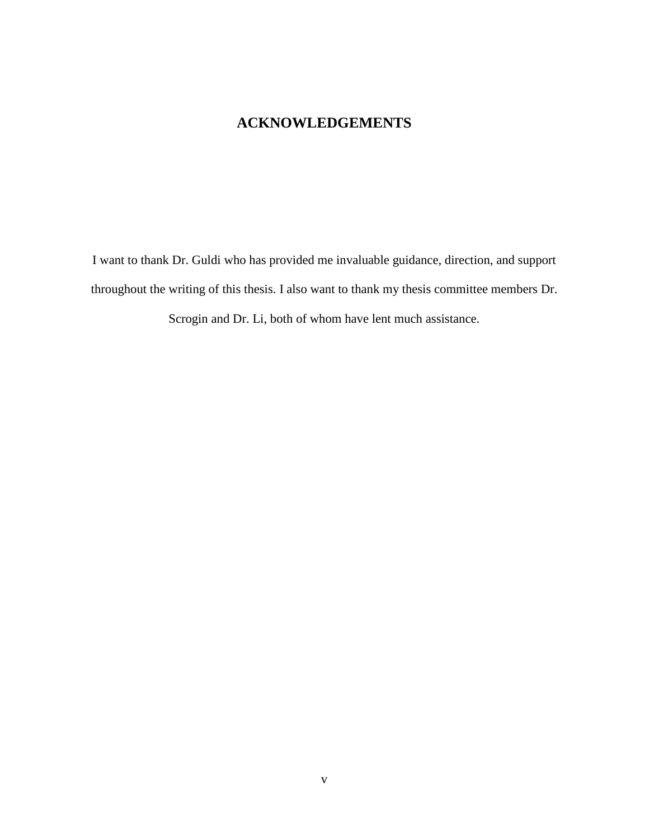### **ACKNOWLEDGEMENTS**

I want to thank Dr. Guldi who has provided me invaluable guidance, direction, and support throughout the writing of this thesis. I also want to thank my thesis committee members Dr.

Scrogin and Dr. Li, both of whom have lent much assistance.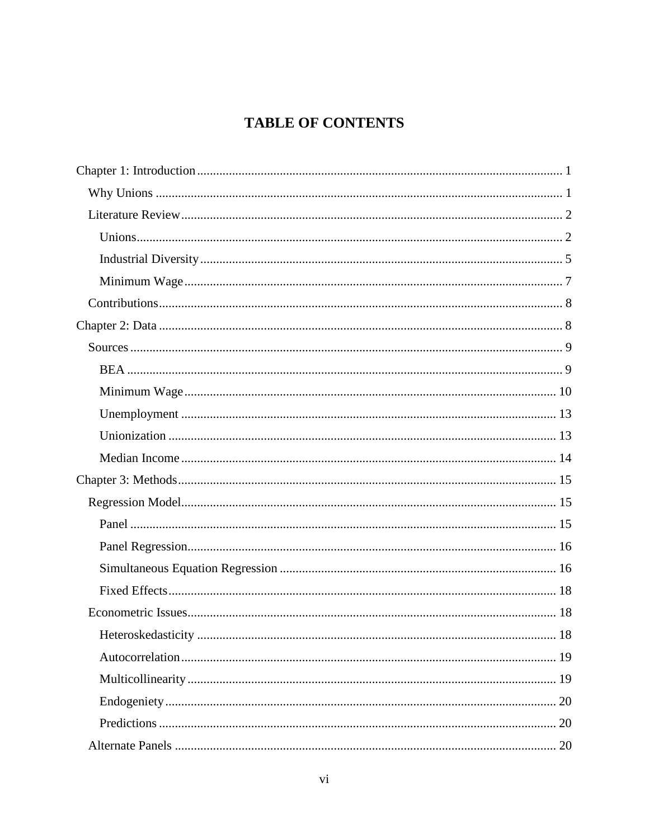## **TABLE OF CONTENTS**

| 18<br>Heteroskedasticity |
|--------------------------|
|                          |
|                          |
|                          |
|                          |
|                          |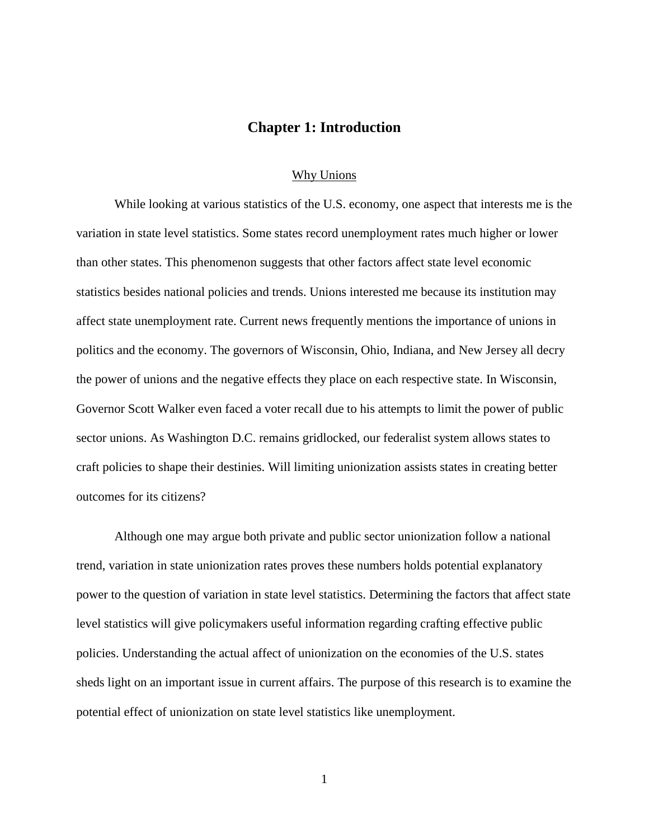#### **Chapter 1: Introduction**

#### Why Unions

<span id="page-8-1"></span><span id="page-8-0"></span>While looking at various statistics of the U.S. economy, one aspect that interests me is the variation in state level statistics. Some states record unemployment rates much higher or lower than other states. This phenomenon suggests that other factors affect state level economic statistics besides national policies and trends. Unions interested me because its institution may affect state unemployment rate. Current news frequently mentions the importance of unions in politics and the economy. The governors of Wisconsin, Ohio, Indiana, and New Jersey all decry the power of unions and the negative effects they place on each respective state. In Wisconsin, Governor Scott Walker even faced a voter recall due to his attempts to limit the power of public sector unions. As Washington D.C. remains gridlocked, our federalist system allows states to craft policies to shape their destinies. Will limiting unionization assists states in creating better outcomes for its citizens?

Although one may argue both private and public sector unionization follow a national trend, variation in state unionization rates proves these numbers holds potential explanatory power to the question of variation in state level statistics. Determining the factors that affect state level statistics will give policymakers useful information regarding crafting effective public policies. Understanding the actual affect of unionization on the economies of the U.S. states sheds light on an important issue in current affairs. The purpose of this research is to examine the potential effect of unionization on state level statistics like unemployment.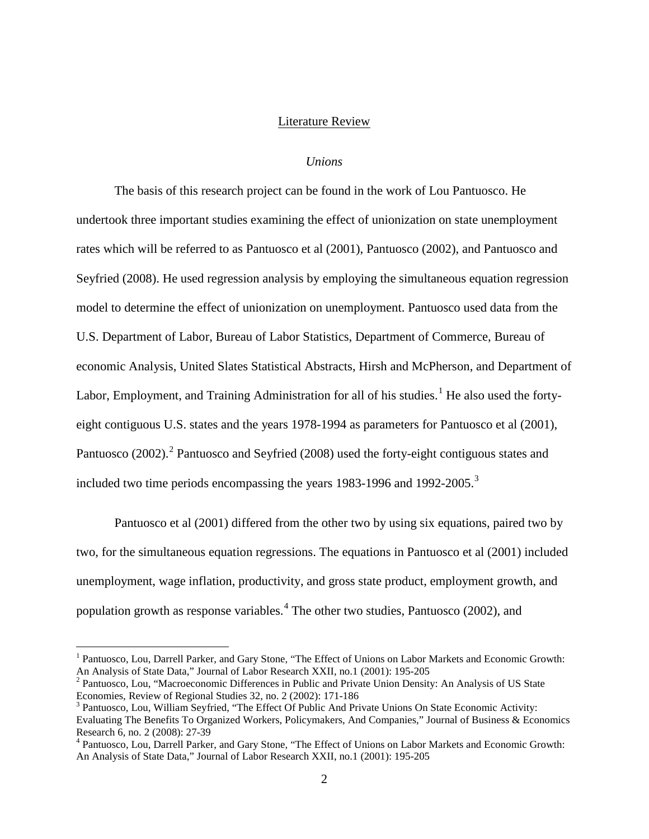#### Literature Review

#### *Unions*

<span id="page-9-1"></span><span id="page-9-0"></span>The basis of this research project can be found in the work of Lou Pantuosco. He undertook three important studies examining the effect of unionization on state unemployment rates which will be referred to as Pantuosco et al (2001), Pantuosco (2002), and Pantuosco and Seyfried (2008). He used regression analysis by employing the simultaneous equation regression model to determine the effect of unionization on unemployment. Pantuosco used data from the U.S. Department of Labor, Bureau of Labor Statistics, Department of Commerce, Bureau of economic Analysis, United Slates Statistical Abstracts, Hirsh and McPherson, and Department of Labor, Employment, and Training Administration for all of his studies.<sup>[1](#page-9-2)</sup> He also used the fortyeight contiguous U.S. states and the years 1978-1994 as parameters for Pantuosco et al (2001), Pantuosco ([2](#page-9-3)002).<sup>2</sup> Pantuosco and Seyfried (2008) used the forty-eight contiguous states and included two time periods encompassing the years 198[3](#page-9-4)-1996 and 1992-2005.<sup>3</sup>

Pantuosco et al (2001) differed from the other two by using six equations, paired two by two, for the simultaneous equation regressions. The equations in Pantuosco et al (2001) included unemployment, wage inflation, productivity, and gross state product, employment growth, and population growth as response variables.<sup>[4](#page-9-5)</sup> The other two studies, Pantuosco (2002), and

<span id="page-9-2"></span><sup>&</sup>lt;sup>1</sup> Pantuosco, Lou, Darrell Parker, and Gary Stone, "The Effect of Unions on Labor Markets and Economic Growth:<br>An Analysis of State Data," Journal of Labor Research XXII, no.1 (2001): 195-205

<span id="page-9-3"></span><sup>&</sup>lt;sup>2</sup> Pantuosco, Lou, "Macroeconomic Differences in Public and Private Union Density: An Analysis of US State Economies, Review of Regional Studies 32, no. 2 (2002): 171-186

<span id="page-9-4"></span> $3$  Pantuosco, Lou, William Seyfried, "The Effect Of Public And Private Unions On State Economic Activity: Evaluating The Benefits To Organized Workers, Policymakers, And Companies," Journal of Business & Economics Research 6, no. 2 (2008): 27-39<br><sup>4</sup> Pantuosco, Lou, Darrell Parker, and Gary Stone, "The Effect of Unions on Labor Markets and Economic Growth:

<span id="page-9-5"></span>An Analysis of State Data," Journal of Labor Research XXII, no.1 (2001): 195-205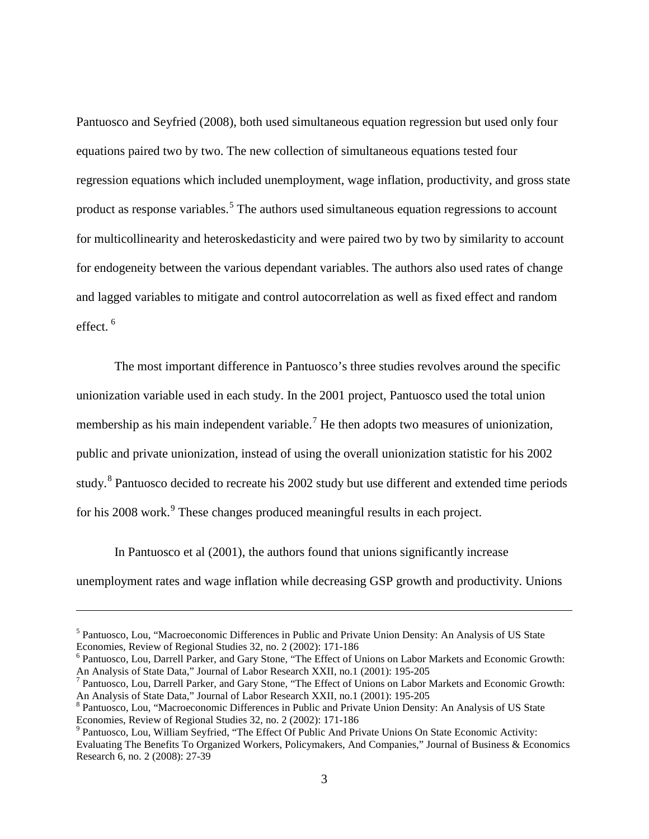Pantuosco and Seyfried (2008), both used simultaneous equation regression but used only four equations paired two by two. The new collection of simultaneous equations tested four regression equations which included unemployment, wage inflation, productivity, and gross state product as response variables.<sup>[5](#page-10-0)</sup> The authors used simultaneous equation regressions to account for multicollinearity and heteroskedasticity and were paired two by two by similarity to account for endogeneity between the various dependant variables. The authors also used rates of change and lagged variables to mitigate and control autocorrelation as well as fixed effect and random effect. [6](#page-10-1)

The most important difference in Pantuosco's three studies revolves around the specific unionization variable used in each study. In the 2001 project, Pantuosco used the total union membership as his main independent variable.<sup>[7](#page-10-2)</sup> He then adopts two measures of unionization, public and private unionization, instead of using the overall unionization statistic for his 2002 study.<sup>[8](#page-10-3)</sup> Pantuosco decided to recreate his 2002 study but use different and extended time periods for his 2008 work.<sup>[9](#page-10-4)</sup> These changes produced meaningful results in each project.

In Pantuosco et al (2001), the authors found that unions significantly increase unemployment rates and wage inflation while decreasing GSP growth and productivity. Unions

 $\overline{a}$ 

<span id="page-10-0"></span><sup>&</sup>lt;sup>5</sup> Pantuosco, Lou, "Macroeconomic Differences in Public and Private Union Density: An Analysis of US State Economies, Review of Regional Studies 32, no. 2 (2002): 171-186

<span id="page-10-1"></span> $6$  Pantuosco, Lou, Darrell Parker, and Gary Stone, "The Effect of Unions on Labor Markets and Economic Growth: An Analysis of State Data," Journal of Labor Research XXII, no. 1 (2001): 195-205

<span id="page-10-2"></span><sup>&</sup>lt;sup>7</sup> Pantuosco, Lou, Darrell Parker, and Gary Stone, "The Effect of Unions on Labor Markets and Economic Growth: An Analysis of State Data," Journal of Labor Research XXII, no.1 (2001): 195-205

<span id="page-10-3"></span><sup>&</sup>lt;sup>8</sup> Pantuosco, Lou, "Macroeconomic Differences in Public and Private Union Density: An Analysis of US State Economies, Review of Regional Studies 32, no. 2 (2002): 171-186<br><sup>9</sup> Pantuosco, Lou, William Seyfried, "The Effect Of Public And Private Unions On State Economic Activity:

<span id="page-10-4"></span>Evaluating The Benefits To Organized Workers, Policymakers, And Companies," Journal of Business & Economics Research 6, no. 2 (2008): 27-39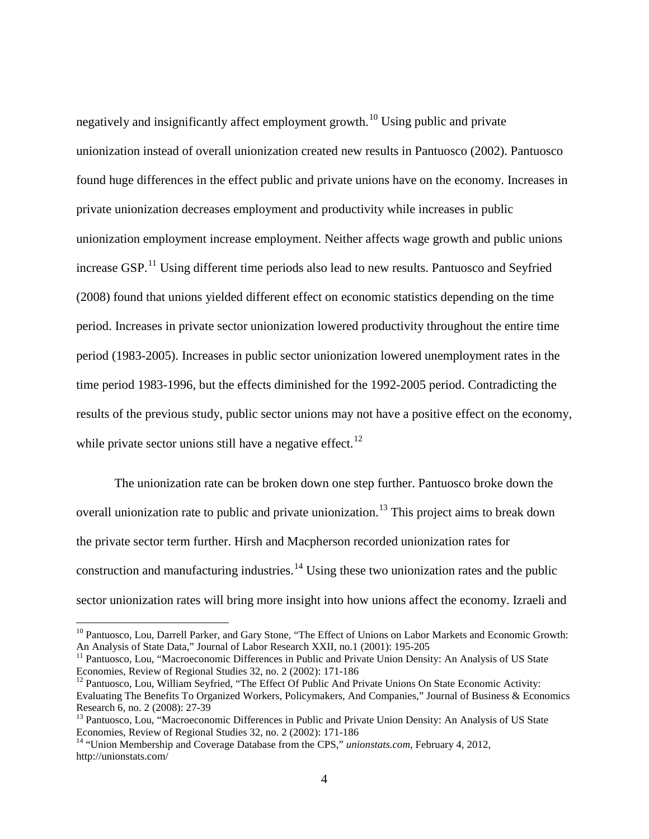negatively and insignificantly affect employment growth.<sup>[10](#page-11-0)</sup> Using public and private unionization instead of overall unionization created new results in Pantuosco (2002). Pantuosco found huge differences in the effect public and private unions have on the economy. Increases in private unionization decreases employment and productivity while increases in public unionization employment increase employment. Neither affects wage growth and public unions increase GSP.<sup>[11](#page-11-1)</sup> Using different time periods also lead to new results. Pantuosco and Seyfried (2008) found that unions yielded different effect on economic statistics depending on the time period. Increases in private sector unionization lowered productivity throughout the entire time period (1983-2005). Increases in public sector unionization lowered unemployment rates in the time period 1983-1996, but the effects diminished for the 1992-2005 period. Contradicting the results of the previous study, public sector unions may not have a positive effect on the economy, while private sector unions still have a negative effect.<sup>[12](#page-11-2)</sup>

The unionization rate can be broken down one step further. Pantuosco broke down the overall unionization rate to public and private unionization.<sup>[13](#page-11-3)</sup> This project aims to break down the private sector term further. Hirsh and Macpherson recorded unionization rates for construction and manufacturing industries.<sup>[14](#page-11-4)</sup> Using these two unionization rates and the public sector unionization rates will bring more insight into how unions affect the economy. Izraeli and

<span id="page-11-0"></span><sup>&</sup>lt;sup>10</sup> Pantuosco, Lou, Darrell Parker, and Gary Stone, "The Effect of Unions on Labor Markets and Economic Growth: An Analysis of State Data," Journal of Labor Research XXII, no.1 (2001): 195-205

<span id="page-11-1"></span><sup>&</sup>lt;sup>11</sup> Pantuosco, Lou, "Macroeconomic Differences in Public and Private Union Density: An Analysis of US State Economies, Review of Regional Studies 32, no. 2 (2002): 171-186

<span id="page-11-2"></span><sup>&</sup>lt;sup>12</sup> Pantuosco, Lou, William Seyfried, "The Effect Of Public And Private Unions On State Economic Activity: Evaluating The Benefits To Organized Workers, Policymakers, And Companies," Journal of Business & Economics

<span id="page-11-3"></span><sup>&</sup>lt;sup>13</sup> Pantuosco, Lou, "Macroeconomic Differences in Public and Private Union Density: An Analysis of US State Economies, Review of Regional Studies 32, no. 2 (2002): 171-186

<span id="page-11-4"></span><sup>&</sup>lt;sup>14</sup> "Union Membership and Coverage Database from the CPS," *unionstats.com*, February 4, 2012, http://unionstats.com/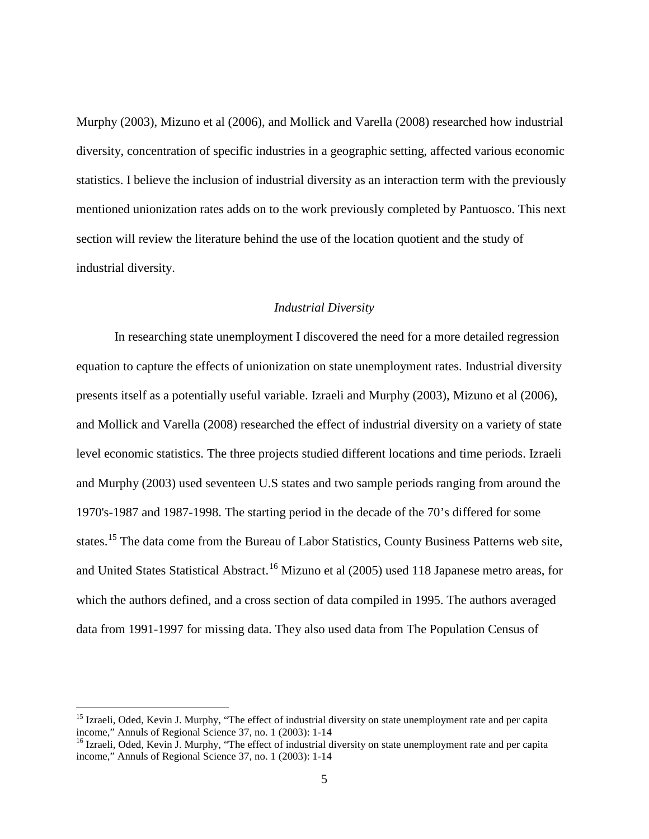Murphy (2003), Mizuno et al (2006), and Mollick and Varella (2008) researched how industrial diversity, concentration of specific industries in a geographic setting, affected various economic statistics. I believe the inclusion of industrial diversity as an interaction term with the previously mentioned unionization rates adds on to the work previously completed by Pantuosco. This next section will review the literature behind the use of the location quotient and the study of industrial diversity.

#### *Industrial Diversity*

<span id="page-12-0"></span>In researching state unemployment I discovered the need for a more detailed regression equation to capture the effects of unionization on state unemployment rates. Industrial diversity presents itself as a potentially useful variable. Izraeli and Murphy (2003), Mizuno et al (2006), and Mollick and Varella (2008) researched the effect of industrial diversity on a variety of state level economic statistics. The three projects studied different locations and time periods. Izraeli and Murphy (2003) used seventeen U.S states and two sample periods ranging from around the 1970's-1987 and 1987-1998. The starting period in the decade of the 70's differed for some states.<sup>[15](#page-12-1)</sup> The data come from the Bureau of Labor Statistics, County Business Patterns web site, and United States Statistical Abstract.<sup>[16](#page-12-2)</sup> Mizuno et al (2005) used 118 Japanese metro areas, for which the authors defined, and a cross section of data compiled in 1995. The authors averaged data from 1991-1997 for missing data. They also used data from The Population Census of

<span id="page-12-1"></span><sup>&</sup>lt;sup>15</sup> Izraeli, Oded, Kevin J. Murphy, "The effect of industrial diversity on state unemployment rate and per capita income," Annuls of Regional Science 37, no. 1 (2003): 1-14<br><sup>16</sup> Izraeli, Oded, Kevin J. Murphy, "The effect of industrial diversity on state unemployment rate and per capita

<span id="page-12-2"></span>income," Annuls of Regional Science 37, no. 1 (2003): 1-14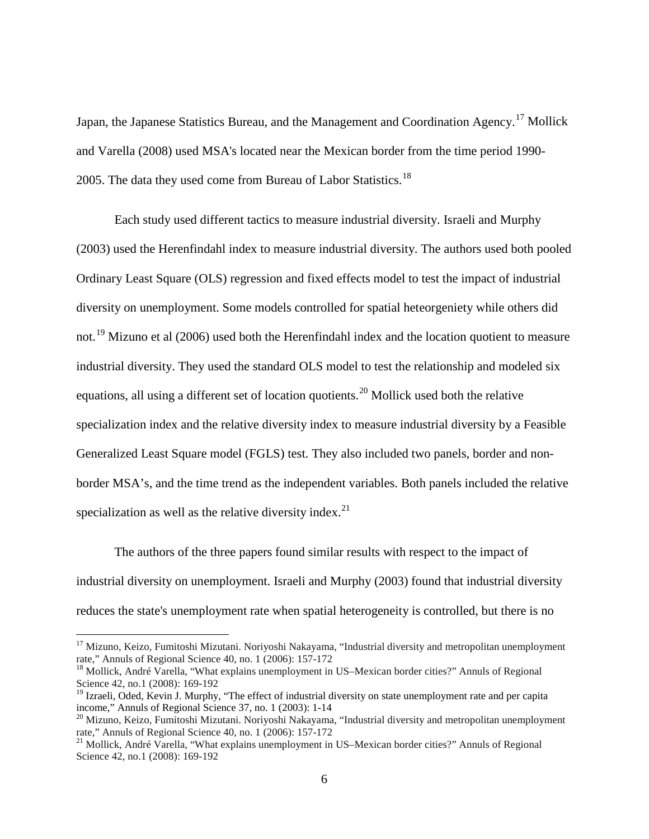Japan, the Japanese Statistics Bureau, and the Management and Coordination Agency.<sup>[17](#page-13-0)</sup> Mollick and Varella (2008) used MSA's located near the Mexican border from the time period 1990- 2005. The data they used come from Bureau of Labor Statistics.<sup>[18](#page-13-1)</sup>

Each study used different tactics to measure industrial diversity. Israeli and Murphy (2003) used the Herenfindahl index to measure industrial diversity. The authors used both pooled Ordinary Least Square (OLS) regression and fixed effects model to test the impact of industrial diversity on unemployment. Some models controlled for spatial heteorgeniety while others did not.<sup>[19](#page-13-2)</sup> Mizuno et al (2006) used both the Herenfindahl index and the location quotient to measure industrial diversity. They used the standard OLS model to test the relationship and modeled six equations, all using a different set of location quotients.<sup>[20](#page-13-3)</sup> Mollick used both the relative specialization index and the relative diversity index to measure industrial diversity by a Feasible Generalized Least Square model (FGLS) test. They also included two panels, border and nonborder MSA's, and the time trend as the independent variables. Both panels included the relative specialization as well as the relative diversity index.<sup>[21](#page-13-4)</sup>

The authors of the three papers found similar results with respect to the impact of industrial diversity on unemployment. Israeli and Murphy (2003) found that industrial diversity reduces the state's unemployment rate when spatial heterogeneity is controlled, but there is no

<span id="page-13-0"></span><sup>&</sup>lt;sup>17</sup> Mizuno, Keizo, Fumitoshi Mizutani. Noriyoshi Nakayama, "Industrial diversity and metropolitan unemployment rate," Annuls of Regional Science 40, no. 1 (2006): 157-172

<span id="page-13-1"></span> $18$  Mollick, André Varella, "What explains unemployment in US–Mexican border cities?" Annuls of Regional Science 42, no.1 (2008): 169-192

<span id="page-13-2"></span><sup>&</sup>lt;sup>19</sup> Izraeli, Oded, Kevin J. Murphy, "The effect of industrial diversity on state unemployment rate and per capita income," Annuls of Regional Science 37, no. 1 (2003):  $1-14$ 

<span id="page-13-3"></span><sup>&</sup>lt;sup>20</sup> Mizuno, Keizo, Fumitoshi Mizutani. Noriyoshi Nakayama, "Industrial diversity and metropolitan unemployment rate," Annuls of Regional Science 40, no. 1 (2006): 157-172<br><sup>21</sup> Mollick, André Varella, "What explains unemployment in US–Mexican border cities?" Annuls of Regional

<span id="page-13-4"></span>Science 42, no.1 (2008): 169-192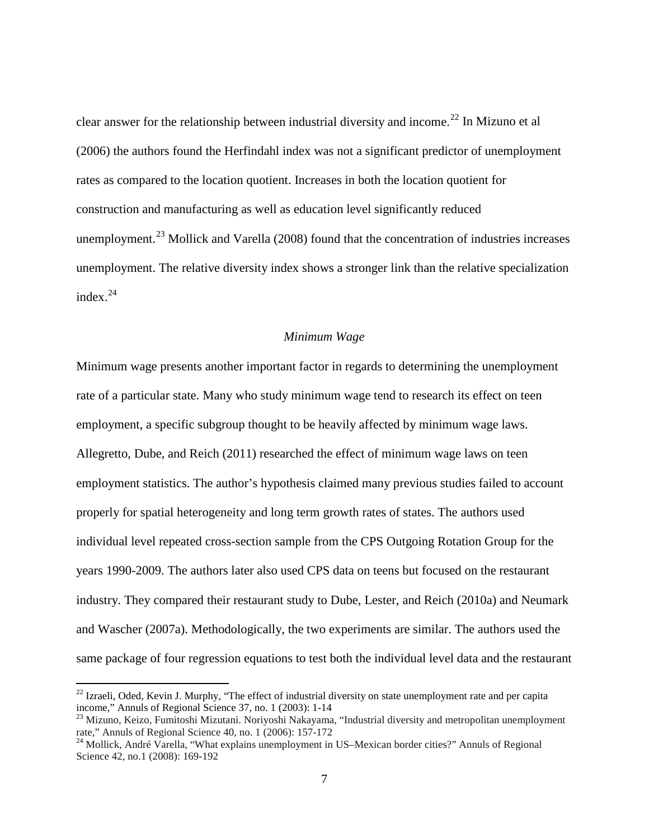clear answer for the relationship between industrial diversity and income.<sup>[22](#page-14-1)</sup> In Mizuno et al (2006) the authors found the Herfindahl index was not a significant predictor of unemployment rates as compared to the location quotient. Increases in both the location quotient for construction and manufacturing as well as education level significantly reduced unemployment.<sup>[23](#page-14-2)</sup> Mollick and Varella (2008) found that the concentration of industries increases unemployment. The relative diversity index shows a stronger link than the relative specialization index $^{24}$  $^{24}$  $^{24}$ 

#### *Minimum Wage*

<span id="page-14-0"></span>Minimum wage presents another important factor in regards to determining the unemployment rate of a particular state. Many who study minimum wage tend to research its effect on teen employment, a specific subgroup thought to be heavily affected by minimum wage laws. Allegretto, Dube, and Reich (2011) researched the effect of minimum wage laws on teen employment statistics. The author's hypothesis claimed many previous studies failed to account properly for spatial heterogeneity and long term growth rates of states. The authors used individual level repeated cross-section sample from the CPS Outgoing Rotation Group for the years 1990-2009. The authors later also used CPS data on teens but focused on the restaurant industry. They compared their restaurant study to Dube, Lester, and Reich (2010a) and Neumark and Wascher (2007a). Methodologically, the two experiments are similar. The authors used the same package of four regression equations to test both the individual level data and the restaurant

<span id="page-14-1"></span><sup>&</sup>lt;sup>22</sup> Izraeli, Oded, Kevin J. Murphy, "The effect of industrial diversity on state unemployment rate and per capita income," Annuls of Regional Science 37, no. 1 (2003):  $1-14$ 

<span id="page-14-2"></span><sup>&</sup>lt;sup>23</sup> Mizuno, Keizo, Fumitoshi Mizutani. Noriyoshi Nakayama, "Industrial diversity and metropolitan unemployment rate," Annuls of Regional Science 40, no. 1 (2006): 157-172<br><sup>24</sup> Mollick, André Varella, "What explains unemployment in US–Mexican border cities?" Annuls of Regional

<span id="page-14-3"></span>Science 42, no.1 (2008): 169-192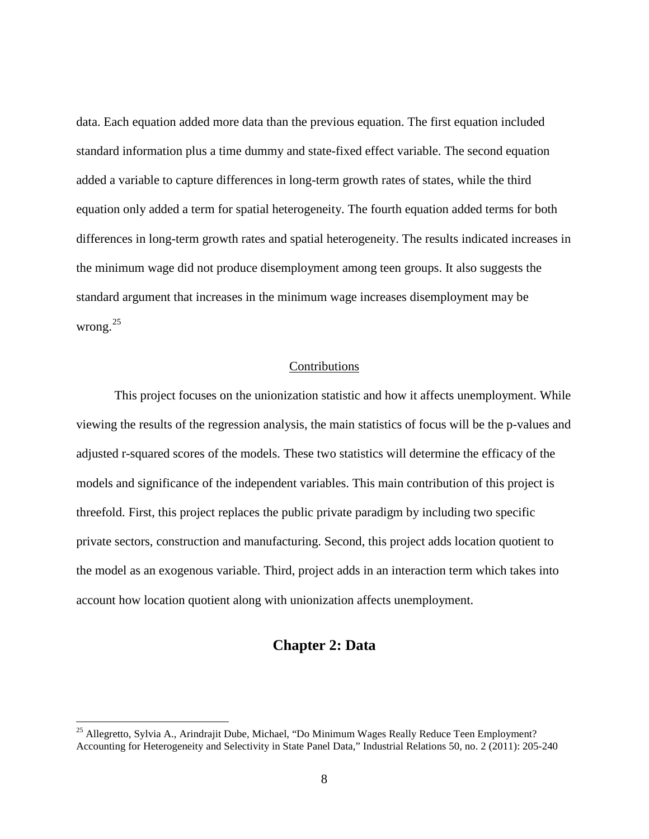data. Each equation added more data than the previous equation. The first equation included standard information plus a time dummy and state-fixed effect variable. The second equation added a variable to capture differences in long-term growth rates of states, while the third equation only added a term for spatial heterogeneity. The fourth equation added terms for both differences in long-term growth rates and spatial heterogeneity. The results indicated increases in the minimum wage did not produce disemployment among teen groups. It also suggests the standard argument that increases in the minimum wage increases disemployment may be wrong.<sup>[25](#page-15-2)</sup>

#### Contributions

<span id="page-15-0"></span>This project focuses on the unionization statistic and how it affects unemployment. While viewing the results of the regression analysis, the main statistics of focus will be the p-values and adjusted r-squared scores of the models. These two statistics will determine the efficacy of the models and significance of the independent variables. This main contribution of this project is threefold. First, this project replaces the public private paradigm by including two specific private sectors, construction and manufacturing. Second, this project adds location quotient to the model as an exogenous variable. Third, project adds in an interaction term which takes into account how location quotient along with unionization affects unemployment.

#### **Chapter 2: Data**

<span id="page-15-2"></span><span id="page-15-1"></span><sup>&</sup>lt;sup>25</sup> Allegretto, Sylvia A., Arindrajit Dube, Michael, "Do Minimum Wages Really Reduce Teen Employment? Accounting for Heterogeneity and Selectivity in State Panel Data," Industrial Relations 50, no. 2 (2011): 205-240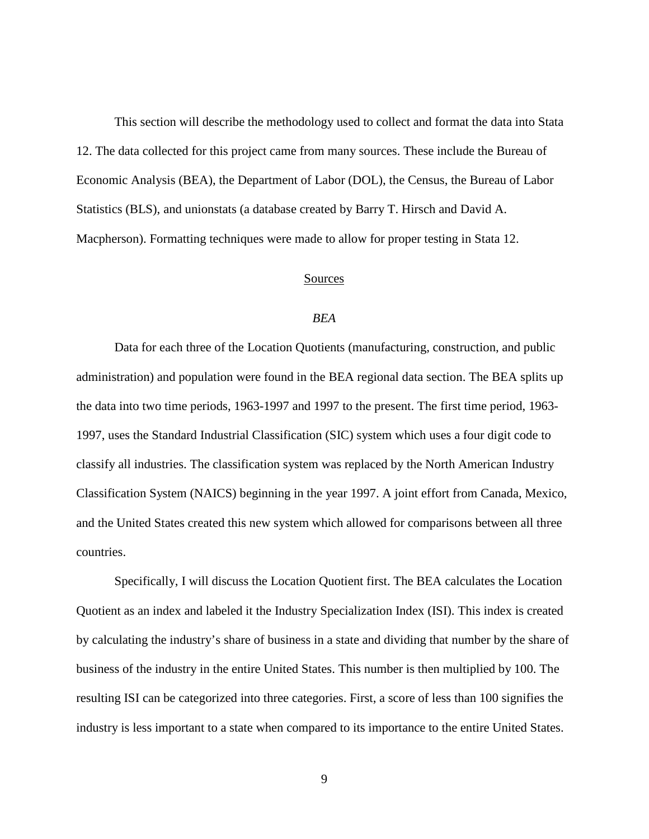This section will describe the methodology used to collect and format the data into Stata 12. The data collected for this project came from many sources. These include the Bureau of Economic Analysis (BEA), the Department of Labor (DOL), the Census, the Bureau of Labor Statistics (BLS), and unionstats (a database created by Barry T. Hirsch and David A. Macpherson). Formatting techniques were made to allow for proper testing in Stata 12.

#### Sources

#### *BEA*

<span id="page-16-1"></span><span id="page-16-0"></span>Data for each three of the Location Quotients (manufacturing, construction, and public administration) and population were found in the BEA regional data section. The BEA splits up the data into two time periods, 1963-1997 and 1997 to the present. The first time period, 1963- 1997, uses the Standard Industrial Classification (SIC) system which uses a four digit code to classify all industries. The classification system was replaced by the North American Industry Classification System (NAICS) beginning in the year 1997. A joint effort from Canada, Mexico, and the United States created this new system which allowed for comparisons between all three countries.

Specifically, I will discuss the Location Quotient first. The BEA calculates the Location Quotient as an index and labeled it the Industry Specialization Index (ISI). This index is created by calculating the industry's share of business in a state and dividing that number by the share of business of the industry in the entire United States. This number is then multiplied by 100. The resulting ISI can be categorized into three categories. First, a score of less than 100 signifies the industry is less important to a state when compared to its importance to the entire United States.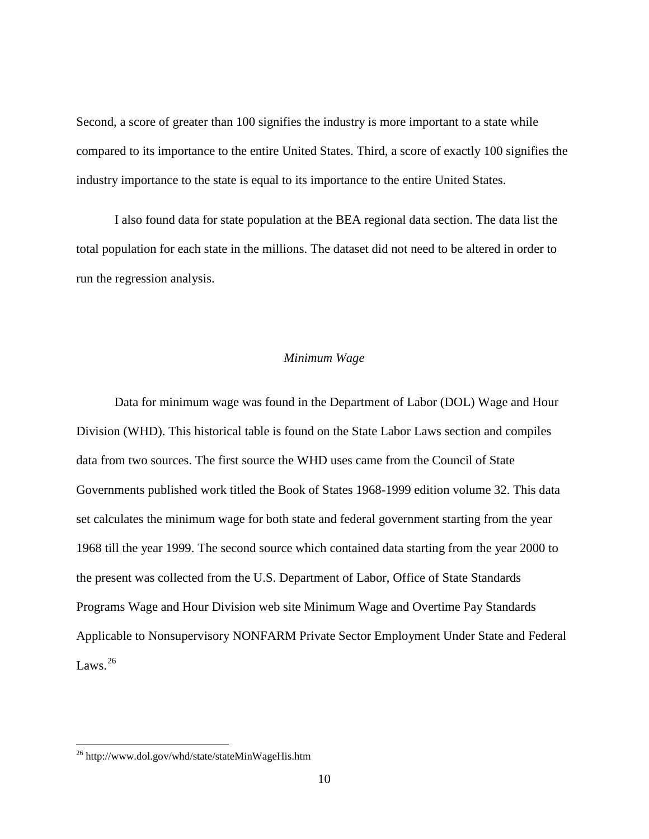Second, a score of greater than 100 signifies the industry is more important to a state while compared to its importance to the entire United States. Third, a score of exactly 100 signifies the industry importance to the state is equal to its importance to the entire United States.

I also found data for state population at the BEA regional data section. The data list the total population for each state in the millions. The dataset did not need to be altered in order to run the regression analysis.

#### *Minimum Wage*

<span id="page-17-0"></span>Data for minimum wage was found in the Department of Labor (DOL) Wage and Hour Division (WHD). This historical table is found on the State Labor Laws section and compiles data from two sources. The first source the WHD uses came from the Council of State Governments published work titled the Book of States 1968-1999 edition volume 32. This data set calculates the minimum wage for both state and federal government starting from the year 1968 till the year 1999. The second source which contained data starting from the year 2000 to the present was collected from the U.S. Department of Labor, Office of State Standards Programs Wage and Hour Division web site Minimum Wage and Overtime Pay Standards Applicable to Nonsupervisory NONFARM Private Sector Employment Under State and Federal Laws.<sup>[26](#page-17-1)</sup>

<span id="page-17-1"></span><sup>&</sup>lt;sup>26</sup> http://www.dol.gov/whd/state/stateMinWageHis.htm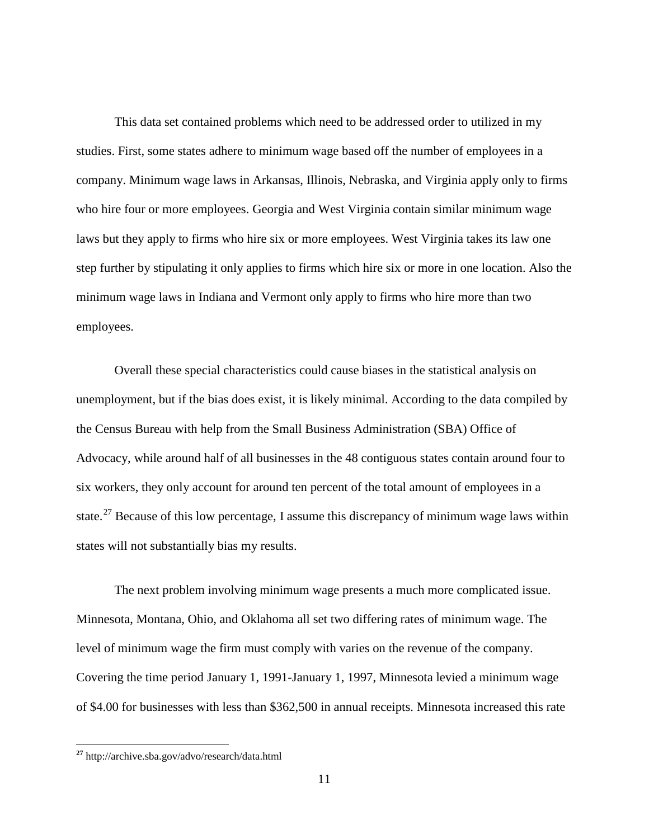This data set contained problems which need to be addressed order to utilized in my studies. First, some states adhere to minimum wage based off the number of employees in a company. Minimum wage laws in Arkansas, Illinois, Nebraska, and Virginia apply only to firms who hire four or more employees. Georgia and West Virginia contain similar minimum wage laws but they apply to firms who hire six or more employees. West Virginia takes its law one step further by stipulating it only applies to firms which hire six or more in one location. Also the minimum wage laws in Indiana and Vermont only apply to firms who hire more than two employees.

Overall these special characteristics could cause biases in the statistical analysis on unemployment, but if the bias does exist, it is likely minimal. According to the data compiled by the Census Bureau with help from the Small Business Administration (SBA) Office of Advocacy, while around half of all businesses in the 48 contiguous states contain around four to six workers, they only account for around ten percent of the total amount of employees in a state.<sup>[27](#page-18-0)</sup> Because of this low percentage, I assume this discrepancy of minimum wage laws within states will not substantially bias my results.

The next problem involving minimum wage presents a much more complicated issue. Minnesota, Montana, Ohio, and Oklahoma all set two differing rates of minimum wage. The level of minimum wage the firm must comply with varies on the revenue of the company. Covering the time period January 1, 1991-January 1, 1997, Minnesota levied a minimum wage of \$4.00 for businesses with less than \$362,500 in annual receipts. Minnesota increased this rate

<span id="page-18-0"></span>**<sup>27</sup>** http://archive.sba.gov/advo/research/data.html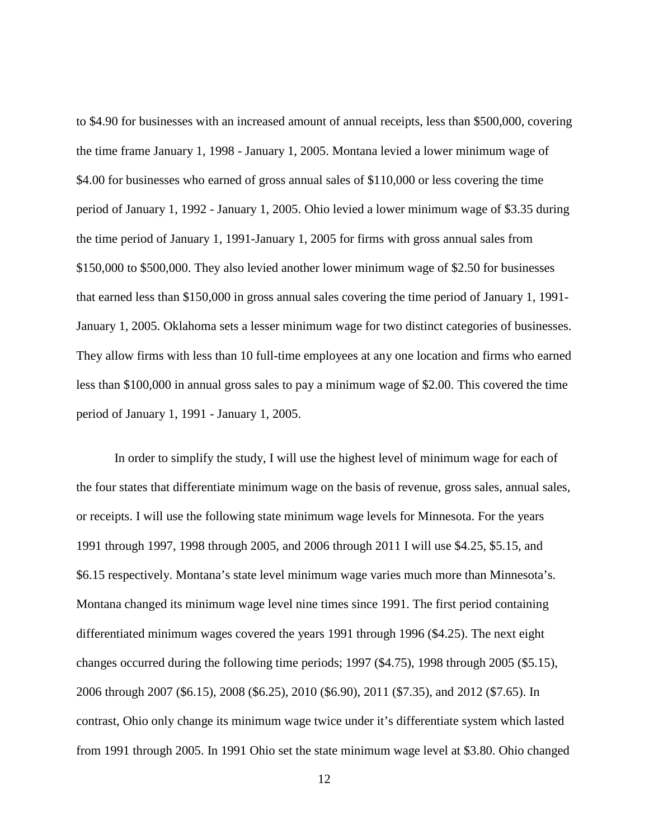to \$4.90 for businesses with an increased amount of annual receipts, less than \$500,000, covering the time frame January 1, 1998 - January 1, 2005. Montana levied a lower minimum wage of \$4.00 for businesses who earned of gross annual sales of \$110,000 or less covering the time period of January 1, 1992 - January 1, 2005. Ohio levied a lower minimum wage of \$3.35 during the time period of January 1, 1991-January 1, 2005 for firms with gross annual sales from \$150,000 to \$500,000. They also levied another lower minimum wage of \$2.50 for businesses that earned less than \$150,000 in gross annual sales covering the time period of January 1, 1991- January 1, 2005. Oklahoma sets a lesser minimum wage for two distinct categories of businesses. They allow firms with less than 10 full-time employees at any one location and firms who earned less than \$100,000 in annual gross sales to pay a minimum wage of \$2.00. This covered the time period of January 1, 1991 - January 1, 2005.

In order to simplify the study, I will use the highest level of minimum wage for each of the four states that differentiate minimum wage on the basis of revenue, gross sales, annual sales, or receipts. I will use the following state minimum wage levels for Minnesota. For the years 1991 through 1997, 1998 through 2005, and 2006 through 2011 I will use \$4.25, \$5.15, and \$6.15 respectively. Montana's state level minimum wage varies much more than Minnesota's. Montana changed its minimum wage level nine times since 1991. The first period containing differentiated minimum wages covered the years 1991 through 1996 (\$4.25). The next eight changes occurred during the following time periods; 1997 (\$4.75), 1998 through 2005 (\$5.15), 2006 through 2007 (\$6.15), 2008 (\$6.25), 2010 (\$6.90), 2011 (\$7.35), and 2012 (\$7.65). In contrast, Ohio only change its minimum wage twice under it's differentiate system which lasted from 1991 through 2005. In 1991 Ohio set the state minimum wage level at \$3.80. Ohio changed

12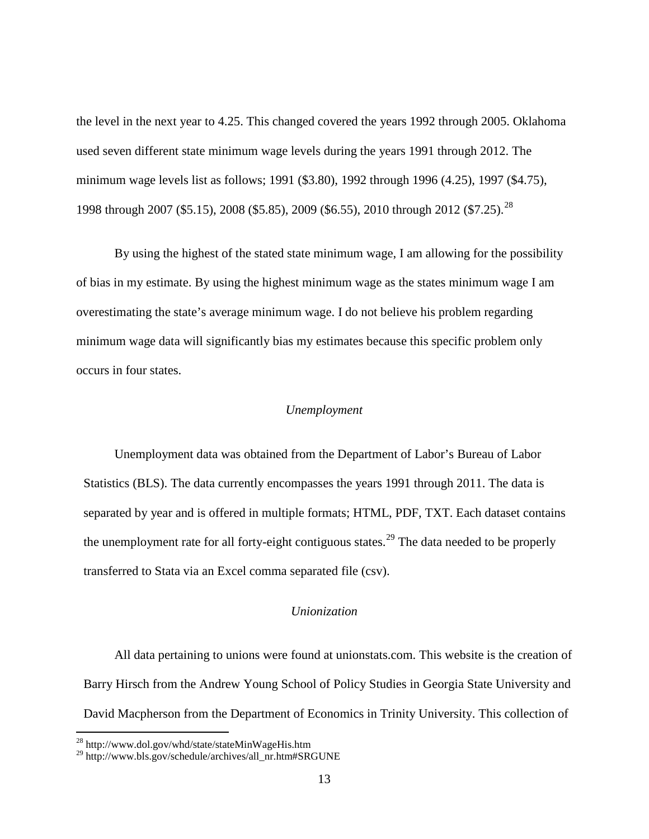the level in the next year to 4.25. This changed covered the years 1992 through 2005. Oklahoma used seven different state minimum wage levels during the years 1991 through 2012. The minimum wage levels list as follows; 1991 (\$3.80), 1992 through 1996 (4.25), 1997 (\$4.75), 1998 through 2007 (\$5.15), 2008 (\$5.85), 2009 (\$6.55), 2010 through 2012 (\$7.25).<sup>[28](#page-20-2)</sup>

By using the highest of the stated state minimum wage, I am allowing for the possibility of bias in my estimate. By using the highest minimum wage as the states minimum wage I am overestimating the state's average minimum wage. I do not believe his problem regarding minimum wage data will significantly bias my estimates because this specific problem only occurs in four states.

#### *Unemployment*

<span id="page-20-0"></span>Unemployment data was obtained from the Department of Labor's Bureau of Labor Statistics (BLS). The data currently encompasses the years 1991 through 2011. The data is separated by year and is offered in multiple formats; HTML, PDF, TXT. Each dataset contains the unemployment rate for all forty-eight contiguous states.<sup>[29](#page-20-3)</sup> The data needed to be properly transferred to Stata via an Excel comma separated file (csv).

#### *Unionization*

<span id="page-20-1"></span>All data pertaining to unions were found at unionstats.com. This website is the creation of Barry Hirsch from the Andrew Young School of Policy Studies in Georgia State University and David Macpherson from the Department of Economics in Trinity University. This collection of

<span id="page-20-2"></span><sup>&</sup>lt;sup>28</sup> http://www.dol.gov/whd/state/stateMinWageHis.htm

<span id="page-20-3"></span><sup>&</sup>lt;sup>29</sup> http://www.bls.gov/schedule/archives/all\_nr.htm#SRGUNE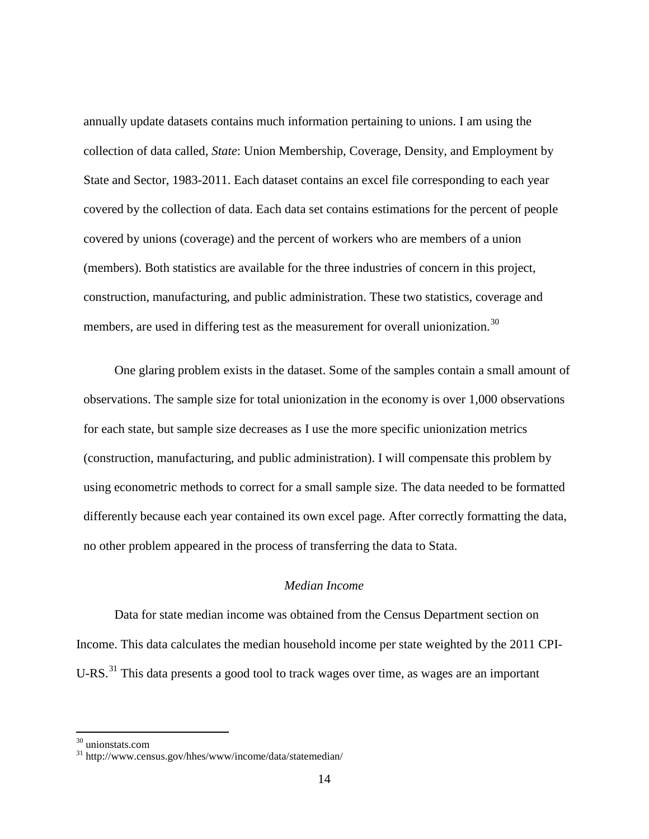annually update datasets contains much information pertaining to unions. I am using the collection of data called, *State*: Union Membership, Coverage, Density, and Employment by State and Sector, 1983-2011. Each dataset contains an excel file corresponding to each year covered by the collection of data. Each data set contains estimations for the percent of people covered by unions (coverage) and the percent of workers who are members of a union (members). Both statistics are available for the three industries of concern in this project, construction, manufacturing, and public administration. These two statistics, coverage and members, are used in differing test as the measurement for overall unionization.<sup>[30](#page-21-1)</sup>

One glaring problem exists in the dataset. Some of the samples contain a small amount of observations. The sample size for total unionization in the economy is over 1,000 observations for each state, but sample size decreases as I use the more specific unionization metrics (construction, manufacturing, and public administration). I will compensate this problem by using econometric methods to correct for a small sample size. The data needed to be formatted differently because each year contained its own excel page. After correctly formatting the data, no other problem appeared in the process of transferring the data to Stata.

#### *Median Income*

<span id="page-21-0"></span>Data for state median income was obtained from the Census Department section on Income. This data calculates the median household income per state weighted by the 2011 CPI-U-RS.<sup>[31](#page-21-2)</sup> This data presents a good tool to track wages over time, as wages are an important

<span id="page-21-2"></span><span id="page-21-1"></span> $30 \text{ unions}$ <br>31 http://www.census.gov/hhes/www/income/data/statemedian/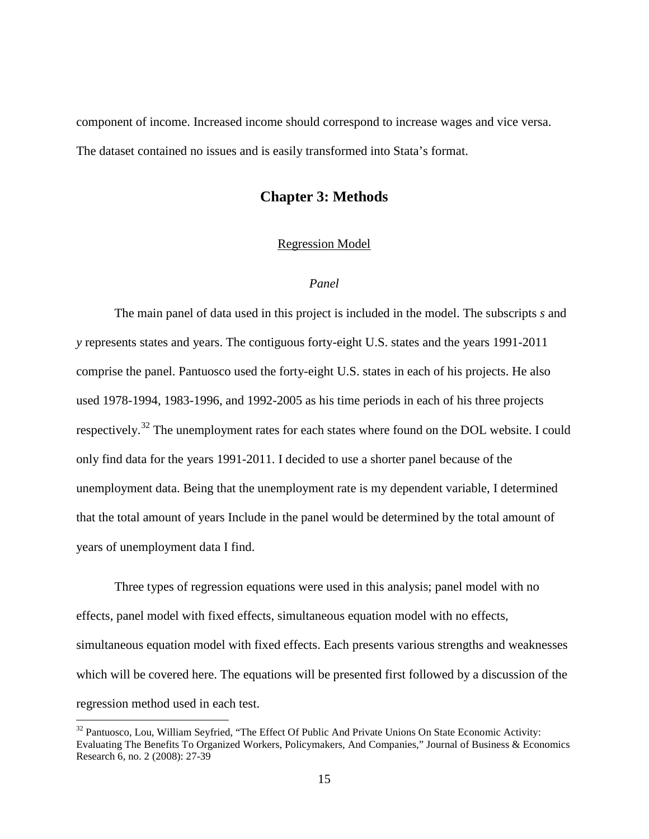<span id="page-22-0"></span>component of income. Increased income should correspond to increase wages and vice versa. The dataset contained no issues and is easily transformed into Stata's format.

#### **Chapter 3: Methods**

#### Regression Model

#### *Panel*

<span id="page-22-2"></span><span id="page-22-1"></span>The main panel of data used in this project is included in the model. The subscripts *s* and *y* represents states and years. The contiguous forty-eight U.S. states and the years 1991-2011 comprise the panel. Pantuosco used the forty-eight U.S. states in each of his projects. He also used 1978-1994, 1983-1996, and 1992-2005 as his time periods in each of his three projects respectively.<sup>[32](#page-22-3)</sup> The unemployment rates for each states where found on the DOL website. I could only find data for the years 1991-2011. I decided to use a shorter panel because of the unemployment data. Being that the unemployment rate is my dependent variable, I determined that the total amount of years Include in the panel would be determined by the total amount of years of unemployment data I find.

Three types of regression equations were used in this analysis; panel model with no effects, panel model with fixed effects, simultaneous equation model with no effects, simultaneous equation model with fixed effects. Each presents various strengths and weaknesses which will be covered here. The equations will be presented first followed by a discussion of the regression method used in each test.

<span id="page-22-3"></span><sup>&</sup>lt;sup>32</sup> Pantuosco, Lou, William Seyfried, "The Effect Of Public And Private Unions On State Economic Activity: Evaluating The Benefits To Organized Workers, Policymakers, And Companies," Journal of Business & Economics Research 6, no. 2 (2008): 27-39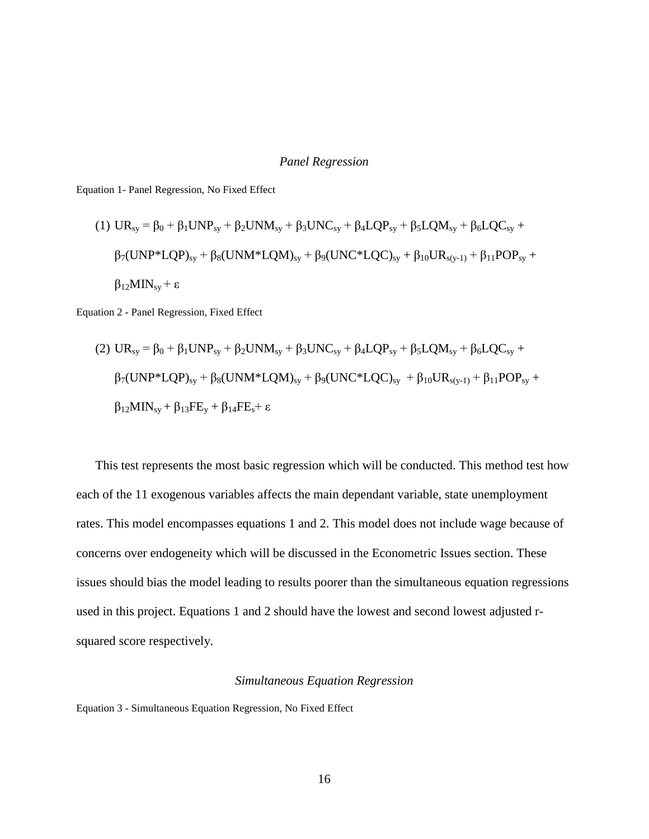#### *Panel Regression*

<span id="page-23-0"></span>Equation 1- Panel Regression, No Fixed Effect

(1) 
$$
UR_{sy} = \beta_0 + \beta_1 UNP_{sy} + \beta_2 UNM_{sy} + \beta_3 UNC_{sy} + \beta_4 LQP_{sy} + \beta_5 LQM_{sy} + \beta_6 LQC_{sy} + \beta_7 (UNP * LQP)_{sy} + \beta_8 (UNM * LQM)_{sy} + \beta_9 (UNC * LQC)_{sy} + \beta_{10} UR_{s(y-1)} + \beta_{11} POP_{sy} + \beta_{12} MIN_{sy} + \epsilon
$$

Equation 2 - Panel Regression, Fixed Effect

(2) 
$$
UR_{sy} = \beta_0 + \beta_1 UNP_{sy} + \beta_2 UNM_{sy} + \beta_3 UNC_{sy} + \beta_4 LQP_{sy} + \beta_5 LQM_{sy} + \beta_6 LQC_{sy} + \beta_7 (UNP * LQP)_{sy} + \beta_8 (UNM * LQM)_{sy} + \beta_9 (UNC * LQC)_{sy} + \beta_{10} UR_{s(y-1)} + \beta_{11} POP_{sy} + \beta_{12} MIN_{sy} + \beta_{13} FE_y + \beta_{14} FE_s + \epsilon
$$

This test represents the most basic regression which will be conducted. This method test how each of the 11 exogenous variables affects the main dependant variable, state unemployment rates. This model encompasses equations 1 and 2. This model does not include wage because of concerns over endogeneity which will be discussed in the Econometric Issues section. These issues should bias the model leading to results poorer than the simultaneous equation regressions used in this project. Equations 1 and 2 should have the lowest and second lowest adjusted rsquared score respectively.

#### *Simultaneous Equation Regression*

<span id="page-23-1"></span>Equation 3 - Simultaneous Equation Regression, No Fixed Effect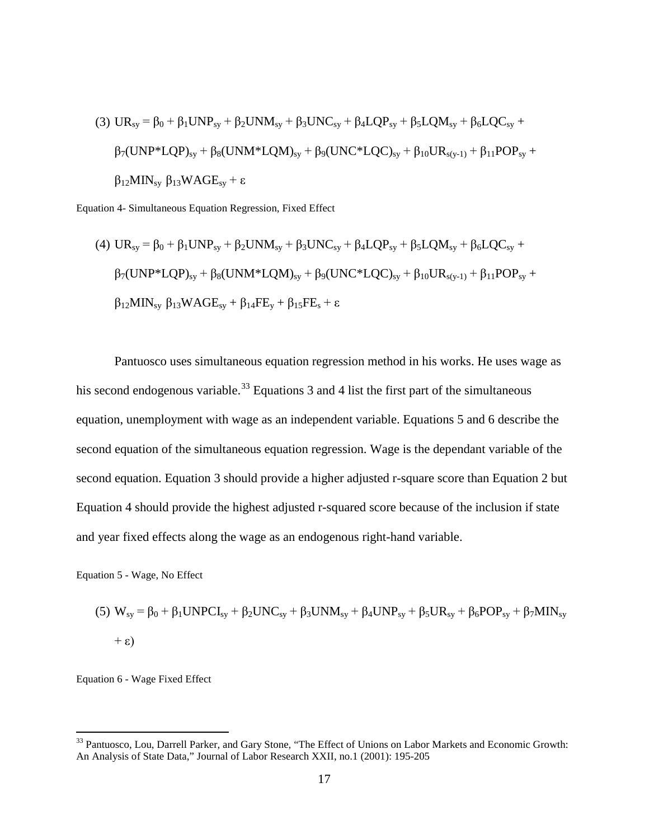(3) 
$$
UR_{sy} = \beta_0 + \beta_1 UNP_{sy} + \beta_2 UNM_{sy} + \beta_3 UNC_{sy} + \beta_4 LQP_{sy} + \beta_5 LQM_{sy} + \beta_6 LQC_{sy} + \beta_7 (UNP * LQP)_{sy} + \beta_8 (UNM * LQM)_{sy} + \beta_9 (UNC * LQC)_{sy} + \beta_{10} UR_{s(y-1)} + \beta_{11} POP_{sy} + \beta_{12} MIN_{sy} \beta_{13} WAGE_{sy} + \epsilon
$$

Equation 4- Simultaneous Equation Regression, Fixed Effect

(4) 
$$
UR_{sy} = \beta_0 + \beta_1 UNP_{sy} + \beta_2 UNM_{sy} + \beta_3 UNC_{sy} + \beta_4 LQP_{sy} + \beta_5 LQM_{sy} + \beta_6 LQC_{sy} +
$$
  
\n $\beta_7 (UNP^*LQP)_{sy} + \beta_8 (UNM^*LQM)_{sy} + \beta_9 (UNC^*LQC)_{sy} + \beta_{10} UR_{s(y-1)} + \beta_{11} POP_{sy} +$   
\n $\beta_{12} MIN_{sy} \beta_{13} WAGE_{sy} + \beta_{14} FE_y + \beta_{15} FE_s + \epsilon$ 

Pantuosco uses simultaneous equation regression method in his works. He uses wage as his second endogenous variable.<sup>[33](#page-24-0)</sup> Equations 3 and 4 list the first part of the simultaneous equation, unemployment with wage as an independent variable. Equations 5 and 6 describe the second equation of the simultaneous equation regression. Wage is the dependant variable of the second equation. Equation 3 should provide a higher adjusted r-square score than Equation 2 but Equation 4 should provide the highest adjusted r-squared score because of the inclusion if state and year fixed effects along the wage as an endogenous right-hand variable.

Equation 5 - Wage, No Effect

(5) 
$$
W_{sy} = \beta_0 + \beta_1 UNPCI_{sy} + \beta_2 UNC_{sy} + \beta_3 UNM_{sy} + \beta_4 UNP_{sy} + \beta_5 UR_{sy} + \beta_6 POP_{sy} + \beta_7 MIN_{sy} + \varepsilon)
$$

Equation 6 - Wage Fixed Effect

<span id="page-24-0"></span><sup>&</sup>lt;sup>33</sup> Pantuosco, Lou, Darrell Parker, and Gary Stone, "The Effect of Unions on Labor Markets and Economic Growth: An Analysis of State Data," Journal of Labor Research XXII, no.1 (2001): 195-205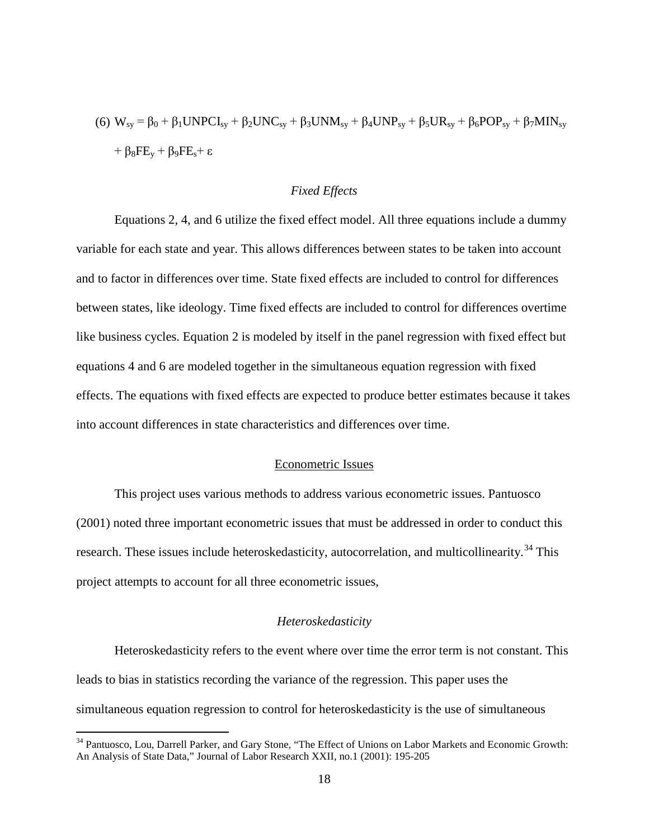(6) 
$$
W_{sy} = \beta_0 + \beta_1 UNPCI_{sy} + \beta_2 UNC_{sy} + \beta_3 UNM_{sy} + \beta_4 UNP_{sy} + \beta_5 UR_{sy} + \beta_6 POP_{sy} + \beta_7 MIN_{sy}
$$
  
+  $\beta_8 FE_y + \beta_9 FE_s + \varepsilon$ 

#### *Fixed Effects*

<span id="page-25-0"></span>Equations 2, 4, and 6 utilize the fixed effect model. All three equations include a dummy variable for each state and year. This allows differences between states to be taken into account and to factor in differences over time. State fixed effects are included to control for differences between states, like ideology. Time fixed effects are included to control for differences overtime like business cycles. Equation 2 is modeled by itself in the panel regression with fixed effect but equations 4 and 6 are modeled together in the simultaneous equation regression with fixed effects. The equations with fixed effects are expected to produce better estimates because it takes into account differences in state characteristics and differences over time.

#### Econometric Issues

<span id="page-25-1"></span>This project uses various methods to address various econometric issues. Pantuosco (2001) noted three important econometric issues that must be addressed in order to conduct this research. These issues include heteroskedasticity, autocorrelation, and multicollinearity.<sup>[34](#page-25-3)</sup> This project attempts to account for all three econometric issues,

#### *Heteroskedasticity*

<span id="page-25-2"></span>Heteroskedasticity refers to the event where over time the error term is not constant. This leads to bias in statistics recording the variance of the regression. This paper uses the simultaneous equation regression to control for heteroskedasticity is the use of simultaneous

<span id="page-25-3"></span><sup>&</sup>lt;sup>34</sup> Pantuosco, Lou, Darrell Parker, and Gary Stone, "The Effect of Unions on Labor Markets and Economic Growth: An Analysis of State Data," Journal of Labor Research XXII, no.1 (2001): 195-205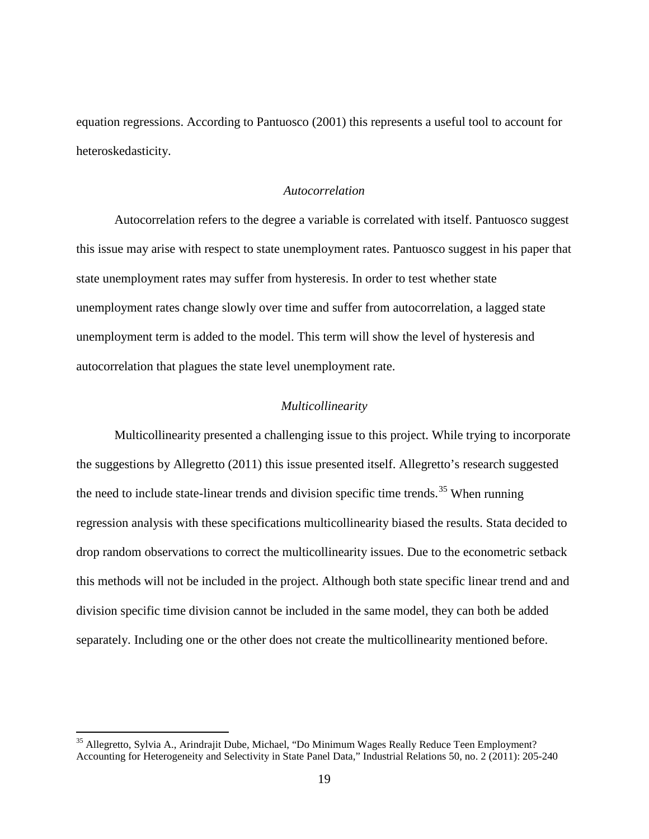equation regressions. According to Pantuosco (2001) this represents a useful tool to account for heteroskedasticity.

#### *Autocorrelation*

<span id="page-26-0"></span>Autocorrelation refers to the degree a variable is correlated with itself. Pantuosco suggest this issue may arise with respect to state unemployment rates. Pantuosco suggest in his paper that state unemployment rates may suffer from hysteresis. In order to test whether state unemployment rates change slowly over time and suffer from autocorrelation, a lagged state unemployment term is added to the model. This term will show the level of hysteresis and autocorrelation that plagues the state level unemployment rate.

#### *Multicollinearity*

<span id="page-26-1"></span>Multicollinearity presented a challenging issue to this project. While trying to incorporate the suggestions by Allegretto (2011) this issue presented itself. Allegretto's research suggested the need to include state-linear trends and division specific time trends.<sup>[35](#page-26-2)</sup> When running regression analysis with these specifications multicollinearity biased the results. Stata decided to drop random observations to correct the multicollinearity issues. Due to the econometric setback this methods will not be included in the project. Although both state specific linear trend and and division specific time division cannot be included in the same model, they can both be added separately. Including one or the other does not create the multicollinearity mentioned before.

<span id="page-26-2"></span> <sup>35</sup> Allegretto, Sylvia A., Arindrajit Dube, Michael, "Do Minimum Wages Really Reduce Teen Employment? Accounting for Heterogeneity and Selectivity in State Panel Data," Industrial Relations 50, no. 2 (2011): 205-240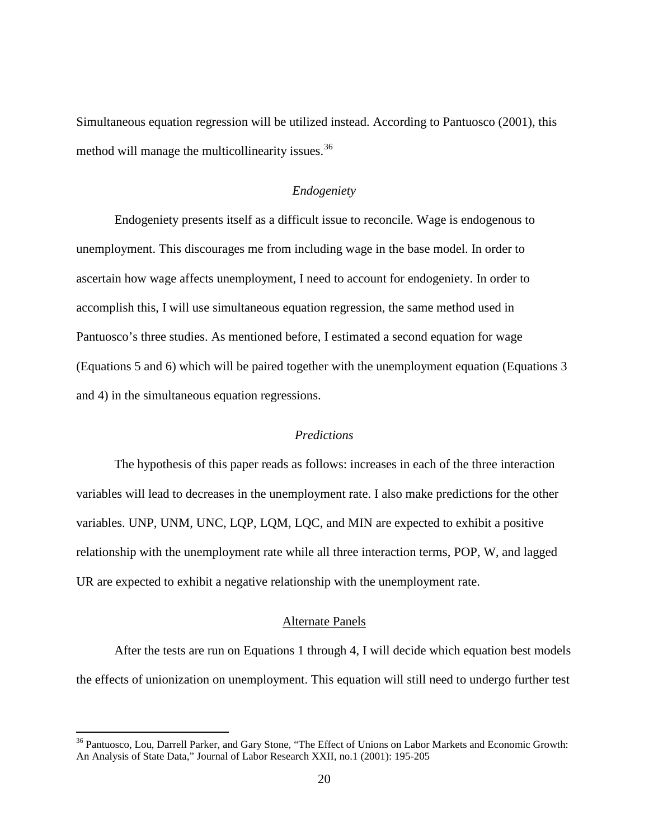Simultaneous equation regression will be utilized instead. According to Pantuosco (2001), this method will manage the multicollinearity issues.<sup>[36](#page-27-3)</sup>

#### *Endogeniety*

<span id="page-27-0"></span>Endogeniety presents itself as a difficult issue to reconcile. Wage is endogenous to unemployment. This discourages me from including wage in the base model. In order to ascertain how wage affects unemployment, I need to account for endogeniety. In order to accomplish this, I will use simultaneous equation regression, the same method used in Pantuosco's three studies. As mentioned before, I estimated a second equation for wage (Equations 5 and 6) which will be paired together with the unemployment equation (Equations 3 and 4) in the simultaneous equation regressions.

#### *Predictions*

<span id="page-27-1"></span>The hypothesis of this paper reads as follows: increases in each of the three interaction variables will lead to decreases in the unemployment rate. I also make predictions for the other variables. UNP, UNM, UNC, LQP, LQM, LQC, and MIN are expected to exhibit a positive relationship with the unemployment rate while all three interaction terms, POP, W, and lagged UR are expected to exhibit a negative relationship with the unemployment rate.

#### Alternate Panels

<span id="page-27-2"></span>After the tests are run on Equations 1 through 4, I will decide which equation best models the effects of unionization on unemployment. This equation will still need to undergo further test

<span id="page-27-3"></span><sup>&</sup>lt;sup>36</sup> Pantuosco, Lou, Darrell Parker, and Gary Stone, "The Effect of Unions on Labor Markets and Economic Growth: An Analysis of State Data," Journal of Labor Research XXII, no.1 (2001): 195-205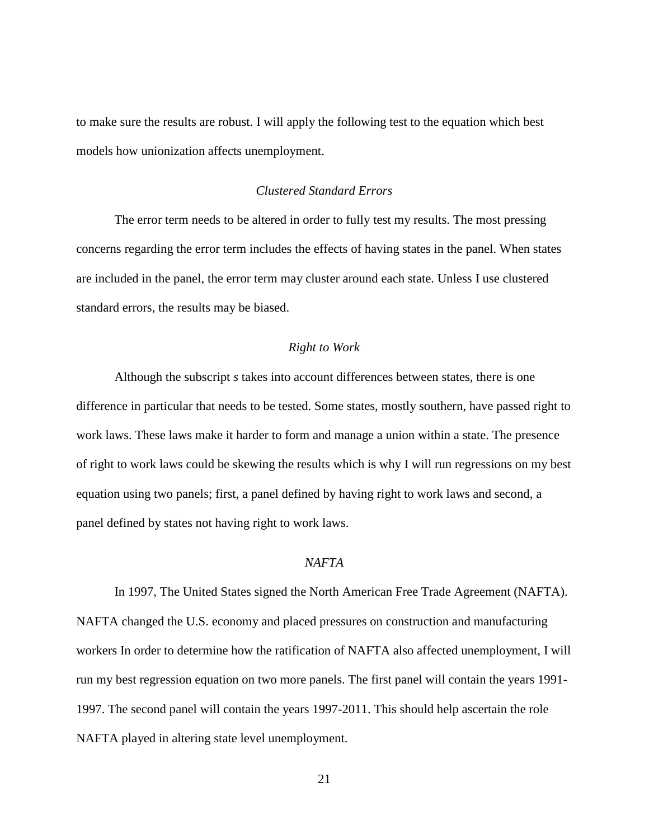to make sure the results are robust. I will apply the following test to the equation which best models how unionization affects unemployment.

#### *Clustered Standard Errors*

<span id="page-28-0"></span>The error term needs to be altered in order to fully test my results. The most pressing concerns regarding the error term includes the effects of having states in the panel. When states are included in the panel, the error term may cluster around each state. Unless I use clustered standard errors, the results may be biased.

#### *Right to Work*

<span id="page-28-1"></span>Although the subscript *s* takes into account differences between states, there is one difference in particular that needs to be tested. Some states, mostly southern, have passed right to work laws. These laws make it harder to form and manage a union within a state. The presence of right to work laws could be skewing the results which is why I will run regressions on my best equation using two panels; first, a panel defined by having right to work laws and second, a panel defined by states not having right to work laws.

#### *NAFTA*

<span id="page-28-2"></span>In 1997, The United States signed the North American Free Trade Agreement (NAFTA). NAFTA changed the U.S. economy and placed pressures on construction and manufacturing workers In order to determine how the ratification of NAFTA also affected unemployment, I will run my best regression equation on two more panels. The first panel will contain the years 1991- 1997. The second panel will contain the years 1997-2011. This should help ascertain the role NAFTA played in altering state level unemployment.

21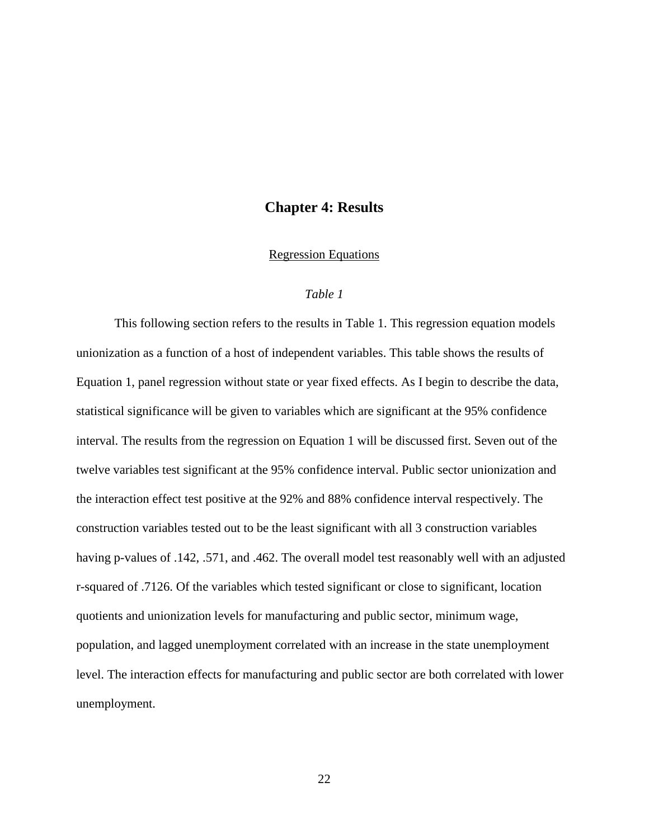#### **Chapter 4: Results**

#### Regression Equations

#### *Table 1*

<span id="page-29-2"></span><span id="page-29-1"></span><span id="page-29-0"></span>This following section refers to the results in Table 1. This regression equation models unionization as a function of a host of independent variables. This table shows the results of Equation 1, panel regression without state or year fixed effects. As I begin to describe the data, statistical significance will be given to variables which are significant at the 95% confidence interval. The results from the regression on Equation 1 will be discussed first. Seven out of the twelve variables test significant at the 95% confidence interval. Public sector unionization and the interaction effect test positive at the 92% and 88% confidence interval respectively. The construction variables tested out to be the least significant with all 3 construction variables having p-values of .142, .571, and .462. The overall model test reasonably well with an adjusted r-squared of .7126. Of the variables which tested significant or close to significant, location quotients and unionization levels for manufacturing and public sector, minimum wage, population, and lagged unemployment correlated with an increase in the state unemployment level. The interaction effects for manufacturing and public sector are both correlated with lower unemployment.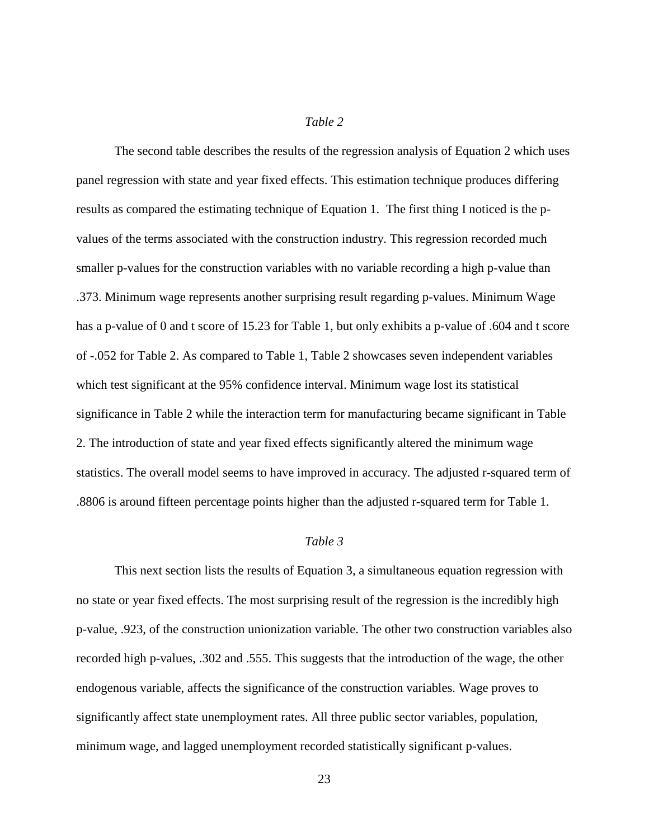#### *Table 2*

<span id="page-30-0"></span>The second table describes the results of the regression analysis of Equation 2 which uses panel regression with state and year fixed effects. This estimation technique produces differing results as compared the estimating technique of Equation 1. The first thing I noticed is the pvalues of the terms associated with the construction industry. This regression recorded much smaller p-values for the construction variables with no variable recording a high p-value than .373. Minimum wage represents another surprising result regarding p-values. Minimum Wage has a p-value of 0 and t score of 15.23 for Table 1, but only exhibits a p-value of .604 and t score of -.052 for Table 2. As compared to Table 1, Table 2 showcases seven independent variables which test significant at the 95% confidence interval. Minimum wage lost its statistical significance in Table 2 while the interaction term for manufacturing became significant in Table 2. The introduction of state and year fixed effects significantly altered the minimum wage statistics. The overall model seems to have improved in accuracy. The adjusted r-squared term of .8806 is around fifteen percentage points higher than the adjusted r-squared term for Table 1.

#### *Table 3*

<span id="page-30-1"></span>This next section lists the results of Equation 3, a simultaneous equation regression with no state or year fixed effects. The most surprising result of the regression is the incredibly high p-value, .923, of the construction unionization variable. The other two construction variables also recorded high p-values, .302 and .555. This suggests that the introduction of the wage, the other endogenous variable, affects the significance of the construction variables. Wage proves to significantly affect state unemployment rates. All three public sector variables, population, minimum wage, and lagged unemployment recorded statistically significant p-values.

23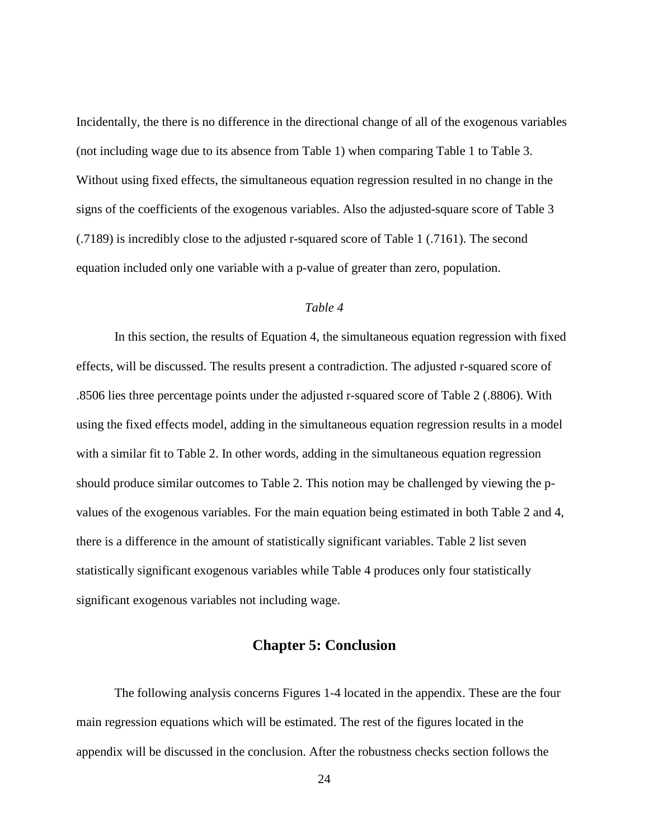Incidentally, the there is no difference in the directional change of all of the exogenous variables (not including wage due to its absence from Table 1) when comparing Table 1 to Table 3. Without using fixed effects, the simultaneous equation regression resulted in no change in the signs of the coefficients of the exogenous variables. Also the adjusted-square score of Table 3 (.7189) is incredibly close to the adjusted r-squared score of Table 1 (.7161). The second equation included only one variable with a p-value of greater than zero, population.

#### *Table 4*

<span id="page-31-0"></span>In this section, the results of Equation 4, the simultaneous equation regression with fixed effects, will be discussed. The results present a contradiction. The adjusted r-squared score of .8506 lies three percentage points under the adjusted r-squared score of Table 2 (.8806). With using the fixed effects model, adding in the simultaneous equation regression results in a model with a similar fit to Table 2. In other words, adding in the simultaneous equation regression should produce similar outcomes to Table 2. This notion may be challenged by viewing the pvalues of the exogenous variables. For the main equation being estimated in both Table 2 and 4, there is a difference in the amount of statistically significant variables. Table 2 list seven statistically significant exogenous variables while Table 4 produces only four statistically significant exogenous variables not including wage.

#### **Chapter 5: Conclusion**

<span id="page-31-1"></span>The following analysis concerns Figures 1-4 located in the appendix. These are the four main regression equations which will be estimated. The rest of the figures located in the appendix will be discussed in the conclusion. After the robustness checks section follows the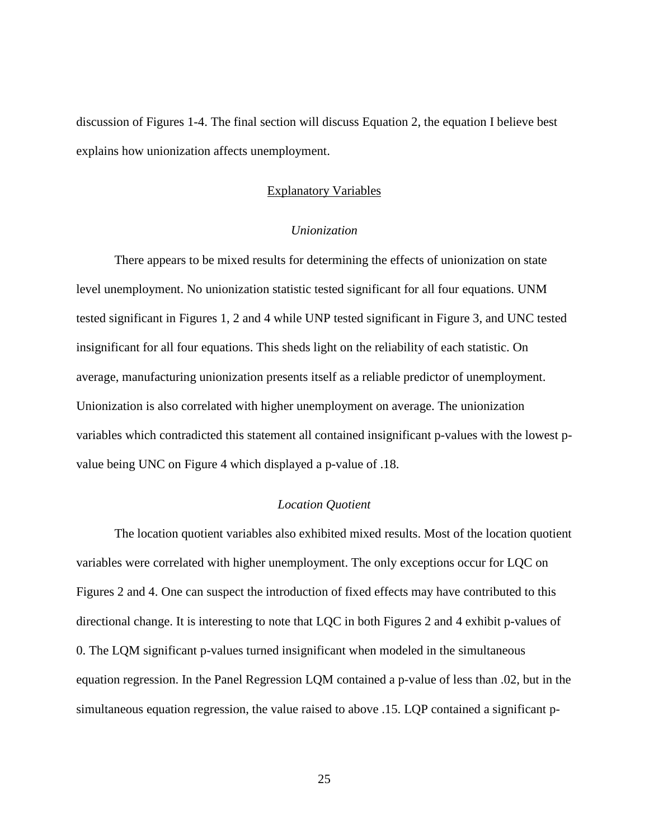<span id="page-32-0"></span>discussion of Figures 1-4. The final section will discuss Equation 2, the equation I believe best explains how unionization affects unemployment.

#### Explanatory Variables

#### *Unionization*

<span id="page-32-1"></span>There appears to be mixed results for determining the effects of unionization on state level unemployment. No unionization statistic tested significant for all four equations. UNM tested significant in Figures 1, 2 and 4 while UNP tested significant in Figure 3, and UNC tested insignificant for all four equations. This sheds light on the reliability of each statistic. On average, manufacturing unionization presents itself as a reliable predictor of unemployment. Unionization is also correlated with higher unemployment on average. The unionization variables which contradicted this statement all contained insignificant p-values with the lowest pvalue being UNC on Figure 4 which displayed a p-value of .18.

#### *Location Quotient*

<span id="page-32-2"></span>The location quotient variables also exhibited mixed results. Most of the location quotient variables were correlated with higher unemployment. The only exceptions occur for LQC on Figures 2 and 4. One can suspect the introduction of fixed effects may have contributed to this directional change. It is interesting to note that LQC in both Figures 2 and 4 exhibit p-values of 0. The LQM significant p-values turned insignificant when modeled in the simultaneous equation regression. In the Panel Regression LQM contained a p-value of less than .02, but in the simultaneous equation regression, the value raised to above .15. LQP contained a significant p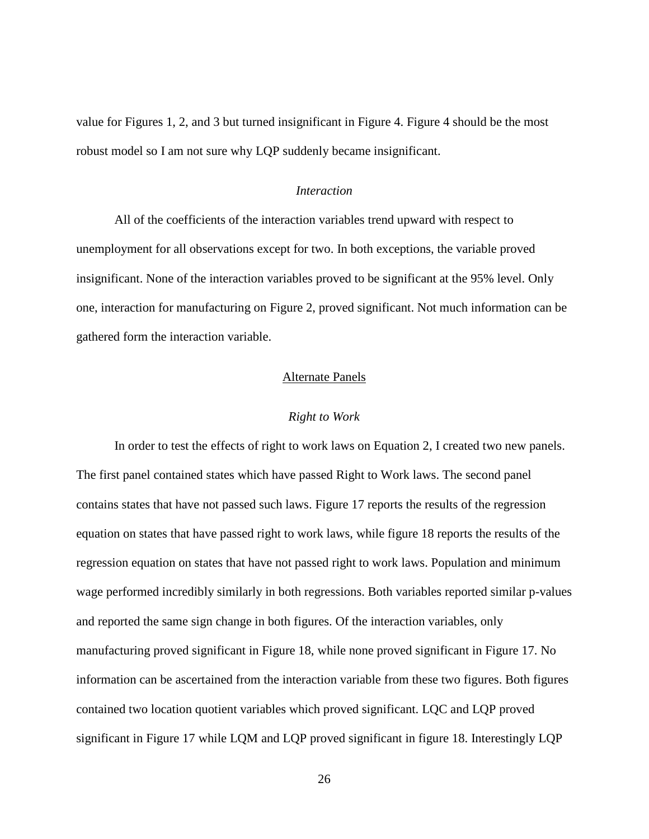value for Figures 1, 2, and 3 but turned insignificant in Figure 4. Figure 4 should be the most robust model so I am not sure why LQP suddenly became insignificant.

#### *Interaction*

<span id="page-33-0"></span>All of the coefficients of the interaction variables trend upward with respect to unemployment for all observations except for two. In both exceptions, the variable proved insignificant. None of the interaction variables proved to be significant at the 95% level. Only one, interaction for manufacturing on Figure 2, proved significant. Not much information can be gathered form the interaction variable.

#### Alternate Panels

#### *Right to Work*

<span id="page-33-2"></span><span id="page-33-1"></span>In order to test the effects of right to work laws on Equation 2, I created two new panels. The first panel contained states which have passed Right to Work laws. The second panel contains states that have not passed such laws. Figure 17 reports the results of the regression equation on states that have passed right to work laws, while figure 18 reports the results of the regression equation on states that have not passed right to work laws. Population and minimum wage performed incredibly similarly in both regressions. Both variables reported similar p-values and reported the same sign change in both figures. Of the interaction variables, only manufacturing proved significant in Figure 18, while none proved significant in Figure 17. No information can be ascertained from the interaction variable from these two figures. Both figures contained two location quotient variables which proved significant. LQC and LQP proved significant in Figure 17 while LQM and LQP proved significant in figure 18. Interestingly LQP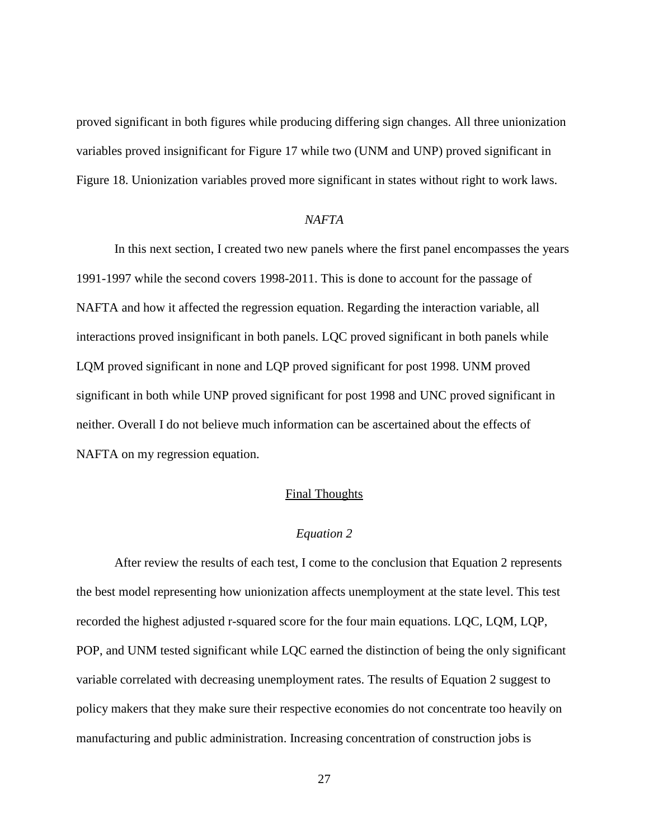proved significant in both figures while producing differing sign changes. All three unionization variables proved insignificant for Figure 17 while two (UNM and UNP) proved significant in Figure 18. Unionization variables proved more significant in states without right to work laws.

#### *NAFTA*

<span id="page-34-0"></span>In this next section, I created two new panels where the first panel encompasses the years 1991-1997 while the second covers 1998-2011. This is done to account for the passage of NAFTA and how it affected the regression equation. Regarding the interaction variable, all interactions proved insignificant in both panels. LQC proved significant in both panels while LQM proved significant in none and LQP proved significant for post 1998. UNM proved significant in both while UNP proved significant for post 1998 and UNC proved significant in neither. Overall I do not believe much information can be ascertained about the effects of NAFTA on my regression equation.

#### Final Thoughts

#### *Equation 2*

<span id="page-34-2"></span><span id="page-34-1"></span>After review the results of each test, I come to the conclusion that Equation 2 represents the best model representing how unionization affects unemployment at the state level. This test recorded the highest adjusted r-squared score for the four main equations. LQC, LQM, LQP, POP, and UNM tested significant while LQC earned the distinction of being the only significant variable correlated with decreasing unemployment rates. The results of Equation 2 suggest to policy makers that they make sure their respective economies do not concentrate too heavily on manufacturing and public administration. Increasing concentration of construction jobs is

27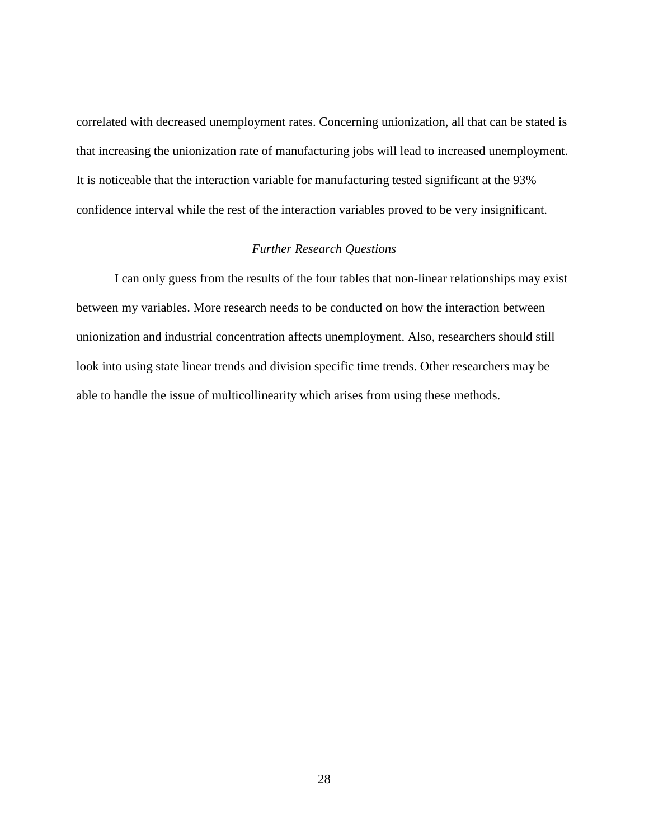correlated with decreased unemployment rates. Concerning unionization, all that can be stated is that increasing the unionization rate of manufacturing jobs will lead to increased unemployment. It is noticeable that the interaction variable for manufacturing tested significant at the 93% confidence interval while the rest of the interaction variables proved to be very insignificant.

#### *Further Research Questions*

<span id="page-35-0"></span>I can only guess from the results of the four tables that non-linear relationships may exist between my variables. More research needs to be conducted on how the interaction between unionization and industrial concentration affects unemployment. Also, researchers should still look into using state linear trends and division specific time trends. Other researchers may be able to handle the issue of multicollinearity which arises from using these methods.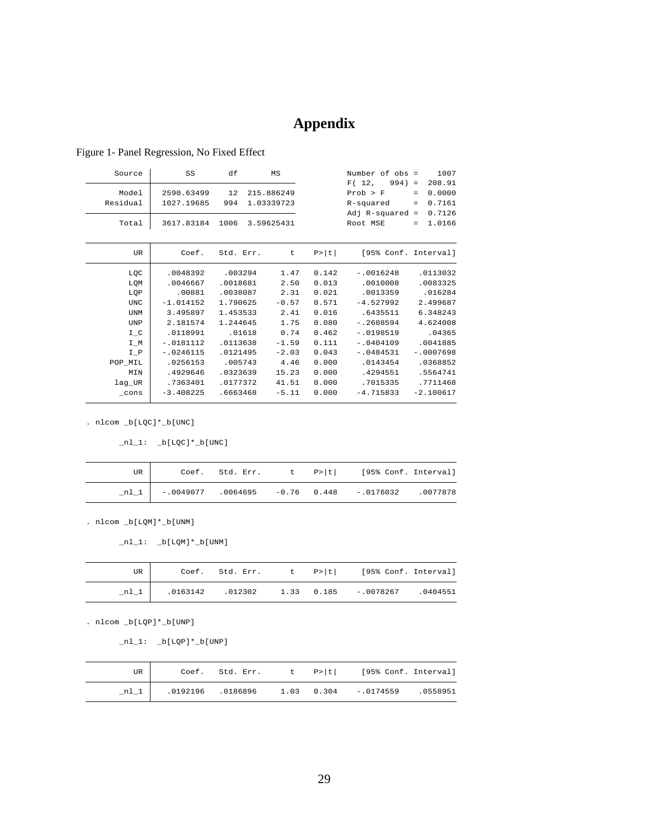## **Appendix**

| Source     | SS          | df        | MS         |        | Number of $obs =$    | 1007          |
|------------|-------------|-----------|------------|--------|----------------------|---------------|
|            |             |           |            |        | F(12,<br>$994) =$    | 208.91        |
| Model      | 2590.63499  | 12        | 215.886249 |        | Prob > F             | 0.0000<br>$=$ |
| Residual   | 1027.19685  | 994       | 1.03339723 |        | R-squared            | 0.7161<br>$=$ |
|            |             |           |            |        | Adj $R$ -squared =   | 0.7126        |
| Total      | 3617.83184  | 1006      | 3.59625431 |        | Root MSE             | 1.0166<br>$=$ |
|            |             |           |            |        |                      |               |
| <b>UR</b>  | Coef.       | Std. Err. | t          | P >  t | [95% Conf. Interval] |               |
| LQC        | .0048392    | .003294   | 1.47       | 0.142  | $-10016248$          | .0113032      |
| LQM        | .0046667    | .0018681  | 2.50       | 0.013  | .0010008             | .0083325      |
| LQP        | .00881      | .0038087  | 2.31       | 0.021  | .0013359             | .016284       |
| <b>UNC</b> | $-1.014152$ | 1.790625  | $-0.57$    | 0.571  | $-4.527992$          | 2.499687      |
| <b>UNM</b> | 3.495897    | 1.453533  | 2.41       | 0.016  | .6435511             | 6.348243      |
| <b>UNP</b> | 2.181574    | 1.244645  | 1.75       | 0.080  | $-12608594$          | 4.624008      |
| $I_C$      | .0118991    | .01618    | 0.74       | 0.462  | $-.0198519$          | .04365        |
| $I_M$      | $-.0181112$ | .0113638  | $-1.59$    | 0.111  | $-0.404109$          | .0041885      |
| $I_P$      | $-.0246115$ | .0121495  | $-2.03$    | 0.043  | $-.0484531$          | $-.0007698$   |
| POP_MIL    | .0256153    | .005743   | 4.46       | 0.000  | .0143454             | .0368852      |
| MIN        | .4929646    | .0323639  | 15.23      | 0.000  | .4294551             | .5564741      |
| lag_UR     | .7363401    | .0177372  | 41.51      | 0.000  | .7015335             | .7711468      |
| $\_cons$   | $-3.408225$ | .6663468  | $-5.11$    | 0.000  | $-4.715833$          | $-2.100617$   |
|            |             |           |            |        |                      |               |

#### <span id="page-36-0"></span>Figure 1- Panel Regression, No Fixed Effect

. nlcom \_b[LQC]\*\_b[UNC]

 $\_n1\_1: \quad \underline{\hspace{0.5cm}}\texttt{bl[LQC]} * \underline{\hspace{0.5cm}}\texttt{bl[UNC]}$ 

| UR |  |  | Coef. Std. Err. t P> t  [95% Conf. Interval]             |  |
|----|--|--|----------------------------------------------------------|--|
|    |  |  | nl 1   -.0049077 .0064695 -0.76 0.448 -.0176032 .0077878 |  |

. nlcom \_b[LQM]\*\_b[UNM]

 $nl_1: \n b[LQM]*b[UM]$ 

| UR     |          |  | Coef. Std. Err. t P> t  [95% Conf. Interval] |          |
|--------|----------|--|----------------------------------------------|----------|
| $nl_1$ | .0163142 |  | $.012302$ 1.33 0.185 -.0078267               | .0404551 |

. nlcom \_b[LQP]\*\_b[UNP]

 $nl_1: \n b[LQP]*b[UNP]$ 

| UR. |  |  | Coef. Std. Err. t P> t  [95% Conf. Interval] |  |
|-----|--|--|----------------------------------------------|--|
|     |  |  |                                              |  |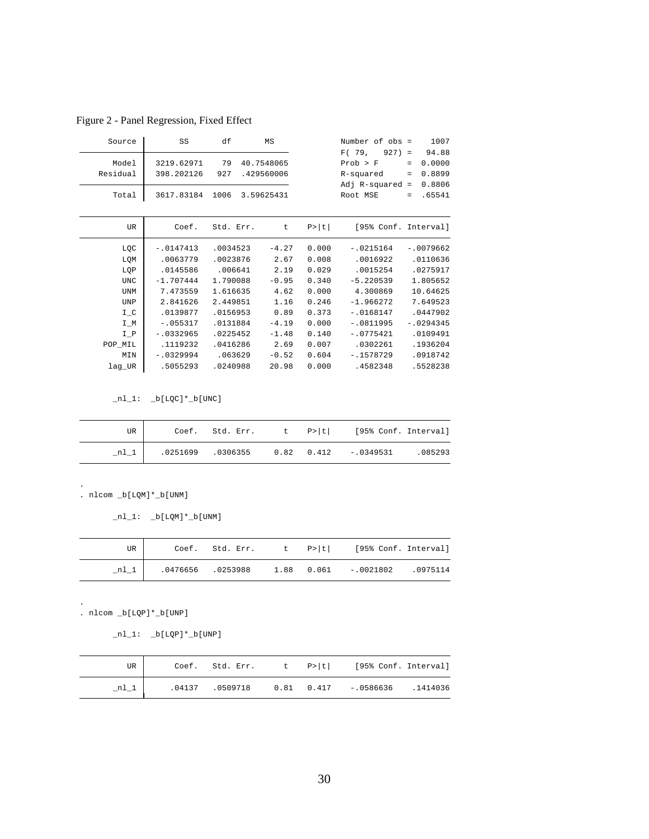Figure 2 - Panel Regression, Fixed Effect

| Source     | SS          | df        | MS         |        | Number of obs =      |          | 1007        |
|------------|-------------|-----------|------------|--------|----------------------|----------|-------------|
|            |             |           |            |        | F(79,<br>$927$ =     |          | 94.88       |
| Model      | 3219.62971  | 79        | 40.7548065 |        | Prob > F             | $=$      | 0.0000      |
| Residual   | 398.202126  | 927       | .429560006 |        | R-squared            | $\equiv$ | 0.8899      |
|            |             |           |            |        | $Adj$ R-squared =    |          | 0.8806      |
| Total      | 3617.83184  | 1006      | 3.59625431 |        | Root MSE             | $=$      | .65541      |
|            |             |           |            |        |                      |          |             |
| UR         | Coef.       | Std. Err. | t          | P >  t | [95% Conf. Interval] |          |             |
| LQC        | $-.0147413$ | .0034523  | $-4.27$    | 0.000  | $-.0215164$          |          | $-.0079662$ |
| LQM        | .0063779    | .0023876  | 2.67       | 0.008  | .0016922             |          | .0110636    |
| LQP        | .0145586    | .006641   | 2.19       | 0.029  | .0015254             |          | .0275917    |
| <b>UNC</b> | $-1.707444$ | 1.790088  | $-0.95$    | 0.340  | $-5.220539$          |          | 1.805652    |
| <b>UNM</b> | 7.473559    | 1.616635  | 4.62       | 0.000  | 4.300869             |          | 10.64625    |
| <b>UNP</b> | 2.841626    | 2.449851  | 1.16       | 0.246  | $-1.966272$          |          | 7.649523    |
| $I_C$      | .0139877    | .0156953  | 0.89       | 0.373  | $-.0168147$          |          | .0447902    |
| $I_M$      | $-1055317$  | .0131884  | $-4.19$    | 0.000  | $-.0811995$          |          | $-.0294345$ |
| $I_P$      | $-10332965$ | .0225452  | $-1.48$    | 0.140  | $-.0775421$          |          | .0109491    |
| POP_MIL    | .1119232    | .0416286  | 2.69       | 0.007  | .0302261             |          | .1936204    |
| MIN        | $-.0329994$ | .063629   | $-0.52$    | 0.604  | $-1578729$           |          | .0918742    |
| lag_UR     | .5055293    | .0240988  | 20.98      | 0.000  | .4582348             |          | .5528238    |
|            |             |           |            |        |                      |          |             |

 $nl_1: b[LQC]*b[UNC]$ 

| UR   |  |  | Coef. Std. Err. t P> t  [95% Conf. Interval] |  |
|------|--|--|----------------------------------------------|--|
| nl 1 |  |  |                                              |  |

 $\_nl\_1:$   $\_b[LQM]*\_b[UNM]$ 

| UR     |  |  | Coef. Std. Err. t P> t  [95% Conf. Interval] |  |
|--------|--|--|----------------------------------------------|--|
| $n1_1$ |  |  |                                              |  |

. nlcom \_b[LQP]\*\_b[UNP]

.

.

 $nl_1: \n b[LQP]*b[UNP]$ 

| UR I   |  |  | Coef. Std. Err. t P> t  [95% Conf. Interval]                  |  |
|--------|--|--|---------------------------------------------------------------|--|
| $nl_1$ |  |  | $0.04137$ $0.0509718$ $0.81$ $0.417$ $-0.0586636$ $0.1414036$ |  |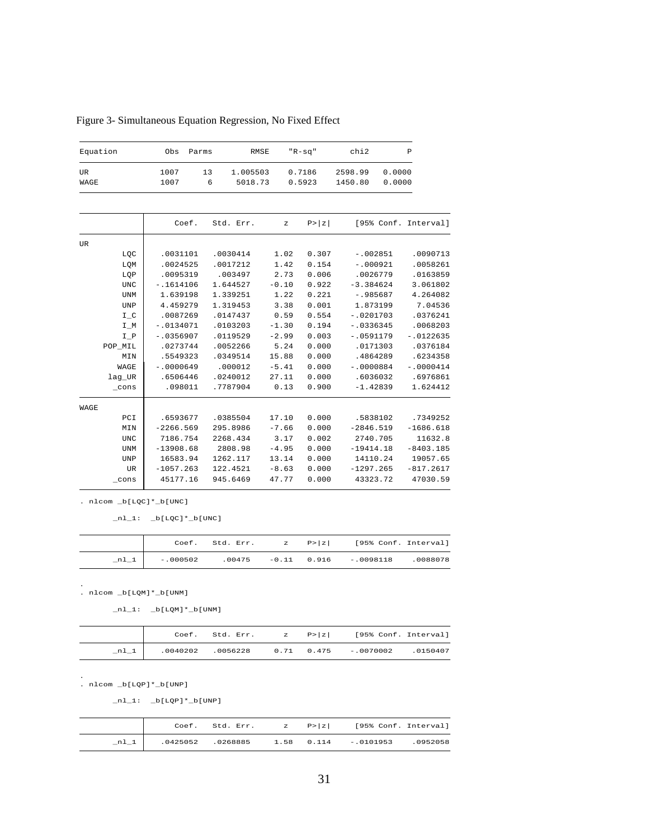| Equation        | Obs          | Parms   | RMSE                |         | $"R-sq"$         | chi2               |                  | $\mathbb P$          |
|-----------------|--------------|---------|---------------------|---------|------------------|--------------------|------------------|----------------------|
| UR<br>WAGE      | 1007<br>1007 | 13<br>6 | 1.005503<br>5018.73 |         | 0.7186<br>0.5923 | 2598.99<br>1450.80 | 0.0000<br>0.0000 |                      |
|                 |              |         |                     |         |                  |                    |                  |                      |
|                 | Coef.        |         | Std. Err.           | z       | P >  z           |                    |                  | [95% Conf. Interval] |
| UR              |              |         |                     |         |                  |                    |                  |                      |
| LQC             | .0031101     |         | .0030414            | 1.02    | 0.307            | $-.002851$         |                  | .0090713             |
| LQM             | .0024525     |         | .0017212            | 1.42    | 0.154            | $-.000921$         |                  | .0058261             |
| LQP             | .0095319     |         | .003497             | 2.73    | 0.006            | .0026779           |                  | .0163859             |
| <b>UNC</b>      | $-.1614106$  |         | 1.644527            | $-0.10$ | 0.922            | $-3.384624$        |                  | 3.061802             |
| <b>UNM</b>      | 1.639198     |         | 1.339251            | 1.22    | 0.221            | $-.985687$         |                  | 4.264082             |
| <b>UNP</b>      | 4.459279     |         | 1.319453            | 3.38    | 0.001            | 1.873199           |                  | 7.04536              |
| $I_C$           | .0087269     |         | .0147437            | 0.59    | 0.554            | $-.0201703$        |                  | .0376241             |
| $I_M$           | $-.0134071$  |         | .0103203            | $-1.30$ | 0.194            | $-.0336345$        |                  | .0068203             |
| $I_P$           | $-.0356907$  |         | .0119529            | $-2.99$ | 0.003            | $-.0591179$        |                  | $-.0122635$          |
| POP_MIL         | .0273744     |         | .0052266            | 5.24    | 0.000            | .0171303           |                  | .0376184             |
| MIN             | .5549323     |         | .0349514            | 15.88   | 0.000            | .4864289           |                  | .6234358             |
| WAGE            | $-.0000649$  |         | .000012             | $-5.41$ | 0.000            | $-.0000884$        |                  | $-.0000414$          |
| lag_UR          | .6506446     |         | .0240012            | 27.11   | 0.000            | .6036032           |                  | .6976861             |
| $_{\rm \_cons}$ | .098011      |         | .7787904            | 0.13    | 0.900            | $-1.42839$         |                  | 1.624412             |
| WAGE            |              |         |                     |         |                  |                    |                  |                      |
| PCI             | .6593677     |         | .0385504            | 17.10   | 0.000            | .5838102           |                  | .7349252             |
| MIN             | $-2266.569$  |         | 295.8986            | $-7.66$ | 0.000            | $-2846.519$        |                  | $-1686.618$          |
| <b>UNC</b>      | 7186.754     |         | 2268.434            | 3.17    | 0.002            | 2740.705           |                  | 11632.8              |
| <b>UNM</b>      | $-13908.68$  |         | 2808.98             | $-4.95$ | 0.000            | $-19414.18$        |                  | $-8403.185$          |
| <b>UNP</b>      | 16583.94     |         | 1262.117            | 13.14   | 0.000            | 14110.24           |                  | 19057.65             |
| UR              | $-1057.263$  |         | 122.4521            | $-8.63$ | 0.000            | $-1297.265$        |                  | $-817.2617$          |
| $_{\rm \_cons}$ | 45177.16     |         | 945.6469            | 47.77   | 0.000            | 43323.72           |                  | 47030.59             |

Figure 3- Simultaneous Equation Regression, No Fixed Effect

 $_n1_1: b[LQC]*b[UNC]$ 

|      |           |  | Coef. Std. Err. $z = P >  z $ [95% Conf. Interval] |  |
|------|-----------|--|----------------------------------------------------|--|
| nl l | $-000502$ |  | $0.0475$ $-0.11$ $0.916$ $-0.098118$ $0.088078$    |  |

. nlcom \_b[LQM]\*\_b[UNM] .

 $_nl_1: \n b[LQM]*b[UNM]$ 

|        |  |  | Coef. Std. Err. $z = P >  z $ [95% Conf. Interval]      |  |
|--------|--|--|---------------------------------------------------------|--|
| $n1_1$ |  |  | .0040202 .0056228   0.71   0.475   -.0070002   .0040202 |  |

. nlcom \_b[LQP]\*\_b[UNP] .

 $\_n1\_1$ :  $\_b[LQP] \star \_b[UNP]$ 

|      |  |  | Coef. Std. Err. $z = P >  z $ [95% Conf. Interval] |  |
|------|--|--|----------------------------------------------------|--|
| nl 1 |  |  | .0425052 .0268885 1.58 0.114 -.0101953 .0952058    |  |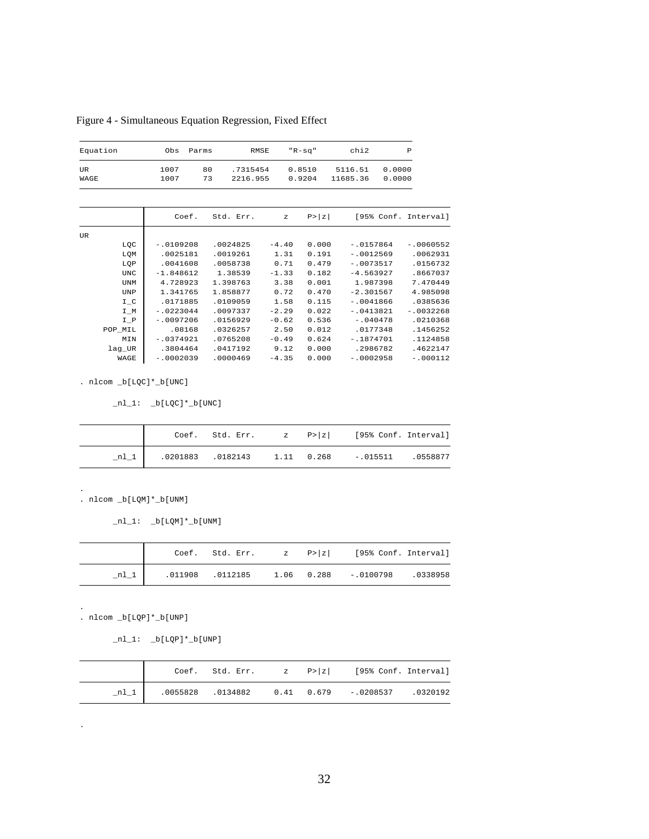Figure 4 - Simultaneous Equation Regression, Fixed Effect

| Equation  | Parms<br>Obs |    | RMSE     | "R-sq" | chi2     | P      |  |
|-----------|--------------|----|----------|--------|----------|--------|--|
| <b>UR</b> | 1007         | 80 | .7315454 | 0.8510 | 5116.51  | 0.0000 |  |
| WAGE      | 1007         | 73 | 2216.955 | 0.9204 | 11685.36 | 0.0000 |  |

|     |         | Coef.       | Std. Err. | $\mathbf{z}$ | P >  z |             | [95% Conf. Interval] |
|-----|---------|-------------|-----------|--------------|--------|-------------|----------------------|
| UR. |         |             |           |              |        |             |                      |
|     | LQC     | $-.0109208$ | .0024825  | $-4.40$      | 0.000  | $-0157864$  | $-10060552$          |
|     | LQM     | .0025181    | .0019261  | 1.31         | 0.191  | $-10012569$ | .0062931             |
|     | LQP     | .0041608    | .0058738  | 0.71         | 0.479  | $-10073517$ | .0156732             |
|     | UNC     | $-1.848612$ | 1.38539   | $-1.33$      | 0.182  | $-4.563927$ | .8667037             |
|     | UNM     | 4.728923    | 1.398763  | 3.38         | 0.001  | 1.987398    | 7.470449             |
|     | UNP     | 1.341765    | 1.858877  | 0.72         | 0.470  | $-2.301567$ | 4.985098             |
|     | $I_C$   | .0171885    | .0109059  | 1.58         | 0.115  | $-0041866$  | .0385636             |
|     | $I_M$   | $-.0223044$ | .0097337  | $-2.29$      | 0.022  | $-.0413821$ | $-10032268$          |
|     | I P     | $-10097206$ | .0156929  | $-0.62$      | 0.536  | $-.040478$  | .0210368             |
|     | POP MIL | .08168      | .0326257  | 2.50         | 0.012  | .0177348    | .1456252             |
|     | MIN     | $-10374921$ | .0765208  | $-0.49$      | 0.624  | $-1874701$  | .1124858             |
|     | lag UR  | .3804464    | .0417192  | 9.12         | 0.000  | .2986782    | .4622147             |
|     | WAGE    | $-10002039$ | .0000469  | $-4.35$      | 0.000  | $-10002958$ | $-.000112$           |
|     |         |             |           |              |        |             |                      |

 $nl_1: \n_b[LQC]*b[UNC]$ 

|  |  | Coef. Std. Err. $\mathbb{Z}$ P> $\mathbb{Z}$ [95% Conf. Interval] |  |
|--|--|-------------------------------------------------------------------|--|
|  |  |                                                                   |  |

. nlcom \_b[LQM]\*\_b[UNM]

 $\_nl\_1$ :  $\_b[LQM]*\_b[UNM]$ 

|      |  |  | Coef. Std. Err. $z \quad P >  z $ [95% Conf. Interval] |  |
|------|--|--|--------------------------------------------------------|--|
| nl 1 |  |  |                                                        |  |

. nlcom \_b[LQP]\*\_b[UNP]

.

.

.

 $\_n1\_1:$   $\_b[LQP]*\_b[UNP]$ 

|  |  | Coef. Std. Err. $z = P >  z $ [95% Conf. Interval]     |  |
|--|--|--------------------------------------------------------|--|
|  |  | nl 1   .0055828 .0134882 0.41 0.679 -.0208537 .0320192 |  |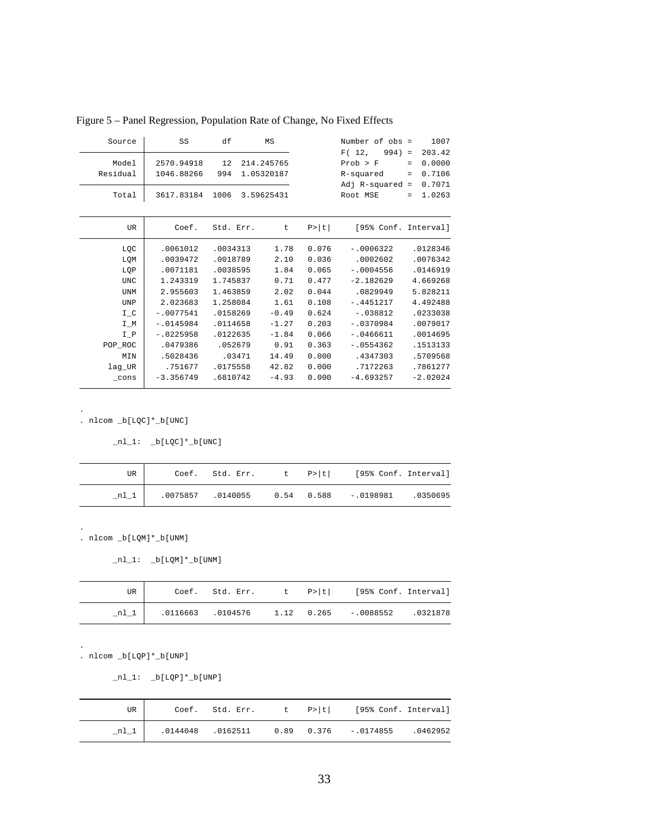| Source            | SS                       | df        | ΜS                       |        | Number of obs =                                                  | 1007                                                                           |
|-------------------|--------------------------|-----------|--------------------------|--------|------------------------------------------------------------------|--------------------------------------------------------------------------------|
| Model<br>Residual | 2570.94918<br>1046.88266 | 12<br>994 | 214.245765<br>1.05320187 |        | F(12,<br>$994) =$<br>Prob > F<br>R-squared<br>Adj $R$ -squared = | 203.42<br>0.0000<br>$\qquad \qquad =$<br>0.7106<br>$\qquad \qquad =$<br>0.7071 |
| Total             | 3617.83184               | 1006      | 3.59625431               |        | Root MSE                                                         | 1.0263<br>$=$                                                                  |
| UR.               | Coef.                    | Std. Err. | t                        | P >  t | [95% Conf. Interval]                                             |                                                                                |
| LQC               | .0061012                 | .0034313  | 1.78                     | 0.076  | $-.0006322$                                                      | .0128346                                                                       |
| LQM               | .0039472                 | .0018789  | 2.10                     | 0.036  | .0002602                                                         | .0076342                                                                       |
| LQP               | .0071181                 | .0038595  | 1.84                     | 0.065  | $-10004556$                                                      | .0146919                                                                       |
| <b>UNC</b>        | 1.243319                 | 1.745837  | 0.71                     | 0.477  | $-2.182629$                                                      | 4.669268                                                                       |
| UNM               | 2.955603                 | 1.463859  | 2.02                     | 0.044  | .0829949                                                         | 5.828211                                                                       |
| UNP               | 2.023683                 | 1.258084  | 1.61                     | 0.108  | $-.4451217$                                                      | 4.492488                                                                       |
| $I_C$             | $-.0077541$              | .0158269  | $-0.49$                  | 0.624  | $-.038812$                                                       | .0233038                                                                       |
| $I_M$             | $-.0145984$              | .0114658  | $-1.27$                  | 0.203  | $-10370984$                                                      | .0079017                                                                       |
| $I_P$             | $-10225958$              | .0122635  | $-1.84$                  | 0.066  | $-.0466611$                                                      | .0014695                                                                       |
| POP_ROC           | .0479386                 | .052679   | 0.91                     | 0.363  | $-.0554362$                                                      | .1513133                                                                       |
| MIN               | .5028436                 | .03471    | 14.49                    | 0.000  | .4347303                                                         | .5709568                                                                       |
| lag UR            | .751677                  | .0175558  | 42.82                    | 0.000  | .7172263                                                         | .7861277                                                                       |
| $_{\rm \_cons}$   | $-3.356749$              | .6810742  | $-4.93$                  | 0.000  | $-4.693257$                                                      | $-2.02024$                                                                     |

Figure 5 – Panel Regression, Population Rate of Change, No Fixed Effects

 $_nl_1: b[LQC]*b[UNC]$ 

| UR I   |  |  | Coef. Std. Err. t P> t  [95% Conf. Interval]                 |  |
|--------|--|--|--------------------------------------------------------------|--|
| $n1_1$ |  |  | $0.075857$ $0.140055$ $0.54$ $0.588$ $-0.0198981$ $0.350695$ |  |

. nlcom \_b[LQM]\*\_b[UNM]

```
\_n1\_1: \_b[LQM]*\_b[UNM]
```

| UR |  |  | Coef. Std. Err. t P> t  [95% Conf. Interval]           |  |
|----|--|--|--------------------------------------------------------|--|
|    |  |  | $n1_1$ .0116663 .0104576 1.12 0.265 -.0088552 .0321878 |  |

. nlcom \_b[LQP]\*\_b[UNP]

.

.

.

 $_nl_1: \underline{\phantom{0}} b[LQP]*\underline{\phantom{0}} b[UNP]$ 

| UR I |  |  | Coef. Std. Err. $t \in P >  t $ [95% Conf. Interval]            |  |
|------|--|--|-----------------------------------------------------------------|--|
| nl 1 |  |  | $0.0144048$ $0.0162511$ $0.89$ $0.376$ $-0.0174855$ $0.0462952$ |  |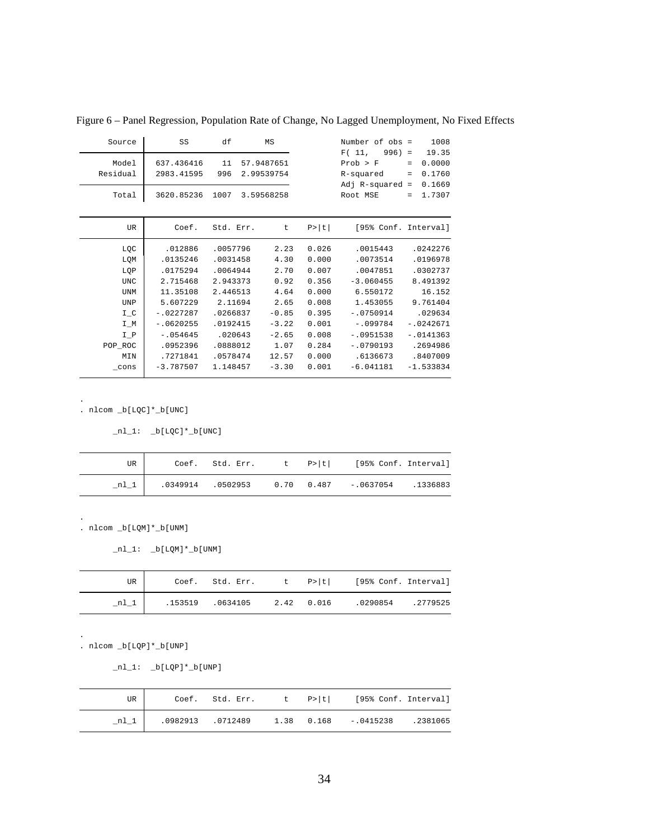| Source          | SS          | df        | MS         |        | Number of obs =      |                   | 1008        |
|-----------------|-------------|-----------|------------|--------|----------------------|-------------------|-------------|
|                 |             |           |            |        | F(11,<br>$996$ ) =   |                   | 19.35       |
| Model           | 637.436416  | 11        | 57.9487651 |        | Prob > F             | $\qquad \qquad =$ | 0.0000      |
| Residual        | 2983.41595  | 996       | 2.99539754 |        | R-squared            | $\qquad \qquad =$ | 0.1760      |
|                 |             |           |            |        | $Adj$ R-squared =    |                   | 0.1669      |
| Total           | 3620.85236  | 1007      | 3.59568258 |        | Root MSE             | $=$               | 1.7307      |
|                 |             |           |            |        |                      |                   |             |
| UR              | Coef.       | Std. Err. | t          | P >  t | [95% Conf. Interval] |                   |             |
| LQC             | .012886     | .0057796  | 2.23       | 0.026  | .0015443             |                   | .0242276    |
| LQM             | .0135246    | .0031458  | 4.30       | 0.000  | .0073514             |                   | .0196978    |
| LQP             | .0175294    | .0064944  | 2.70       | 0.007  | .0047851             |                   | .0302737    |
| <b>UNC</b>      | 2.715468    | 2.943373  | 0.92       | 0.356  | $-3.060455$          |                   | 8.491392    |
| <b>UNM</b>      | 11.35108    | 2.446513  | 4.64       | 0.000  | 6.550172             |                   | 16.152      |
| <b>UNP</b>      | 5.607229    | 2.11694   | 2.65       | 0.008  | 1.453055             |                   | 9.761404    |
| $I_C$           | $-.0227287$ | .0266837  | $-0.85$    | 0.395  | $-.0750914$          |                   | .029634     |
| $I_M$           | $-.0620255$ | .0192415  | $-3.22$    | 0.001  | $-1099784$           |                   | $-10242671$ |
| $I_P$           | $-.054645$  | .020643   | $-2.65$    | 0.008  | $-10951538$          |                   | $-.0141363$ |
| POP_ROC         | .0952396    | .0888012  | 1.07       | 0.284  | $-.0790193$          |                   | .2694986    |
| MIN             | .7271841    | .0578474  | 12.57      | 0.000  | .6136673             |                   | .8407009    |
| $_{\rm \_cons}$ | $-3.787507$ | 1.148457  | $-3.30$    | 0.001  | $-6.041181$          |                   | $-1.533834$ |

Figure 6 – Panel Regression, Population Rate of Change, No Lagged Unemployment, No Fixed Effects

```
nl_1: \n_b[LQC]*b[UNC]
```

| UR |  |  | Coef. Std. Err. t P> t  [95% Conf. Interval]                  |  |
|----|--|--|---------------------------------------------------------------|--|
|    |  |  | $0.349914$ $0.502953$ $0.70$ $0.487$ $-0.0637054$ $0.1336883$ |  |

. nlcom \_b[LQM]\*\_b[UNM]

 $_nl_1: \n b[LQM]*b[UM]$ 

| UR     |  |  | Coef. Std. Err. $t$ P> t  [95% Conf. Interval] |  |
|--------|--|--|------------------------------------------------|--|
| $n1_1$ |  |  |                                                |  |

. nlcom \_b[LQP]\*\_b[UNP]

.

.

.

 $nl_1: \n b[LQP]*b[UNP]$ 

| UR |  |  | Coef. Std. Err. t P> t  [95% Conf. Interval]            |  |
|----|--|--|---------------------------------------------------------|--|
|    |  |  | .0982913 .0712489   1.38   0.168   -.0415238   .2381065 |  |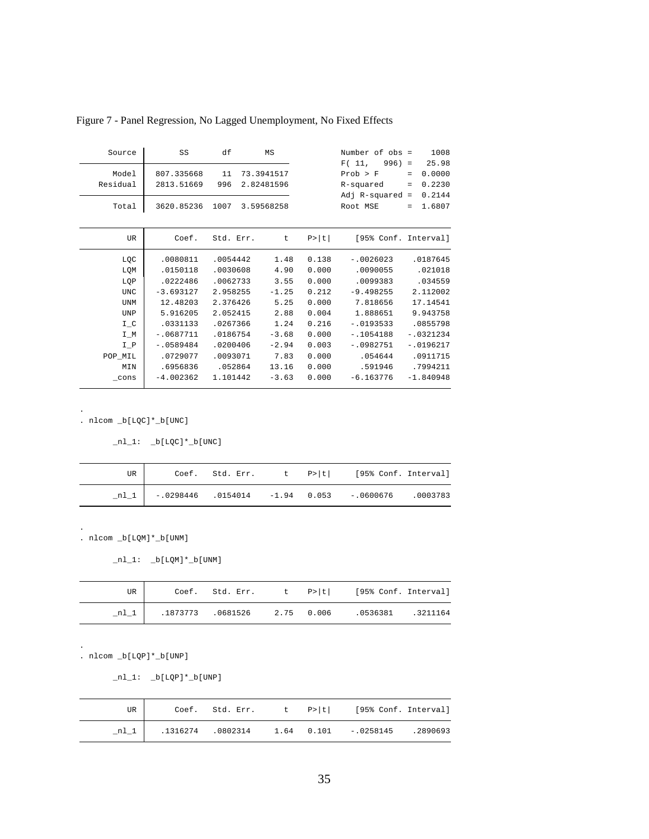| Source            | SS                       | df        | MS                       |        | Number of obs =                                             | 1008                                                                                      |
|-------------------|--------------------------|-----------|--------------------------|--------|-------------------------------------------------------------|-------------------------------------------------------------------------------------------|
| Model<br>Residual | 807.335668<br>2813.51669 | 11<br>996 | 73.3941517<br>2.82481596 |        | F(11,<br>996)<br>Prob > F<br>R-squared<br>$Adj$ R-squared = | 25.98<br>$\equiv$<br>0.0000<br>$\qquad \qquad =$<br>0.2230<br>$\qquad \qquad =$<br>0.2144 |
| Total             | 3620.85236               | 1007      | 3.59568258               |        | Root MSE                                                    | 1.6807<br>$=$                                                                             |
| <b>UR</b>         | Coef.                    | Std. Err. | t                        | P >  t | [95% Conf. Interval]                                        |                                                                                           |
| LQC               | .0080811                 | .0054442  | 1.48                     | 0.138  | $-.0026023$                                                 | .0187645                                                                                  |
| LQM               | .0150118                 | .0030608  | 4.90                     | 0.000  | .0090055                                                    | .021018                                                                                   |
| LQP               | .0222486                 | .0062733  | 3.55                     | 0.000  | .0099383                                                    | .034559                                                                                   |
| <b>UNC</b>        | $-3.693127$              | 2.958255  | $-1.25$                  | 0.212  | $-9.498255$                                                 | 2.112002                                                                                  |
| <b>UNM</b>        | 12.48203                 | 2.376426  | 5.25                     | 0.000  | 7.818656                                                    | 17.14541                                                                                  |
| <b>UNP</b>        | 5.916205                 | 2.052415  | 2.88                     | 0.004  | 1.888651                                                    | 9.943758                                                                                  |
| $I_C$             | .0331133                 | .0267366  | 1.24                     | 0.216  | $-.0193533$                                                 | .0855798                                                                                  |
| I M               | $-.0687711$              | .0186754  | $-3.68$                  | 0.000  | $-1054188$                                                  | $-10321234$                                                                               |
| $I_P$             | $-10589484$              | .0200406  | $-2.94$                  | 0.003  | $-.0982751$                                                 | $-.0196217$                                                                               |
| POP MIL           | .0729077                 | .0093071  | 7.83                     | 0.000  | .054644                                                     | .0911715                                                                                  |
| MIN               | .6956836                 | .052864   | 13.16                    | 0.000  | .591946                                                     | .7994211                                                                                  |
| $_{\rm \_cons}$   | $-4.002362$              | 1.101442  | $-3.63$                  | 0.000  | $-6.163776$                                                 | $-1.840948$                                                                               |

Figure 7 - Panel Regression, No Lagged Unemployment, No Fixed Effects

 $_nl_1: b[LQC]*b[UNC]$ 

| UR |  |  | Coef. Std. Err. t P> t  [95% Conf. Interval]                       |  |
|----|--|--|--------------------------------------------------------------------|--|
|    |  |  | $n!$   $-0.298446$ $0.0154014$ $-1.94$ 0.053 $-0.0600676$ .0003783 |  |

. nlcom \_b[LQM]\*\_b[UNM]

 $_nl_1: \n_b[LQM]*b[UNM]$ 

| UR |  |  | Coef. Std. Err. t P> t  [95% Conf. Interval]          |  |
|----|--|--|-------------------------------------------------------|--|
|    |  |  | $n1_1$ .1873773 .0681526 2.75 0.006 .0536381 .3211164 |  |

. nlcom \_b[LQP]\*\_b[UNP]

.

.

.

 $_nl_1: b[LQP]*b[UNP]$ 

| UR     |                   | $Coef.$ Std. Err. t $P> t $ |  | [95% Conf. Interval]            |  |
|--------|-------------------|-----------------------------|--|---------------------------------|--|
| $nl_1$ | .1316274 .0802314 |                             |  | $1.64$ 0.101 -.0258145 .2890693 |  |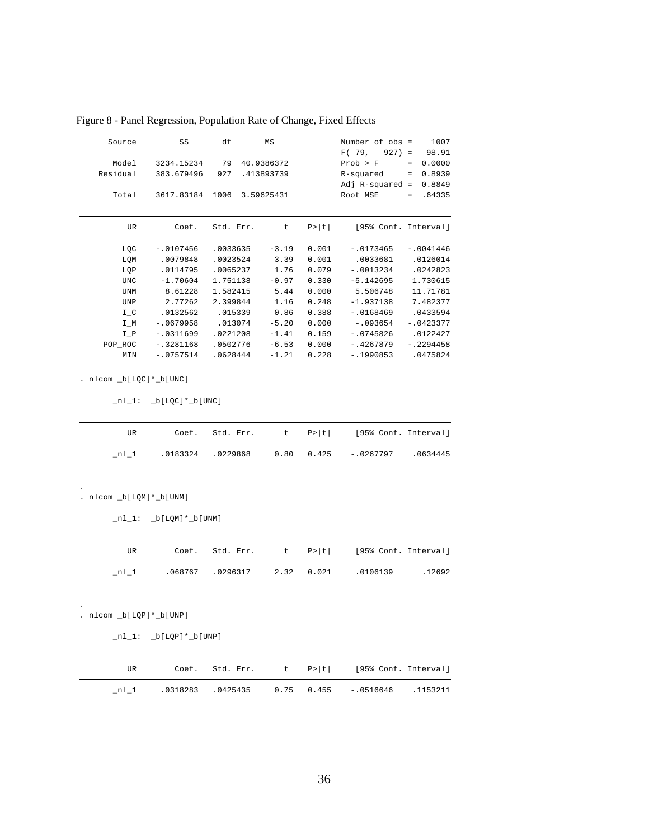| Source            | SS                       | df        | MS                       |        | Number of obs =<br>F(79,<br>$927$ =        |                               | 1007<br>98.91              |
|-------------------|--------------------------|-----------|--------------------------|--------|--------------------------------------------|-------------------------------|----------------------------|
| Model<br>Residual | 3234.15234<br>383.679496 | 79<br>927 | 40.9386372<br>.413893739 |        | Prob > F<br>R-squared<br>$Adj$ R-squared = | $\qquad \qquad =$<br>$\equiv$ | 0.0000<br>0.8939<br>0.8849 |
| Total             | 3617.83184               | 1006      | 3.59625431               |        | Root MSE                                   | $=$                           | .64335                     |
| UR                | Coef.                    | Std. Err. | t.                       | P >  t | [95% Conf. Interval]                       |                               |                            |
| LQC               | $-.0107456$              | .0033635  | $-3.19$                  | 0.001  | $-.0173465$                                |                               | $-.0041446$                |
| LQM               | .0079848                 | .0023524  | 3.39                     | 0.001  | .0033681                                   |                               | .0126014                   |
| LQP               | .0114795                 | .0065237  | 1.76                     | 0.079  | $-.0013234$                                |                               | .0242823                   |
| <b>UNC</b>        | $-1.70604$               | 1.751138  | $-0.97$                  | 0.330  | $-5.142695$                                |                               | 1.730615                   |
| UNM               | 8.61228                  | 1.582415  | 5.44                     | 0.000  | 5.506748                                   |                               | 11.71781                   |
| <b>UNP</b>        | 2.77262                  | 2.399844  | 1.16                     | 0.248  | $-1.937138$                                |                               | 7.482377                   |
| $I_C$             | .0132562                 | .015339   | 0.86                     | 0.388  | $-10168469$                                |                               | .0433594                   |
| $I_M$             | $-.0679958$              | .013074   | $-5.20$                  | 0.000  | $-.093654$                                 |                               | $-.0423377$                |
| $I_P$             | $-.0311699$              | .0221208  | $-1.41$                  | 0.159  | $-.0745826$                                |                               | .0122427                   |
| POP_ROC           | $-.3281168$              | .0502776  | $-6.53$                  | 0.000  | $-.4267879$                                |                               | $-.2294458$                |
| MIN               | $-.0757514$              | .0628444  | $-1.21$                  | 0.228  | $-1990853$                                 |                               | .0475824                   |

Figure 8 - Panel Regression, Population Rate of Change, Fixed Effects

 $\_n1\_1: \quad \verb|_-b[LQC]*\_b[UNC]|$ 

| UR    |  |  | Coef. Std. Err. $t$ P> t  [95% Conf. Interval]         |  |
|-------|--|--|--------------------------------------------------------|--|
| $n_l$ |  |  | .0183324 .0229868   0.80   0.425   -0267797   .0634445 |  |

. nlcom \_b[LQM]\*\_b[UNM]

 $\_nl\_1:$   $\_b[LQM]*\_b[UNM]$ 

| UR I |  |  | Coef. Std. Err. $t \quad p >  t $ [95% Conf. Interval] |         |
|------|--|--|--------------------------------------------------------|---------|
| nl 1 |  |  | .068767 .0296317 2.32 0.021 .0106139                   | . 12692 |

. nlcom \_b[LQP]\*\_b[UNP]

.

.

 $nl_1: \n b[LQP]*b[UNP]$ 

| UR |  |  | Coef. Std. Err. t P> t  [95% Conf. Interval]                 |  |
|----|--|--|--------------------------------------------------------------|--|
|    |  |  | $0.318283$ $0.425435$ $0.75$ $0.455$ $-0.516646$ $0.1153211$ |  |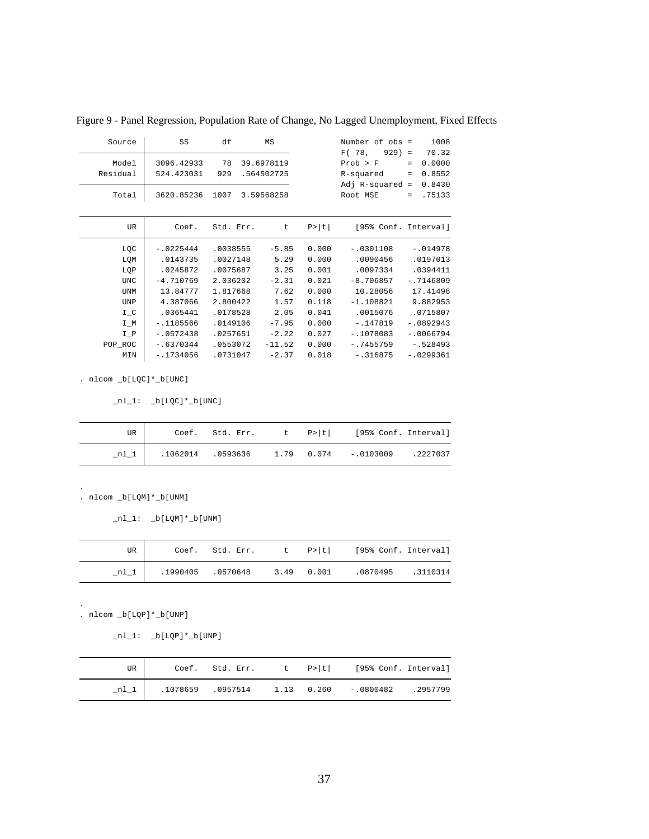| Source            | SS                       | df        | ΜS                       |        | Number of obs =<br>F(78,<br>$929 =$         | 1008<br>70.32                                 |
|-------------------|--------------------------|-----------|--------------------------|--------|---------------------------------------------|-----------------------------------------------|
| Model<br>Residual | 3096.42933<br>524.423031 | 78<br>929 | 39.6978119<br>.564502725 |        | Prob > F<br>R-squared<br>Adj $R$ -squared = | 0.0000<br>$=$<br>0.8552<br>$\equiv$<br>0.8430 |
| Total             | 3620.85236               | 1007      | 3.59568258               |        | Root MSE                                    | .75133<br>$=$                                 |
| UR.               | Coef.                    | Std. Err. | t                        | P >  t | [95% Conf. Interval]                        |                                               |
| LQC               | $-.0225444$              | .0038555  | $-5.85$                  | 0.000  | $-.0301108$                                 | $-.014978$                                    |
| LQM               | .0143735                 | .0027148  | 5.29                     | 0.000  | .0090456                                    | .0197013                                      |
| LQP               | .0245872                 | .0075687  | 3.25                     | 0.001  | .0097334                                    | .0394411                                      |
| <b>UNC</b>        | $-4.710769$              | 2.036202  | $-2.31$                  | 0.021  | $-8.706857$                                 | $-.7146809$                                   |
| UNM               | 13.84777                 | 1.817668  | 7.62                     | 0.000  | 10.28056                                    | 17.41498                                      |
| UNP               | 4.387066                 | 2.800422  | 1.57                     | 0.118  | $-1.108821$                                 | 9.882953                                      |
| $I_C$             | .0365441                 | .0178528  | 2.05                     | 0.041  | .0015076                                    | .0715807                                      |
| $I_M$             | $-1185566$               | .0149106  | $-7.95$                  | 0.000  | $-.147819$                                  | $-.0892943$                                   |
| $I_P$             | $-10572438$              | .0257651  | $-2.22$                  | 0.027  | $-.1078083$                                 | $-10066794$                                   |
| POP_ROC           | $-16370344$              | .0553072  | $-11.52$                 | 0.000  | $-.7455759$                                 | $-1528493$                                    |
| MIN               | $-1734056$               | .0731047  | $-2.37$                  | 0.018  | $-.316875$                                  | $-10299361$                                   |

Figure 9 - Panel Regression, Population Rate of Change, No Lagged Unemployment, Fixed Effects

 $\_n1\_1: \quad \verb|_-b[LQC]*\_b[UNC]|$ 

| UR |  |  | Coef. Std. Err. t P> t  [95% Conf. Interval]                |  |
|----|--|--|-------------------------------------------------------------|--|
|    |  |  | $.1062014$ $.0593636$ $1.79$ $0.074$ $-.0103009$ $.2227037$ |  |

. nlcom \_b[LQM]\*\_b[UNM]

 $\_n1\_1: \quad \verb|_b[LQM]*\_b[UNM]$ 

| UR     |  |  | Coef. Std. Err. t P> t  [95% Conf. Interval]   |  |
|--------|--|--|------------------------------------------------|--|
| $nl_1$ |  |  | .1990405 .0570648 3.49 0.001 .0870495 .3110314 |  |

. nlcom \_b[LQP]\*\_b[UNP]

.

.

 $nl_1: \n b[LQP]*b[UNP]$ 

| UR |  |  | Coef. Std. Err. t P> t  [95% Conf. Interval]            |  |
|----|--|--|---------------------------------------------------------|--|
|    |  |  | _nl_1   .1078659 .0957514 1.13 0.260 -.0800482 .2957799 |  |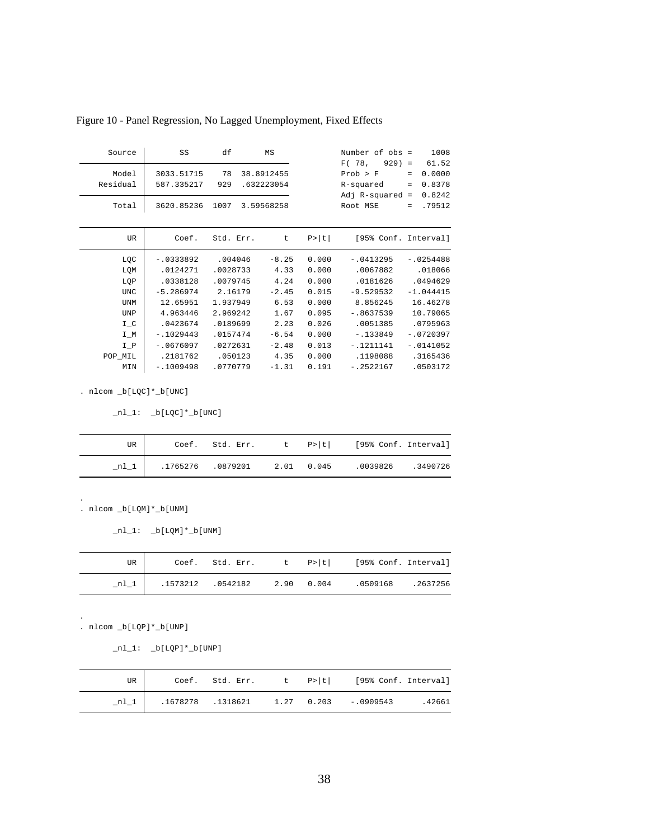| Source     | SS          | df        | MS         |        | Number of obs =      |          | 1008        |
|------------|-------------|-----------|------------|--------|----------------------|----------|-------------|
|            |             |           |            |        | F(78,<br>$929$ =     |          | 61.52       |
| Model      | 3033.51715  | 78        | 38.8912455 |        | Prob > F             | $=$      | 0.0000      |
| Residual   | 587.335217  | 929       | .632223054 |        | R-squared            | $\equiv$ | 0.8378      |
|            |             |           |            |        | $Adj R-squared =$    |          | 0.8242      |
| Total      | 3620.85236  | 1007      | 3.59568258 |        | Root MSE             | $=$      | .79512      |
|            |             |           |            |        |                      |          |             |
| UR         | Coef.       | Std. Err. | t.         | P >  t | [95% Conf. Interval] |          |             |
|            |             |           |            |        |                      |          |             |
| LQC        | $-0333892$  | .004046   | $-8.25$    | 0.000  | $-.0413295$          |          | $-.0254488$ |
| LQM        | .0124271    | .0028733  | 4.33       | 0.000  | .0067882             |          | .018066     |
| LQP        | .0338128    | .0079745  | 4.24       | 0.000  | .0181626             |          | .0494629    |
| <b>UNC</b> | $-5.286974$ | 2.16179   | $-2.45$    | 0.015  | $-9.529532$          |          | $-1.044415$ |
| UNM        | 12.65951    | 1.937949  | 6.53       | 0.000  | 8.856245             |          | 16.46278    |
| <b>UNP</b> | 4.963446    | 2.969242  | 1.67       | 0.095  | $-.8637539$          |          | 10.79065    |
| $I_C$      | .0423674    | .0189699  | 2.23       | 0.026  | .0051385             |          | .0795963    |
| $I_M$      | $-1029443$  | .0157474  | $-6.54$    | 0.000  | $-133849$            |          | $-0720397$  |
| $I_P$      | $-10676097$ | .0272631  | $-2.48$    | 0.013  | $-1211141$           |          | $-.0141052$ |
| POP_MIL    | .2181762    | .050123   | 4.35       | 0.000  | .1198088             |          | .3165436    |
| MIN        | $-1009498$  | .0770779  | $-1.31$    | 0.191  | $-.2522167$          |          | .0503172    |
|            |             |           |            |        |                      |          |             |

Figure 10 - Panel Regression, No Lagged Unemployment, Fixed Effects

 $\_n1\_1: \quad \underline{\texttt{b}}[\texttt{LQC}]\texttt{*}\underline{\texttt{b}}[\texttt{UNC}]$ 

| UR |  |  | Coef. Std. Err. t P> t  [95% Conf. Interval] |  |
|----|--|--|----------------------------------------------|--|
|    |  |  |                                              |  |

. nlcom \_b[LQM]\*\_b[UNM]

 $\_n1\_1:$   $\_b[LQM]*\_b[UNM]$ 

| UR     |  |  | Coef. Std. Err. $t \quad p >  t $ [95% Conf. Interval]     |  |
|--------|--|--|------------------------------------------------------------|--|
| $n1_1$ |  |  | $.1573212$ $.0542182$ $2.90$ $0.004$ $.0509168$ $.2637256$ |  |

. nlcom \_b[LQP]\*\_b[UNP]

.

.

 $_nl_1: b[LQP]*b[UNP]$ 

| UR     | Coef. Std. Err. |  | t P> t  [95% Conf. Interval]           |       |
|--------|-----------------|--|----------------------------------------|-------|
| $nl_1$ |                 |  | .1678278 .1318621 1.27 0.203 -.0909543 | 42661 |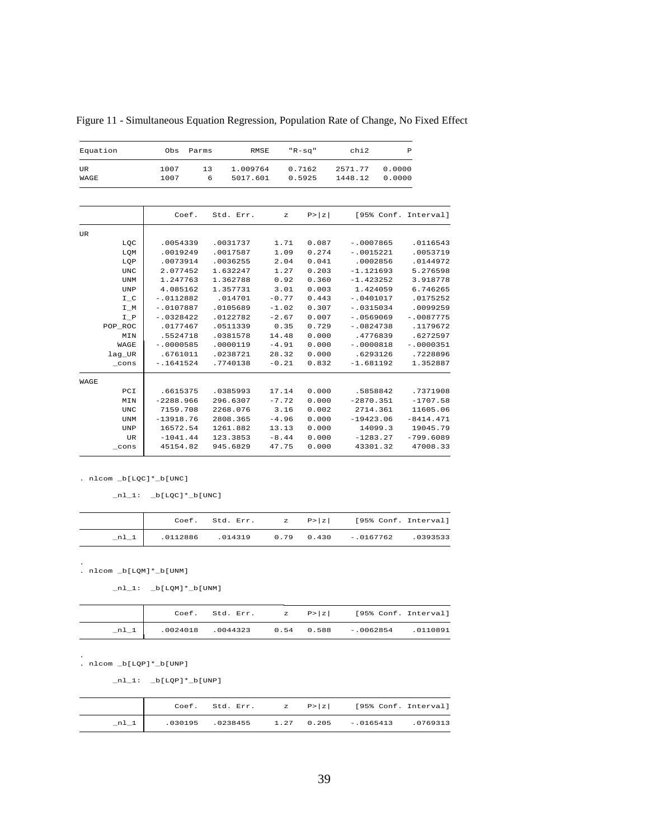| Equation          | Obs          | Parms   |                      | <b>RMSE</b> | $"R-Sq"$         | chi2               |                  | $\mathbf{P}$         |
|-------------------|--------------|---------|----------------------|-------------|------------------|--------------------|------------------|----------------------|
| <b>UR</b><br>WAGE | 1007<br>1007 | 13<br>6 | 1.009764<br>5017.601 |             | 0.7162<br>0.5925 | 2571.77<br>1448.12 | 0.0000<br>0.0000 |                      |
|                   |              |         |                      |             |                  |                    |                  |                      |
|                   | Coef.        |         | Std. Err.            | $\mathbf z$ | P >  z           |                    |                  | [95% Conf. Interval] |
| UR                |              |         |                      |             |                  |                    |                  |                      |
| LQC               | .0054339     |         | .0031737             | 1.71        | 0.087            |                    | $-10007865$      | .0116543             |
| LOM               | .0019249     |         | .0017587             | 1.09        | 0.274            |                    | $-.0015221$      | .0053719             |
| LQP               | .0073914     |         | .0036255             | 2.04        | 0.041            |                    | .0002856         | .0144972             |
| <b>UNC</b>        | 2.077452     |         | 1.632247             | 1.27        | 0.203            |                    | $-1.121693$      | 5.276598             |
| <b>UNM</b>        | 1.247763     |         | 1.362788             | 0.92        | 0.360            |                    | $-1.423252$      | 3.918778             |
| <b>UNP</b>        | 4.085162     |         | 1.357731             | 3.01        | 0.003            |                    | 1.424059         | 6.746265             |
| $I_C$             | $-.0112882$  |         | .014701              | $-0.77$     | 0.443            |                    | $-0.401017$      | .0175252             |
| I_M               | $-10107887$  |         | .0105689             | $-1.02$     | 0.307            |                    | $-10315034$      | .0099259             |
| $I_P$             | $-10328422$  |         | .0122782             | $-2.67$     | 0.007            |                    | $-10569069$      | $-10087775$          |
| POP ROC           | .0177467     |         | .0511339             | 0.35        | 0.729            |                    | $-10824738$      | .1179672             |
| MIN               | .5524718     |         | .0381578             | 14.48       | 0.000            |                    | .4776839         | .6272597             |
| WAGE              | $-.0000585$  |         | .0000119             | $-4.91$     | 0.000            |                    | $-.0000818$      | $-.0000351$          |
| lag_UR            | .6761011     |         | .0238721             | 28.32       | 0.000            |                    | .6293126         | .7228896             |
| cons              | $-1641524$   |         | .7740138             | $-0.21$     | 0.832            |                    | $-1.681192$      | 1.352887             |
| WAGE              |              |         |                      |             |                  |                    |                  |                      |
| PCI               | .6615375     |         | .0385993             | 17.14       | 0.000            |                    | .5858842         | .7371908             |
| MIN               | $-2288.966$  |         | 296.6307             | $-7.72$     | 0.000            |                    | $-2870.351$      | $-1707.58$           |
| <b>UNC</b>        | 7159.708     |         | 2268.076             | 3.16        | 0.002            |                    | 2714.361         | 11605.06             |
| <b>UNM</b>        | $-13918.76$  |         | 2808.365             | $-4.96$     | 0.000            |                    | $-19423.06$      | $-8414.471$          |
| <b>UNP</b>        | 16572.54     |         | 1261.882             | 13.13       | 0.000            |                    | 14099.3          | 19045.79             |
| <b>UR</b>         | $-1041.44$   |         | 123.3853             | $-8.44$     | 0.000            |                    | $-1283.27$       | $-799.6089$          |
| $_{\rm \_cons}$   | 45154.82     |         | 945.6829             | 47.75       | 0.000            |                    | 43301.32         | 47008.33             |
|                   |              |         |                      |             |                  |                    |                  |                      |

Figure 11 - Simultaneous Equation Regression, Population Rate of Change, No Fixed Effect

 $_nl_1: \n b[LQC]*b[UNC]$ 

|  |  | Coef. Std. Err. $z = P >  z $ [95% Conf. Interval]          |  |
|--|--|-------------------------------------------------------------|--|
|  |  | $0.112886$ $0.14319$ $0.79$ $0.430$ $-0.0167762$ $0.393533$ |  |

. nlcom \_b[LQM]\*\_b[UNM] .

 $\_n1\_1:$   $\_b[LQM]*\_b[UNM]$ 

|        |  |  | Coef. Std. Err. $z = P >  z $ [95% Conf. Interval]      |  |
|--------|--|--|---------------------------------------------------------|--|
| $n1_1$ |  |  | .0024018 .0044323   0.54   0.588   -.0062854   .0110891 |  |

. nlcom \_b[LQP]\*\_b[UNP] .

 $\_n1\_1: \quad \underline{\texttt{bl}}\texttt{LQP1*}\underline{\texttt{bl}}\texttt{UNP1}$ 

|  | Coef. Std. Err. | $\mathbb{Z}$ P $\mathbb{Z}$ | [95% Conf. Interval]                  |         |
|--|-----------------|-----------------------------|---------------------------------------|---------|
|  |                 |                             | .030195 .0238455 1.27 0.205 -.0165413 | 0769313 |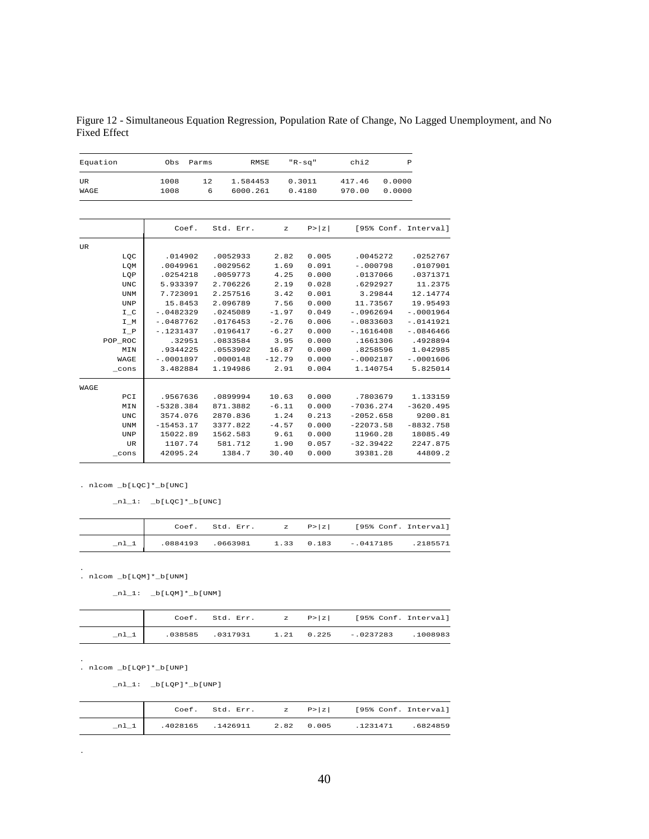Figure 12 - Simultaneous Equation Regression, Population Rate of Change, No Lagged Unemployment, and No Fixed Effect

| Equation   | Obs          | Parms                           | <b>RMSE</b>  | $"R-sq"$         | chi2             |                  | P                    |
|------------|--------------|---------------------------------|--------------|------------------|------------------|------------------|----------------------|
| UR<br>WAGE | 1008<br>1008 | 12<br>1.584453<br>6<br>6000.261 |              | 0.3011<br>0.4180 | 417.46<br>970.00 | 0.0000<br>0.0000 |                      |
|            |              |                                 |              |                  |                  |                  |                      |
|            | Coef.        | Std. Err.                       | $\mathbf{z}$ | P >  z           |                  |                  | [95% Conf. Interval] |
| UR         |              |                                 |              |                  |                  |                  |                      |
| LQC        | .014902      | .0052933                        | 2.82         | 0.005            |                  | .0045272         | .0252767             |
| LQM        | .0049961     | .0029562                        | 1.69         | 0.091            | $-.000798$       |                  | .0107901             |
| LQP        | .0254218     | .0059773                        | 4.25         | 0.000            |                  | .0137066         | .0371371             |
| <b>UNC</b> | 5.933397     | 2.706226                        | 2.19         | 0.028            |                  | .6292927         | 11.2375              |
| <b>UNM</b> | 7.723091     | 2.257516                        | 3.42         | 0.001            |                  | 3.29844          | 12.14774             |
| UNP        | 15.8453      | 2.096789                        | 7.56         | 0.000            | 11.73567         |                  | 19.95493             |
| $I_C$      | $-10482329$  | .0245089                        | $-1.97$      | 0.049            | $-10962694$      |                  | $-.0001964$          |
| I_M        | $-.0487762$  | .0176453                        | $-2.76$      | 0.006            | $-.0833603$      |                  | $-.0141921$          |
| $I_P$      | $-1231437$   | .0196417                        | $-6.27$      | 0.000            | $-1616408$       |                  | $-0846466$           |
| POP_ROC    | .32951       | .0833584                        | 3.95         | 0.000            |                  | .1661306         | .4928894             |
| MIN        | .9344225     | .0553902                        | 16.87        | 0.000            |                  | .8258596         | 1.042985             |
| WAGE       | $-10001897$  | .0000148                        | $-12.79$     | 0.000            | $-10002187$      |                  | $-10001606$          |
| $\_cons$   | 3.482884     | 1.194986                        | 2.91         | 0.004            | 1.140754         |                  | 5.825014             |
| WAGE       |              |                                 |              |                  |                  |                  |                      |
| $PCI$      | .9567636     | .0899994                        | 10.63        | 0.000            |                  | .7803679         | 1.133159             |
| MIN        | $-5328.384$  | 871.3882                        | $-6.11$      | 0.000            | $-7036.274$      |                  | $-3620.495$          |
| <b>UNC</b> | 3574.076     | 2870.836                        | 1.24         | 0.213            | $-2052.658$      |                  | 9200.81              |
| <b>UNM</b> | $-15453.17$  | 3377.822                        | $-4.57$      | 0.000            | $-22073.58$      |                  | $-8832.758$          |
| <b>UNP</b> | 15022.89     | 1562.583                        | 9.61         | 0.000            | 11960.28         |                  | 18085.49             |
| <b>UR</b>  | 1107.74      | 581.712                         | 1.90         | 0.057            | $-32.39422$      |                  | 2247.875             |
| cons       | 42095.24     | 1384.7                          | 30.40        | 0.000            |                  | 39381.28         | 44809.2              |

 $_nl_1: \n_b[LQC]*b[UNC]$ 

|        |  |  | Coef. Std. Err. $z = P >  z $ [95% Conf. Interval]      |  |
|--------|--|--|---------------------------------------------------------|--|
| $nl_1$ |  |  | .0884193 .0663981   1.33   0.183   -.0417185   .2185571 |  |

. nlcom \_b[LQM]\*\_b[UNM] .

 $_nl_1: \underline{\hspace{1cm}} b[LQM]*\underline{\hspace{1cm}} b[UM]$ 

|        |  |  | Coef. Std. Err. $z = P >  z $ [95% Conf. Interval] |  |
|--------|--|--|----------------------------------------------------|--|
| $n1_1$ |  |  |                                                    |  |

. nlcom \_b[LQP]\*\_b[UNP] .

.

 $_nl_1: \n b[LQP]*b[UNP]$ 

|  |  | Coef. Std. Err. $z = P >  z $ [95% Conf. Interval]     |  |
|--|--|--------------------------------------------------------|--|
|  |  | 1231471 .4028165 .1426911 2.82 0.005 .1231471 .6824859 |  |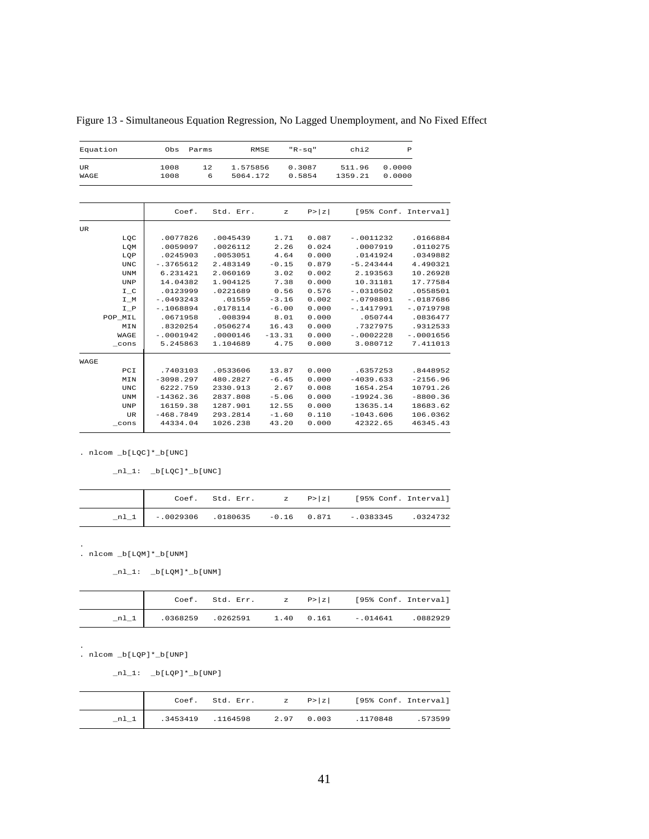| Equation   | Obs<br>Parms |                                 | RMSE           | $"R-Sq"$         | chi2              |                  | P                    |
|------------|--------------|---------------------------------|----------------|------------------|-------------------|------------------|----------------------|
| UR<br>WAGE | 1008<br>1008 | 12<br>1.575856<br>6<br>5064.172 |                | 0.3087<br>0.5854 | 511.96<br>1359.21 | 0.0000<br>0.0000 |                      |
|            |              |                                 |                |                  |                   |                  |                      |
|            | Coef.        | Std. Err.                       | $\overline{z}$ | P >  z           |                   |                  | [95% Conf. Interval] |
| UR         |              |                                 |                |                  |                   |                  |                      |
| LQC        | .0077826     | .0045439                        | 1.71           | 0.087            | $-.0011232$       |                  | .0166884             |
| LQM        | .0059097     | .0026112                        | 2.26           | 0.024            | .0007919          |                  | .0110275             |
| LOP        | .0245903     | .0053051                        | 4.64           | 0.000            | .0141924          |                  | .0349882             |
| UNC        | $-13765612$  | 2.483149                        | $-0.15$        | 0.879            | $-5.243444$       |                  | 4.490321             |
| <b>UNM</b> | 6.231421     | 2.060169                        | 3.02           | 0.002            | 2.193563          |                  | 10.26928             |
| UNP        | 14.04382     | 1.904125                        | 7.38           | 0.000            | 10.31181          |                  | 17.77584             |
| I C        | .0123999     | .0221689                        | 0.56           | 0.576            | $-10310502$       |                  | .0558501             |
| I M        | $-.0493243$  | .01559                          | $-3.16$        | 0.002            | $-.0798801$       |                  | $-.0187686$          |
| $I_P$      | $-1068894$   | .0178114                        | $-6.00$        | 0.000            | $-1417991$        |                  | $-10719798$          |
| POP MIL    | .0671958     | .008394                         | 8.01           | 0.000            | .050744           |                  | .0836477             |
| MIN        | .8320254     | .0506274                        | 16.43          | 0.000            | .7327975          |                  | .9312533             |
| WAGE       | $-10001942$  | .0000146                        | $-13.31$       | 0.000            | $-10002228$       |                  | $-.0001656$          |
| cons       | 5.245863     | 1.104689                        | 4.75           | 0.000            | 3.080712          |                  | 7.411013             |
| WAGE       |              |                                 |                |                  |                   |                  |                      |
| PCI        | .7403103     | .0533606                        | 13.87          | 0.000            | .6357253          |                  | .8448952             |
| MIN        | $-3098.297$  | 480.2827                        | $-6.45$        | 0.000            | $-4039.633$       |                  | $-2156.96$           |
| <b>UNC</b> | 6222.759     | 2330.913                        | 2.67           | 0.008            | 1654.254          |                  | 10791.26             |
| <b>UNM</b> | $-14362.36$  | 2837.808                        | $-5.06$        | 0.000            | $-19924.36$       |                  | $-8800.36$           |
| UNP        | 16159.38     | 1287.901                        | 12.55          | 0.000            | 13635.14          |                  | 18683.62             |
| UR         | $-468.7849$  | 293.2814                        | $-1.60$        | 0.110            | $-1043.606$       |                  | 106.0362             |
| cons       | 44334.04     | 1026.238                        | 43.20          | 0.000            | 42322.65          |                  | 46345.43             |

Figure 13 - Simultaneous Equation Regression, No Lagged Unemployment, and No Fixed Effect

 $\_n1\_1: \quad \underline{\quad} b[\underline{\quad} bQC]^* \underline{\quad} b[\underline{\quad} UNC]$ 

|  |  | Coef. Std. Err. $z \quad P >  z $ [95% Conf. Interval]   |  |
|--|--|----------------------------------------------------------|--|
|  |  | nl 1   -.0029306 .0180635 -0.16 0.871 -.0383345 .0324732 |  |

. nlcom \_b[LQM]\*\_b[UNM]

.

 $_nl_1: \n b[LQM]*b[UNM]$ 

|      |  |  | Coef. Std. Err. $z = P >  z $ [95% Conf. Interval] |  |
|------|--|--|----------------------------------------------------|--|
| nl 1 |  |  |                                                    |  |

. nlcom \_b[LQP]\*\_b[UNP] .

 $nl_1: \n b[LQP]*b[UNP]$ 

|  |  | Coef. Std. Err. $z = P >  z $ [95% Conf. Interval]   |  |
|--|--|------------------------------------------------------|--|
|  |  | nl 1   .3453419 .1164598 2.97 0.003 .1170848 .573599 |  |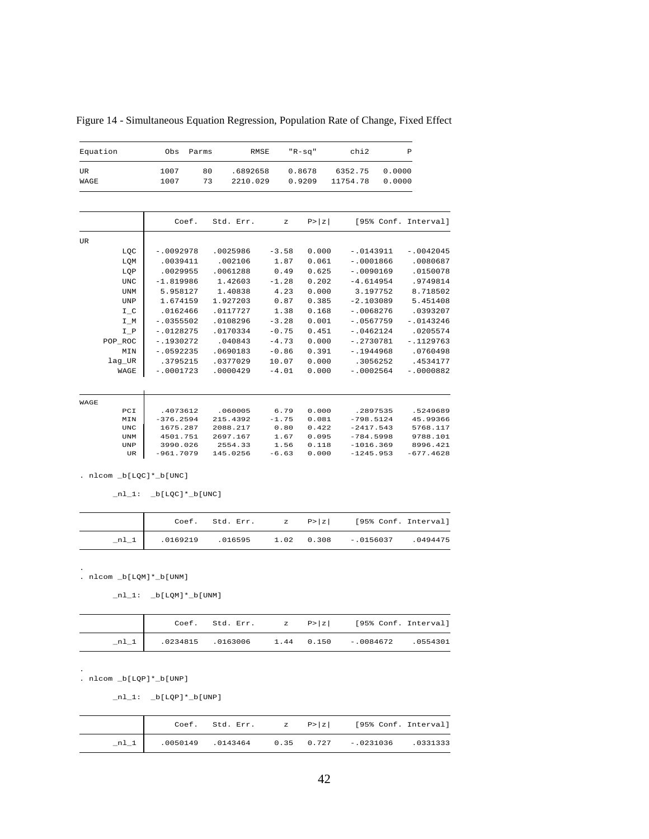| Equation    | Obs         | Parms |           | <b>RMSE</b> | $"R-Sq"$ |        | chi2     |  |             | $\mathbb P$          |
|-------------|-------------|-------|-----------|-------------|----------|--------|----------|--|-------------|----------------------|
| <b>UR</b>   | 1007        | 80    | .6892658  |             | 0.8678   |        | 6352.75  |  | 0.0000      |                      |
| WAGE        | 1007        | 73    | 2210.029  |             | 0.9209   |        | 11754.78 |  | 0.0000      |                      |
|             |             |       |           |             |          |        |          |  |             |                      |
|             |             | Coef. | Std. Err. |             | z        | P >  Z |          |  |             | [95% Conf. Interval] |
| UR          |             |       |           |             |          |        |          |  |             |                      |
| LQC         | $-.0092978$ |       | .0025986  | $-3.58$     |          | 0.000  |          |  | $-.0143911$ | $-.0042045$          |
| LOM         | .0039411    |       | .002106   | 1.87        |          | 0.061  |          |  | $-.0001866$ | .0080687             |
| LQP         | .0029955    |       | .0061288  | 0.49        |          | 0.625  |          |  | $-.0090169$ | .0150078             |
| <b>UNC</b>  | $-1.819986$ |       | 1.42603   | $-1.28$     |          | 0.202  |          |  | $-4.614954$ | .9749814             |
| <b>UNM</b>  | 5.958127    |       | 1.40838   | 4.23        |          | 0.000  |          |  | 3.197752    | 8.718502             |
| <b>UNP</b>  | 1.674159    |       | 1.927203  | 0.87        |          | 0.385  |          |  | $-2.103089$ | 5.451408             |
| $I_C$       | .0162466    |       | .0117727  | 1.38        |          | 0.168  |          |  | $-.0068276$ | .0393207             |
| $I_M$       | $-10355502$ |       | .0108296  | $-3.28$     |          | 0.001  |          |  | $-10567759$ | $-.0143246$          |
| $I_P$       | $-.0128275$ |       | .0170334  | $-0.75$     |          | 0.451  |          |  | $-.0462124$ | .0205574             |
| POP ROC     | $-.1930272$ |       | .040843   | $-4.73$     |          | 0.000  |          |  | $-.2730781$ | $-.1129763$          |
| MIN         | $-10592235$ |       | .0690183  | $-0.86$     |          | 0.391  |          |  | $-.1944968$ | .0760498             |
| lag_UR      | .3795215    |       | .0377029  | 10.07       |          | 0.000  |          |  | .3056252    | .4534177             |
| WAGE        | $-.0001723$ |       | .0000429  | $-4.01$     |          | 0.000  |          |  | $-.0002564$ | $-.0000882$          |
|             |             |       |           |             |          |        |          |  |             |                      |
| WAGE<br>PCI | .4073612    |       | .060005   | 6.79        |          | 0.000  |          |  | .2897535    | .5249689             |
| MIN         | $-376.2594$ |       | 215.4392  | $-1.75$     |          | 0.081  |          |  | $-798.5124$ | 45.99366             |
| <b>UNC</b>  | 1675.287    |       | 2088.217  | 0.80        |          | 0.422  |          |  | $-2417.543$ | 5768.117             |
| <b>UNM</b>  | 4501.751    |       | 2697.167  | 1.67        |          | 0.095  |          |  | $-784.5998$ | 9788.101             |
| <b>UNP</b>  | 3990.026    |       | 2554.33   | 1.56        |          | 0.118  |          |  | $-1016.369$ | 8996.421             |
| UR          | $-961.7079$ |       | 145.0256  | $-6.63$     |          | 0.000  |          |  | $-1245.953$ | $-677.4628$          |

Figure 14 - Simultaneous Equation Regression, Population Rate of Change, Fixed Effect

 $\_n1\_1: \quad \underline{\hspace{0.5em}\texttt{b}}[ \, \underline{\hspace{0.5em}\texttt{LQC}} \, ] \, {}^{\star}\underline{\hspace{0.5em}\texttt{b}}[ \, \underline{\hspace{0.5em}\texttt{UNC}} \, ]$ 

|        |  |  | Coef. Std. Err. $z \quad P >  z $ [95% Conf. Interval] |  |
|--------|--|--|--------------------------------------------------------|--|
| $n1_1$ |  |  | 0494475. 0169219 0.016595 1.02 0.308 -.0156037 .       |  |

. nlcom \_b[LQM]\*\_b[UNM] .

 $_nl_1: \underline{b}[LQM]*b[UNM]$ 

|  |  | Coef. Std. Err. $z = P >  z $ [95% Conf. Interval]  |  |
|--|--|-----------------------------------------------------|--|
|  |  | nl 1   0234815 0163006 1.44 0.150 -.0084672 0554301 |  |

. nlcom \_b[LQP]\*\_b[UNP] .

 $nl_1: \n b[LQP]*b[UNP]$ 

|      |  |  | Coef. Std. Err. $z = P >  z $ [95% Conf. Interval]      |  |
|------|--|--|---------------------------------------------------------|--|
| nl 1 |  |  | .0050149 .0143464   0.35   0.727   -.0231036   .0331333 |  |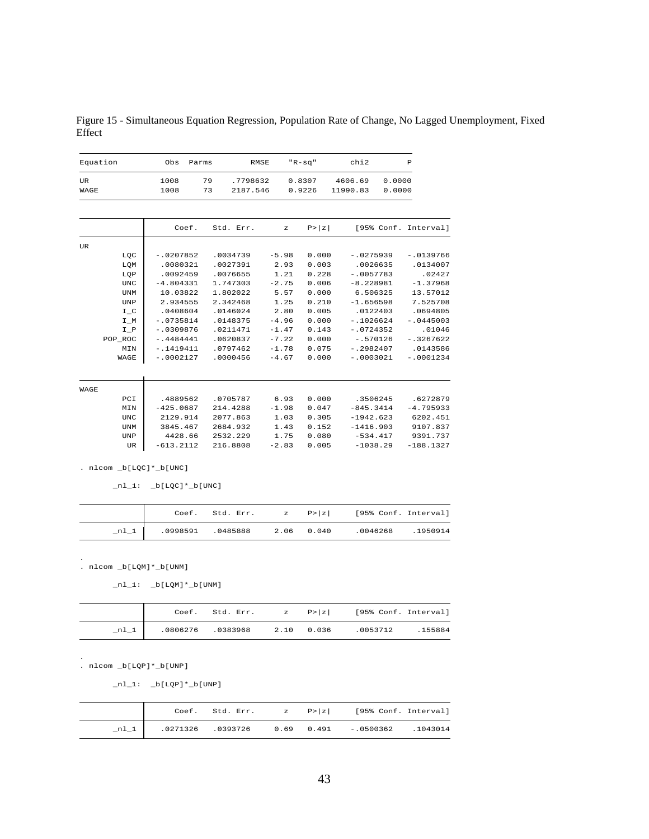Figure 15 - Simultaneous Equation Regression, Population Rate of Change, No Lagged Unemployment, Fixed Effect

| chi2                                                                 | $"R-Sq"$                                  |                                                  | <b>RMSE</b>                                              | Parms    | Obs                                                                       | Equation                                             |                                              |
|----------------------------------------------------------------------|-------------------------------------------|--------------------------------------------------|----------------------------------------------------------|----------|---------------------------------------------------------------------------|------------------------------------------------------|----------------------------------------------|
| 4606.69<br>11990.83                                                  | 0.8307<br>0.9226                          |                                                  | .7798632<br>2187.546                                     | 79<br>73 | 1008<br>1008                                                              |                                                      | <b>UR</b><br>WAGE                            |
| [95% Conf. Interval]                                                 | P >  z                                    | $\mathbf{z}$                                     | Std. Err.                                                | Coef.    |                                                                           |                                                      |                                              |
|                                                                      |                                           |                                                  |                                                          |          |                                                                           |                                                      | <b>UR</b>                                    |
| $-10275939$<br>.0026635                                              | 0.000<br>0.003                            | $-5.98$<br>2.93                                  | .0034739<br>.0027391                                     |          | $-.0207852$<br>.0080321                                                   | LQC<br>LQM                                           |                                              |
| $-10057783$<br>$-8.228981$                                           | 0.228<br>0.006                            | 1.21<br>$-2.75$                                  | .0076655<br>1.747303                                     |          | .0092459<br>$-4.804331$                                                   | LOP<br><b>UNC</b>                                    |                                              |
| 6.506325                                                             | 0.000                                     | 5.57                                             | 1.802022                                                 |          | 10.03822<br>2.934555                                                      | <b>UNM</b>                                           |                                              |
| .0122403                                                             | 0.005                                     | 2.80                                             | .0146024                                                 |          | .0408604                                                                  | $I_C$                                                |                                              |
| $-10724352$                                                          | 0.143                                     | $-1.47$                                          | .0211471                                                 |          | $-10309876$                                                               | I P                                                  |                                              |
| $-12982407$                                                          | 0.075                                     | $-1.78$                                          | .0797462                                                 |          | $-1419411$                                                                | MIN                                                  |                                              |
|                                                                      |                                           |                                                  |                                                          |          |                                                                           |                                                      |                                              |
|                                                                      |                                           |                                                  |                                                          |          |                                                                           |                                                      | WAGE                                         |
| .3506245<br>$-845.3414$<br>$-1942.623$<br>$-1416.903$<br>$-534.417$  | 0.000<br>0.047<br>0.305<br>0.152<br>0.080 | 6.93<br>$-1.98$<br>1.03<br>1.43<br>1.75          | .0705787<br>214.4288<br>2077.863<br>2684.932<br>2532.229 |          | .4889562<br>$-425.0687$<br>2129.914<br>3845.467<br>4428.66<br>$-613.2112$ | PCI<br>MIN<br><b>UNC</b><br><b>UNM</b><br><b>UNP</b> |                                              |
| $-1.656598$<br>$-1026624$<br>$-1570126$<br>$-10003021$<br>$-1038.29$ | 0.210<br>0.000<br>0.000<br>0.000<br>0.005 | 1.25<br>$-4.96$<br>$-7.22$<br>$-4.67$<br>$-2.83$ | 2.342468<br>.0148375<br>.0620837<br>.0000456<br>216.8808 |          |                                                                           | $-10735814$<br>$-.4484441$<br>$-10002127$            | <b>UNP</b><br>$I_M$<br>POP ROC<br>WAGE<br>UR |

 $nl_1: \n_b[LQC]*_b[UNC]$ 

|  |  | Coef. Std. Err. $z = P >  z $ [95% Conf. Interval] |  |
|--|--|----------------------------------------------------|--|
|  |  |                                                    |  |

. nlcom \_b[LQM]\*\_b[UNM] .

 $nl_1: b[LQM]*b[UNM]$ 

|      |  |  | Coef. Std. Err. $z = P >  z $ [95% Conf. Interval] |  |
|------|--|--|----------------------------------------------------|--|
| nl 1 |  |  |                                                    |  |

. nlcom \_b[LQP]\*\_b[UNP]

.

 $_nl_1: \n b[LQP]*b[UNP]$ 

|  |  | Coef. Std. Err. $z = P >  z $ [95% Conf. Interval]     |  |
|--|--|--------------------------------------------------------|--|
|  |  | nl 1   .0271326 .0393726 0.69 0.491 -.0500362 .1043014 |  |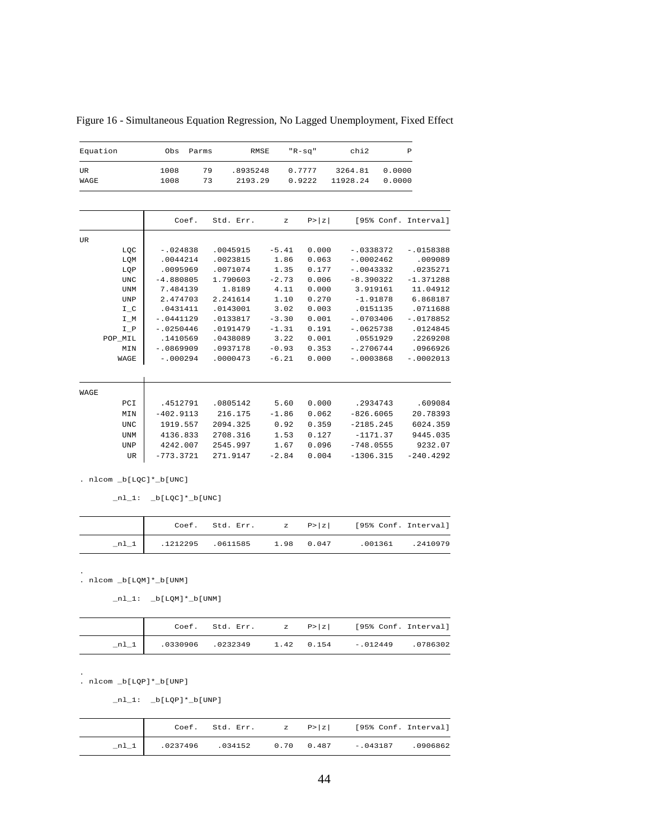| Equation    |    | Obs          | Parms |          | RMSE                |         | $"R-sq"$         |                     | chi2 |                  | P |                      |
|-------------|----|--------------|-------|----------|---------------------|---------|------------------|---------------------|------|------------------|---|----------------------|
| UR.<br>WAGE |    | 1008<br>1008 |       | 79<br>73 | .8935248<br>2193.29 |         | 0.7777<br>0.9222 | 3264.81<br>11928.24 |      | 0.0000<br>0.0000 |   |                      |
|             |    |              | Coef. |          | Std. Err.           | z       | P >  z           |                     |      |                  |   | [95% Conf. Interval] |
| UR          |    |              |       |          |                     |         |                  |                     |      |                  |   |                      |
| LQC         |    | $-.024838$   |       |          | .0045915            | $-5.41$ | 0.000            |                     |      | $-.0338372$      |   | $-10158388$          |
| LQM         |    | .0044214     |       |          | .0023815            | 1.86    | 0.063            |                     |      | $-.0002462$      |   | .009089              |
| LOP         |    | .0095969     |       |          | .0071074            | 1.35    | 0.177            |                     |      | $-.0043332$      |   | .0235271             |
| <b>UNC</b>  |    | $-4.880805$  |       |          | 1.790603            | $-2.73$ | 0.006            |                     |      | $-8.390322$      |   | $-1.371288$          |
| <b>UNM</b>  |    | 7.484139     |       |          | 1.8189              | 4.11    | 0.000            |                     |      | 3.919161         |   | 11.04912             |
| <b>UNP</b>  |    | 2.474703     |       |          | 2.241614            | 1.10    | 0.270            |                     |      | $-1.91878$       |   | 6.868187             |
| $I_C$       |    | .0431411     |       |          | .0143001            | 3.02    | 0.003            |                     |      | .0151135         |   | .0711688             |
| $I_M$       |    | $-.0441129$  |       |          | .0133817            | $-3.30$ | 0.001            |                     |      | $-.0703406$      |   | $-.0178852$          |
| $I_P$       |    | $-.0250446$  |       |          | .0191479            | $-1.31$ | 0.191            |                     |      | $-10625738$      |   | .0124845             |
| POP_MIL     |    | .1410569     |       |          | .0438089            | 3.22    | 0.001            |                     |      | .0551929         |   | .2269208             |
| MIN         |    | $-10869909$  |       |          | .0937178            | $-0.93$ | 0.353            |                     |      | $-12706744$      |   | .0966926             |
| WAGE        |    | $-.000294$   |       |          | .0000473            | $-6.21$ | 0.000            |                     |      | $-.0003868$      |   | $-.0002013$          |
| WAGE        |    |              |       |          |                     |         |                  |                     |      |                  |   |                      |
| PCI         |    | .4512791     |       |          | .0805142            | 5.60    | 0.000            |                     |      | .2934743         |   | .609084              |
| MIN         |    | $-402.9113$  |       |          | 216.175             | $-1.86$ | 0.062            |                     |      | $-826.6065$      |   | 20.78393             |
| <b>UNC</b>  |    | 1919.557     |       |          | 2094.325            | 0.92    | 0.359            |                     |      | $-2185.245$      |   | 6024.359             |
| <b>UNM</b>  |    | 4136.833     |       |          | 2708.316            | 1.53    | 0.127            |                     |      | $-1171.37$       |   | 9445.035             |
| <b>UNP</b>  |    | 4242.007     |       |          | 2545.997            | 1.67    | 0.096            |                     |      | $-748.0555$      |   | 9232.07              |
|             | UR | $-773.3721$  |       |          | 271.9147            | $-2.84$ | 0.004            |                     |      | $-1306.315$      |   | $-240.4292$          |
|             |    |              |       |          |                     |         |                  |                     |      |                  |   |                      |

Figure 16 - Simultaneous Equation Regression, No Lagged Unemployment, Fixed Effect

 $\_n1\_1:$   $\_b[LQC]*\_b[UNC]$ 

|                                             |  | Coef. Std. Err. $z = P >  z $ [95% Conf. Interval] |  |
|---------------------------------------------|--|----------------------------------------------------|--|
| $n1_1$   $.1212295$ $.0611585$ $1.98$ 0.047 |  | .001361 .2410979                                   |  |

. nlcom \_b[LQM]\*\_b[UNM] .

 $\_nl\_1$ :  $\_b[LQM]*\_b[UNM]$ 

|        |  |  | Coef. Std. Err. $z = P >  z $ [95% Conf. Interval] |  |
|--------|--|--|----------------------------------------------------|--|
| $n1_1$ |  |  | .0330906 .0232349 1.42 0.154 -.012449 .0786302     |  |

. nlcom \_b[LQP]\*\_b[UNP]

.

 $_nl_1: b[LQP]*b[UNP]$ 

|  |  | Coef. Std. Err. $z = P >  z $ [95% Conf. Interval]   |  |
|--|--|------------------------------------------------------|--|
|  |  | nl 1   .0237496 .034152 0.70 0.487 -.043187 .0906862 |  |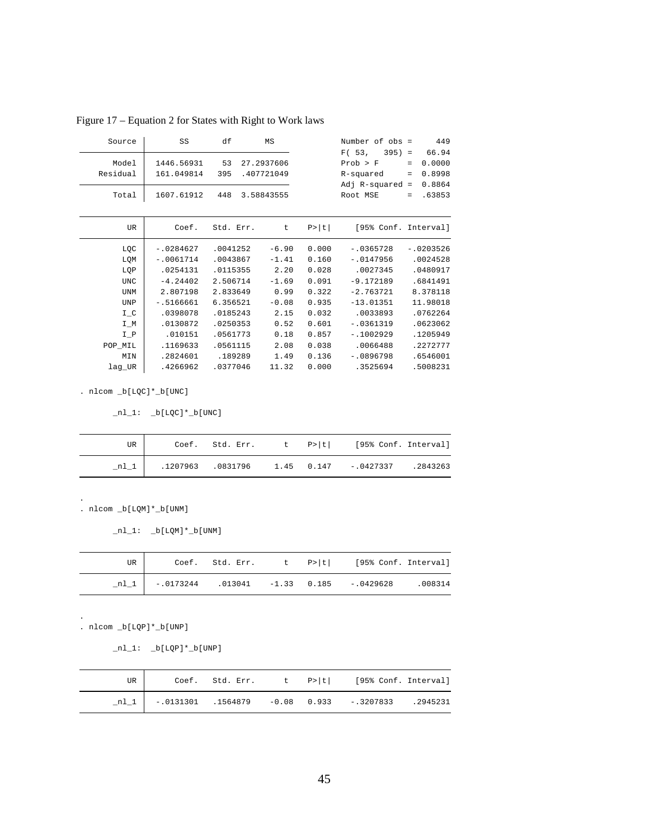| Source            | SS                       | df        | MS                       |        | Number of obs =                             | 449                                                   |
|-------------------|--------------------------|-----------|--------------------------|--------|---------------------------------------------|-------------------------------------------------------|
| Model<br>Residual | 1446.56931<br>161.049814 | 53<br>395 | 27.2937606<br>.407721049 |        | F(53,<br>$395$ ) =<br>Prob > F<br>R-squared | 66.94<br>0.0000<br>$=$<br>0.8998<br>$\qquad \qquad =$ |
| Total             | 1607.61912               | 448       | 3.58843555               |        | Adj $R$ -squared =<br>Root MSE              | 0.8864<br>.63853<br>$=$                               |
| UR                | Coef.                    | Std. Err. | t                        | P >  t | [95% Conf. Interval]                        |                                                       |
| LQC               | $-.0284627$              | .0041252  | $-6.90$                  | 0.000  | $-10365728$                                 | $-10203526$                                           |
| LQM               | $-.0061714$              | .0043867  | $-1.41$                  | 0.160  | $-.0147956$                                 | .0024528                                              |
| LQP               | .0254131                 | .0115355  | 2.20                     | 0.028  | .0027345                                    | .0480917                                              |
| <b>UNC</b>        | $-4.24402$               | 2.506714  | $-1.69$                  | 0.091  | $-9.172189$                                 | .6841491                                              |
| <b>UNM</b>        | 2.807198                 | 2.833649  | 0.99                     | 0.322  | $-2.763721$                                 | 8.378118                                              |
| UNP               | $-15166661$              | 6.356521  | $-0.08$                  | 0.935  | $-13.01351$                                 | 11.98018                                              |
| $I_C$             | .0398078                 | .0185243  | 2.15                     | 0.032  | .0033893                                    | .0762264                                              |
| $I_M$             | .0130872                 | .0250353  | 0.52                     | 0.601  | $-10361319$                                 | .0623062                                              |
| I P               | .010151                  | .0561773  | 0.18                     | 0.857  | $-1002929$                                  | .1205949                                              |
| POP_MIL           | .1169633                 | .0561115  | 2.08                     | 0.038  | .0066488                                    | .2272777                                              |
| MIN               | .2824601                 | .189289   | 1.49                     | 0.136  | $-10896798$                                 | .6546001                                              |
| lag UR            | .4266962                 | .0377046  | 11.32                    | 0.000  | .3525694                                    | .5008231                                              |

Figure 17 – Equation 2 for States with Right to Work laws

 $\_n1\_1: \quad \underline{\texttt{b}}[\texttt{LQC}]\texttt{*}\underline{\texttt{b}}[\texttt{UNC}]$ 

| UR |  |  | Coef. Std. Err. t P> t  [95% Conf. Interval]              |  |
|----|--|--|-----------------------------------------------------------|--|
|    |  |  | $.1207963$ $.0831796$ $1.45$ 0.147 $-.0427337$ $.2843263$ |  |

. nlcom \_b[LQM]\*\_b[UNM]

 $_nl_1: b[LQM]*b[UNM]$ 

| UR I |  |  | Coef. Std. Err. $t \quad p >  t $ [95% Conf. Interval] |         |
|------|--|--|--------------------------------------------------------|---------|
|      |  |  | nl 1   -.0173244 .013041 -1.33 0.185 -.0429628         | .008314 |

. nlcom \_b[LQP]\*\_b[UNP]

.

.

 $_nl_1: b[LQP]*b[UNP]$ 

| UR     |  |  | Coef. Std. Err. $t$ P> t  [95% Conf. Interval]                                                               |  |
|--------|--|--|--------------------------------------------------------------------------------------------------------------|--|
| $n1_1$ |  |  | $\begin{array}{ccccccccccccc} \ - & .0131301 & .1564879 & -0.08 & 0.933 & - .3207833 & .2945231 \end{array}$ |  |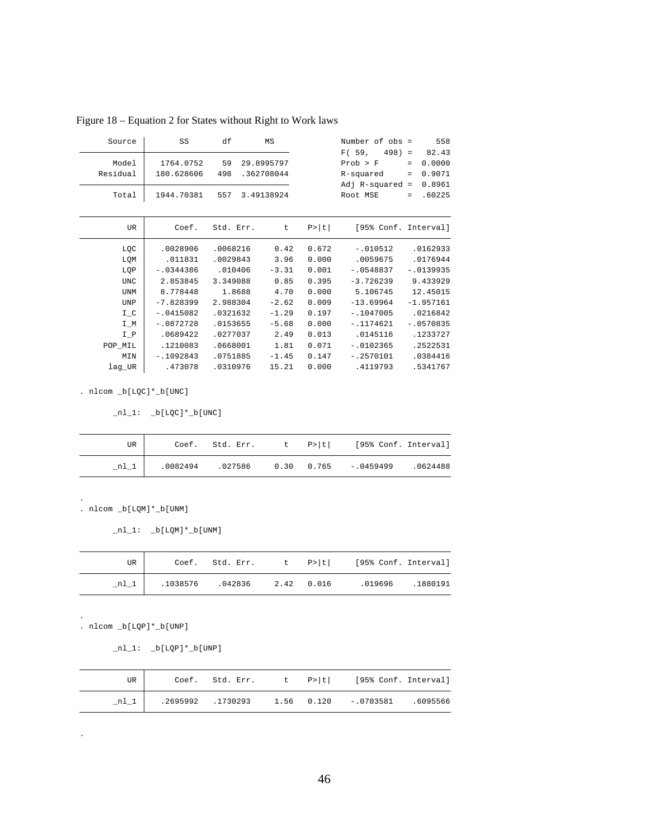| Source            | SS                      | df        | MS                       |        | Number of obs =<br>F(59)<br>$498 =$ | 558<br>82.43                                 |
|-------------------|-------------------------|-----------|--------------------------|--------|-------------------------------------|----------------------------------------------|
| Model<br>Residual | 1764.0752<br>180.628606 | 59<br>498 | 29.8995797<br>.362708044 |        | Prob > F<br>R-squared               | 0.0000<br>$=$<br>0.9071<br>$\qquad \qquad =$ |
| Total             | 1944.70381              | 557       | 3.49138924               |        | $Adj R-squared =$<br>Root MSE       | 0.8961<br>.60225<br>$\qquad \qquad =$        |
| UR                | Coef.                   | Std. Err. | t                        | P >  t | [95% Conf. Interval]                |                                              |
| LQC               | .0028906                | .0068216  | 0.42                     | 0.672  | $-.010512$                          | .0162933                                     |
| LQM               | .011831                 | .0029843  | 3.96                     | 0.000  | .0059675                            | .0176944                                     |
| LQP               | $-0344386$              | .010406   | $-3.31$                  | 0.001  | $-10548837$                         | $-.0139935$                                  |
| <b>UNC</b>        | 2.853845                | 3.349088  | 0.85                     | 0.395  | $-3.726239$                         | 9.433929                                     |
| <b>UNM</b>        | 8.778448                | 1.8688    | 4.70                     | 0.000  | 5.106745                            | 12.45015                                     |
| UNP               | $-7.828399$             | 2.988304  | $-2.62$                  | 0.009  | $-13.69964$                         | $-1.957161$                                  |
| $I_C$             | $-.0415082$             | .0321632  | $-1.29$                  | 0.197  | $-1047005$                          | .0216842                                     |
| $I_M$             | $-.0872728$             | .0153655  | $-5.68$                  | 0.000  | $-1174621$                          | $-.0570835$                                  |
| $I_P$             | .0689422                | .0277037  | 2.49                     | 0.013  | .0145116                            | .1233727                                     |
| POP MIL           | .1210083                | .0668001  | 1.81                     | 0.071  | $-.0102365$                         | .2522531                                     |
| MIN               | $-1092843$              | .0751885  | $-1.45$                  | 0.147  | $-12570101$                         | .0384416                                     |
| lag UR            | .473078                 | .0310976  | 15.21                    | 0.000  | .4119793                            | .5341767                                     |
|                   |                         |           |                          |        |                                     |                                              |

Figure 18 – Equation 2 for States without Right to Work laws

 $\_n1\_1:$   $\_b[LQC]*\_b[UNC]$ 

| UR    |  |  | Coef. Std. Err. t P> t  [95% Conf. Interval]        |  |
|-------|--|--|-----------------------------------------------------|--|
| $n_l$ |  |  | $0.0082494$ $0.27586$ 0.30 0.765 - 0459499 .0624488 |  |

. nlcom \_b[LQM]\*\_b[UNM]

 $_nl_1: b[LQM]*b[UNM]$ 

| UR     |                             |  | Coef. Std. Err. t P> t  [95% Conf. Interval] |  |
|--------|-----------------------------|--|----------------------------------------------|--|
| $nl_1$ | .1038576 .042836 2.42 0.016 |  | .019696 .1880191                             |  |

. nlcom \_b[LQP]\*\_b[UNP]

.

.

.

 $nl_1: \n b[LQP]*b[UNP]$ 

| UR |  |  | Coef. Std. Err. t P> t  [95% Conf. Interval]            |  |
|----|--|--|---------------------------------------------------------|--|
|    |  |  | .2695992 .1730293   1.56   0.120   -.0703581   .6095566 |  |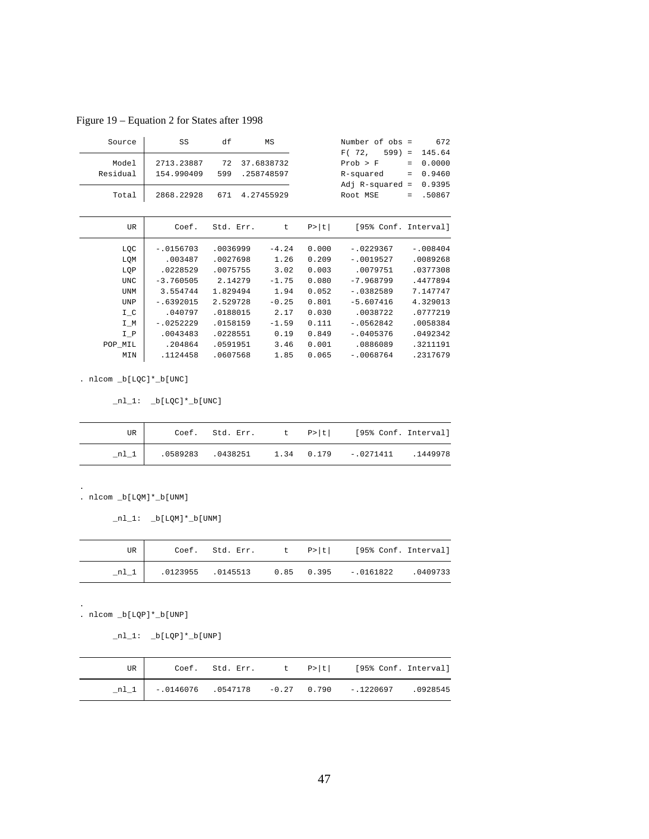|  | Figure 19 – Equation 2 for States after 1998 |  |  |  |
|--|----------------------------------------------|--|--|--|
|--|----------------------------------------------|--|--|--|

| Source     | SS          | df        | ΜS         |        | Number of obs =      |                   | 672        |
|------------|-------------|-----------|------------|--------|----------------------|-------------------|------------|
|            |             |           |            |        | F(72,<br>$599$ =     |                   | 145.64     |
| Model      | 2713.23887  | 72        | 37.6838732 |        | Prob > F             | $\qquad \qquad =$ | 0.0000     |
| Residual   | 154.990409  | 599       | .258748597 |        | R-squared            | $\equiv$          | 0.9460     |
|            |             |           |            |        | Adj $R$ -squared =   |                   | 0.9395     |
| Total      | 2868.22928  | 671       | 4.27455929 |        | Root MSE             | $=$               | .50867     |
|            |             |           |            |        |                      |                   |            |
| UR.        | Coef.       | Std. Err. | t          | P >  t | [95% Conf. Interval] |                   |            |
|            |             |           |            |        |                      |                   |            |
| LQC        | $-.0156703$ | .0036999  | $-4.24$    | 0.000  | $-.0229367$          |                   | $-.008404$ |
| LQM        | .003487     | .0027698  | 1.26       | 0.209  | $-.0019527$          |                   | .0089268   |
| LQP        | .0228529    | .0075755  | 3.02       | 0.003  | .0079751             |                   | .0377308   |
| <b>UNC</b> | $-3.760505$ | 2.14279   | $-1.75$    | 0.080  | $-7.968799$          |                   | .4477894   |
| <b>UNM</b> | 3.554744    | 1.829494  | 1.94       | 0.052  | $-.0382589$          |                   | 7.147747   |
| UNP        | $-.6392015$ | 2.529728  | $-0.25$    | 0.801  | $-5.607416$          |                   | 4.329013   |
| $I_C$      | .040797     | .0188015  | 2.17       | 0.030  | .0038722             |                   | .0777219   |
| $I_M$      | $-.0252229$ | .0158159  | $-1.59$    | 0.111  | $-.0562842$          |                   | .0058384   |
| $I_P$      | .0043483    | .0228551  | 0.19       | 0.849  | $-.0405376$          |                   | .0492342   |
| POP_MIL    | .204864     | .0591951  | 3.46       | 0.001  | .0886089             |                   | .3211191   |
| MIN        | .1124458    | .0607568  | 1.85       | 0.065  | $-10068764$          |                   | .2317679   |

 $_n11: b[LQC]*b[UNC]$ 

| UR |  |  | Coef. Std. Err. $t \quad P >  t $ [95% Conf. Interval]  |  |
|----|--|--|---------------------------------------------------------|--|
|    |  |  | .0589283 .0438251   1.34   0.179   -.0271411   .1449978 |  |

. nlcom \_b[LQM]\*\_b[UNM]

 $_n1_1: b[LQM]*b[UNM]$ 

| UR     |                   |  | Coef. Std. Err. $t \quad p >  t $ [95% Conf. Interval] |         |
|--------|-------------------|--|--------------------------------------------------------|---------|
| $n1$ 1 | .0123955 .0145513 |  | $0.85$ $0.395$ $-0.0161822$                            | 0409733 |

. nlcom \_b[LQP]\*\_b[UNP]

.

.

 $_nl_1: \underline{b}[LQP]*b[UNP]$ 

| UR |  |  | Coef. Std. Err. t P> t  [95% Conf. Interval]             |  |
|----|--|--|----------------------------------------------------------|--|
|    |  |  | $n!$   -.0146076 .0547178 -0.27 0.790 -.1220697 .0928545 |  |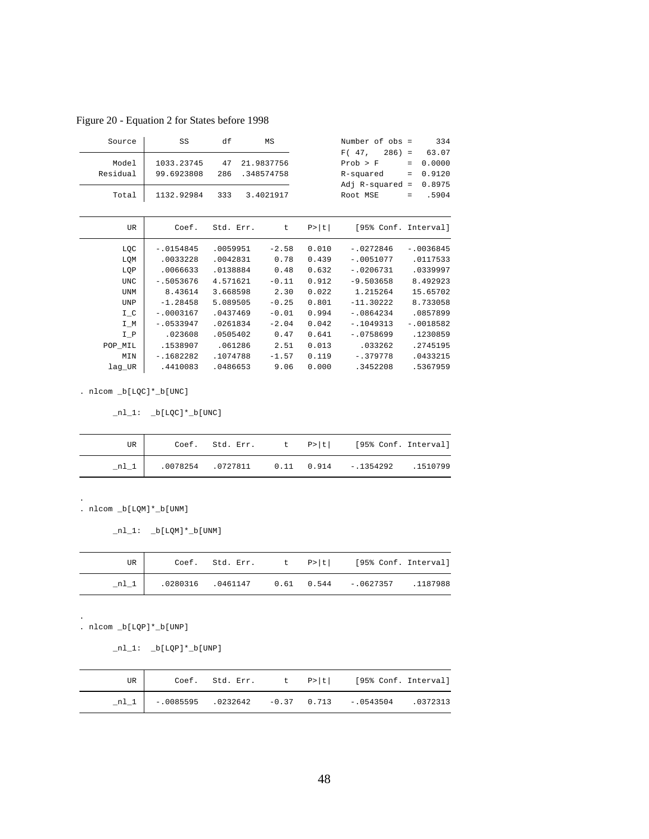| Source     | SS          | df        | MS         |        | Number of $obs =$    |                   | 334         |
|------------|-------------|-----------|------------|--------|----------------------|-------------------|-------------|
|            |             |           |            |        | F(47,<br>$286$ ) =   |                   | 63.07       |
| Model      | 1033.23745  | 47        | 21.9837756 |        | Prob > F             | $=$               | 0.0000      |
| Residual   | 99.6923808  | 286       | .348574758 |        | R-squared            | $=$               | 0.9120      |
|            |             |           |            |        | Adj $R$ -squared =   |                   | 0.8975      |
| Total      | 1132.92984  | 333       | 3.4021917  |        | Root MSE             | $\qquad \qquad =$ | .5904       |
|            |             |           |            |        |                      |                   |             |
|            |             |           |            |        |                      |                   |             |
| UR         | Coef.       | Std. Err. | t          | P >  t | [95% Conf. Interval] |                   |             |
|            |             |           |            |        |                      |                   |             |
| LQC        | $-.0154845$ | .0059951  | $-2.58$    | 0.010  | $-.0272846$          |                   | $-10036845$ |
| LQM        | .0033228    | .0042831  | 0.78       | 0.439  | $-10051077$          |                   | .0117533    |
| LQP        | .0066633    | .0138884  | 0.48       | 0.632  | $-10206731$          |                   | .0339997    |
| <b>UNC</b> | $-15053676$ | 4.571621  | $-0.11$    | 0.912  | $-9.503658$          |                   | 8.492923    |
| UNM        | 8.43614     | 3.668598  | 2.30       | 0.022  | 1.215264             |                   | 15.65702    |
| UNP        | $-1.28458$  | 5.089505  | $-0.25$    | 0.801  | $-11.30222$          |                   | 8.733058    |
|            |             |           |            |        |                      |                   |             |

Figure 20 - Equation 2 for States before 1998

 $\_n1\_1: \quad \underline{\texttt{b}}[\texttt{LQC}]\texttt{*}\underline{\texttt{b}}[\texttt{UNC}]$ 

| UR |  |  | Coef. Std. Err. t P> t  [95% Conf. Interval]                                                  |  |
|----|--|--|-----------------------------------------------------------------------------------------------|--|
|    |  |  | $\begin{bmatrix} 0.0078254 & 0.0727811 & 0.11 & 0.914 & -0.1354292 & 0.1510799 \end{bmatrix}$ |  |

lag\_UR .4410083 .0486653 9.06 0.000 .3452208 .5367959 MIN -.1682282 .1074788 -1.57 0.119 -.379778 .0433215 POP\_MIL .1538907 .061286 2.51 0.013 .033262 .2745195  $\begin{array}{c}\nI_C \\
I_M \\
-I_B\n\end{array}$  -.0018582 .023608 .0505402 0.47 0.641 -.0758699 .1230859  $\overline{I_M}$  -.0533947 .0261834 -2.04 0.042 -.1049313 -.0018582 I\_C -.0003167 .0437469 -0.01 0.994 -.0864234 .0857899

. nlcom \_b[LQM]\*\_b[UNM] .

 $\_nl\_1:$   $\_b[LQM]*\_b[UNM]$ 

| UR I |  |  | Coef. Std. Err. $t$ $P> t $ [95% Conf. Interval]        |  |
|------|--|--|---------------------------------------------------------|--|
| nl_1 |  |  | .0280316 .0461147   0.61   0.544   -.0627357   .1187988 |  |

. nlcom \_b[LQP]\*\_b[UNP]

.

 $nl_1: \n b[LQP]*b[UNP]$ 

| UR |  |  | Coef. Std. Err. t P> t  [95% Conf. Interval]             |  |
|----|--|--|----------------------------------------------------------|--|
|    |  |  | nl 1   -.0085595 .0232642 -0.37 0.713 -.0543504 .0372313 |  |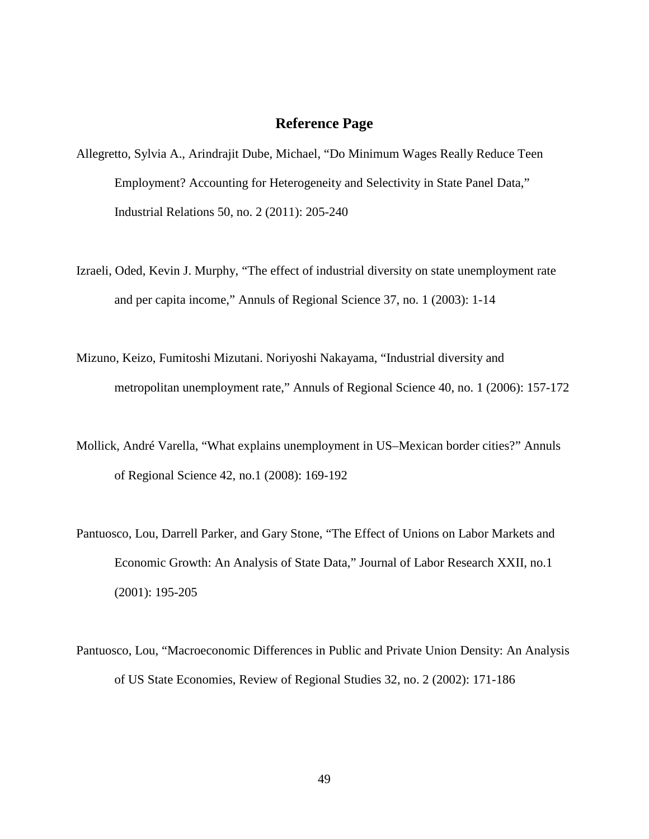#### **Reference Page**

- <span id="page-56-0"></span>Allegretto, Sylvia A., Arindrajit Dube, Michael, "Do Minimum Wages Really Reduce Teen Employment? Accounting for Heterogeneity and Selectivity in State Panel Data," Industrial Relations 50, no. 2 (2011): 205-240
- Izraeli, Oded, Kevin J. Murphy, "The effect of industrial diversity on state unemployment rate and per capita income," Annuls of Regional Science 37, no. 1 (2003): 1-14
- Mizuno, Keizo, Fumitoshi Mizutani. Noriyoshi Nakayama, "Industrial diversity and metropolitan unemployment rate," Annuls of Regional Science 40, no. 1 (2006): 157-172
- Mollick, André Varella, "What explains unemployment in US–Mexican border cities?" Annuls of Regional Science 42, no.1 (2008): 169-192
- Pantuosco, Lou, Darrell Parker, and Gary Stone, "The Effect of Unions on Labor Markets and Economic Growth: An Analysis of State Data," Journal of Labor Research XXII, no.1 (2001): 195-205
- Pantuosco, Lou, "Macroeconomic Differences in Public and Private Union Density: An Analysis of US State Economies, Review of Regional Studies 32, no. 2 (2002): 171-186